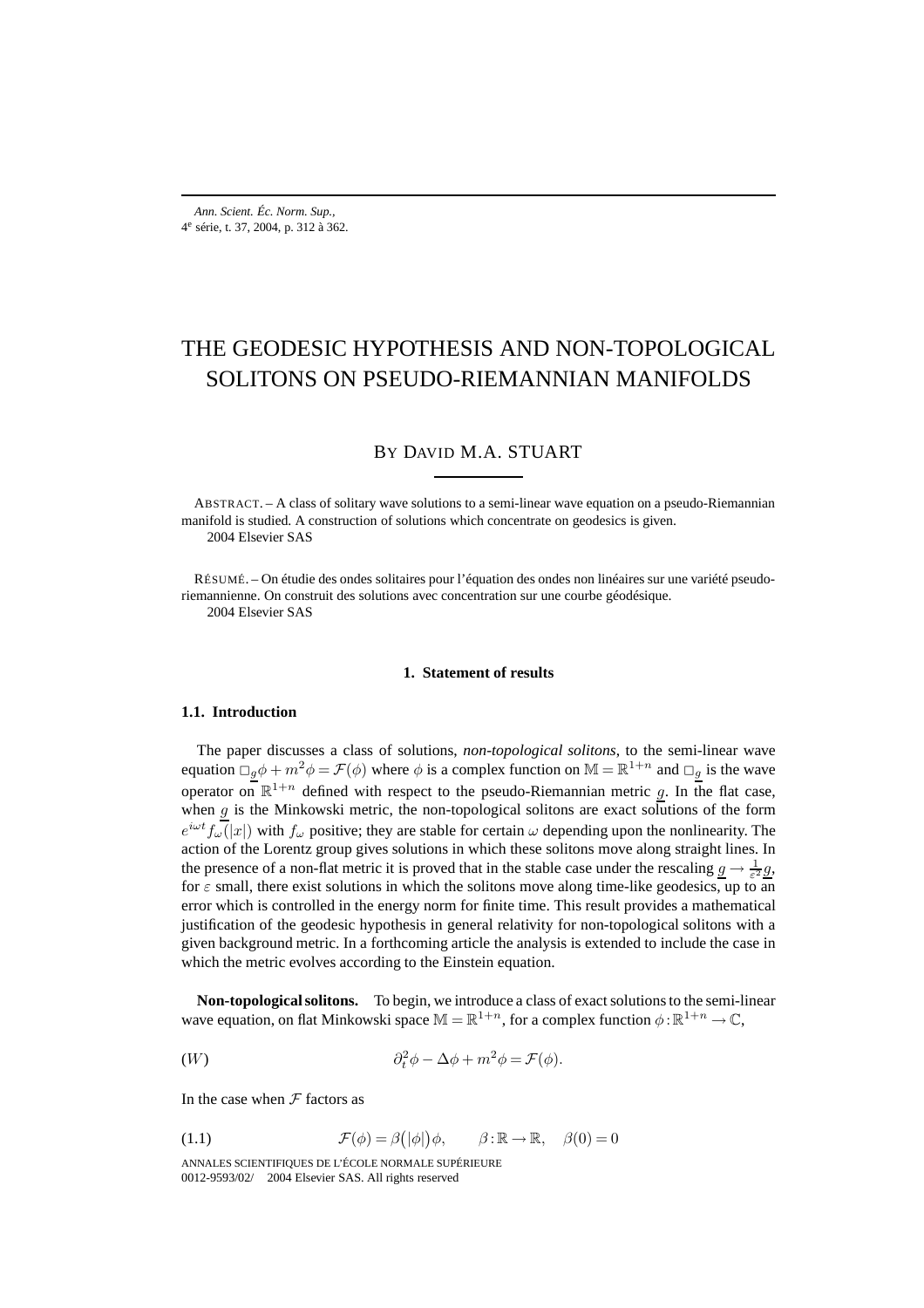# THE GEODESIC HYPOTHESIS AND NON-TOPOLOGICAL SOLITONS ON PSEUDO-RIEMANNIAN MANIFOLDS

# BY DAVID M.A. STUART

ABSTRACT. – A class of solitary wave solutions to a semi-linear wave equation on a pseudo-Riemannian manifold is studied. A construction of solutions which concentrate on geodesics is given. 2004 Elsevier SAS

RÉSUMÉ. – On étudie des ondes solitaires pour l'équation des ondes non linéaires sur une variété pseudoriemannienne. On construit des solutions avec concentration sur une courbe géodésique.

2004 Elsevier SAS

# **1. Statement of results**

#### **1.1. Introduction**

The paper discusses a class of solutions, *non-topological solitons*, to the semi-linear wave equation  $\Box_g \phi + m^2 \phi = \mathcal{F}(\phi)$  where  $\phi$  is a complex function on  $\mathbb{M} = \mathbb{R}^{1+n}$  and  $\Box_g$  is the wave operator on  $\mathbb{R}^{1+n}$  defined with respect to the pseudo-Riemannian metric g. In the flat case, when  $g$  is the Minkowski metric, the non-topological solitons are exact solutions of the form  $e^{i\omega t}f_{\omega}(|x|)$  with  $f_{\omega}$  positive; they are stable for certain  $\omega$  depending upon the nonlinearity. The action of the Lorentz group gives solutions in which these solitons move along straight lines. In the presence of a non-flat metric it is proved that in the stable case under the rescaling  $\underline{g} \to \frac{1}{\varepsilon^2} \underline{g}$ , for  $\varepsilon$  small, there exist solutions in which the solitons move along time-like geodesics, up to an error which is controlled in the energy norm for finite time. This result provides a mathematical justification of the geodesic hypothesis in general relativity for non-topological solitons with a given background metric. In a forthcoming article the analysis is extended to include the case in which the metric evolves according to the Einstein equation.

**Non-topological solitons.** To begin, we introduce a class of exact solutions to the semi-linear wave equation, on flat Minkowski space  $\mathbb{M} = \mathbb{R}^{1+n}$ , for a complex function  $\phi : \mathbb{R}^{1+n} \to \mathbb{C}$ ,

$$
(W) \qquad \partial_t^2 \phi - \Delta \phi + m^2 \phi = \mathcal{F}(\phi).
$$

In the case when  $F$  factors as

(1.1) 
$$
\mathcal{F}(\phi) = \beta(|\phi|) \phi, \qquad \beta : \mathbb{R} \to \mathbb{R}, \quad \beta(0) = 0
$$

ANNALES SCIENTIFIQUES DE L'ÉCOLE NORMALE SUPÉRIEURE 0012-9593/02/© 2004 Elsevier SAS. All rights reserved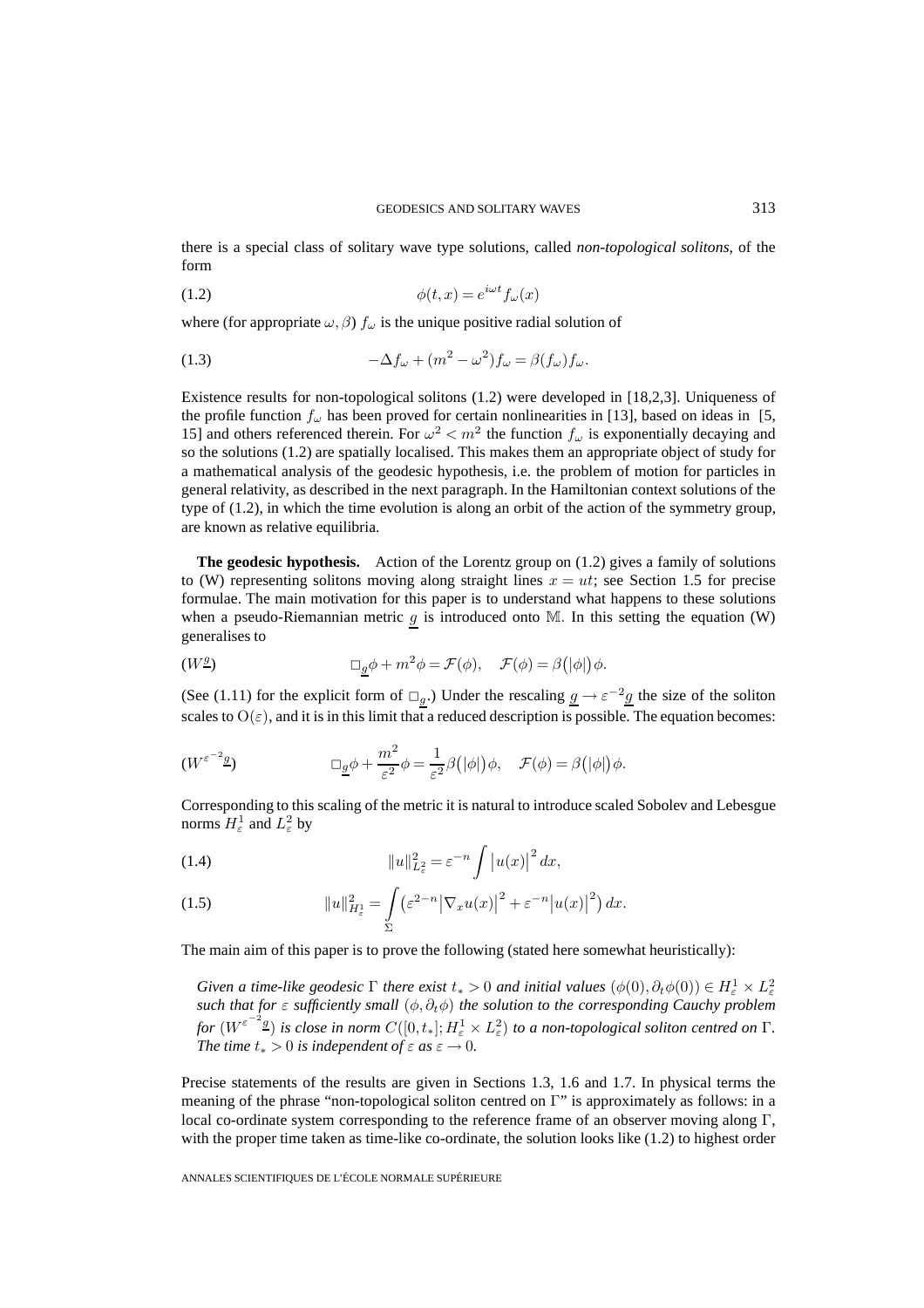there is a special class of solitary wave type solutions, called *non-topological solitons*, of the form

$$
(1.2) \qquad \qquad \phi(t,x) = e^{i\omega t} f_{\omega}(x)
$$

where (for appropriate  $\omega$ ,  $\beta$ )  $f_{\omega}$  is the unique positive radial solution of

(1.3) 
$$
-\Delta f_{\omega} + (m^2 - \omega^2) f_{\omega} = \beta (f_{\omega}) f_{\omega}.
$$

Existence results for non-topological solitons (1.2) were developed in [18,2,3]. Uniqueness of the profile function  $f_{\omega}$  has been proved for certain nonlinearities in [13], based on ideas in [5, 15] and others referenced therein. For  $\omega^2 < m^2$  the function  $f_{\omega}$  is exponentially decaying and so the solutions (1.2) are spatially localised. This makes them an appropriate object of study for a mathematical analysis of the geodesic hypothesis, i.e. the problem of motion for particles in general relativity, as described in the next paragraph. In the Hamiltonian context solutions of the type of (1.2), in which the time evolution is along an orbit of the action of the symmetry group, are known as relative equilibria.

**The geodesic hypothesis.** Action of the Lorentz group on (1.2) gives a family of solutions to (W) representing solitons moving along straight lines  $x = ut$ ; see Section 1.5 for precise formulae. The main motivation for this paper is to understand what happens to these solutions when a pseudo-Riemannian metric  $g$  is introduced onto M. In this setting the equation (W) generalises to

$$
(W^{\underline{g}}) \qquad \qquad \Box_{\underline{g}} \phi + m^2 \phi = \mathcal{F}(\phi), \quad \mathcal{F}(\phi) = \beta(|\phi|) \phi.
$$

(See (1.11) for the explicit form of  $\Box_g$ .) Under the rescaling  $g \to \varepsilon^{-2}g$  the size of the soliton scales to  $O(\varepsilon)$ , and it is in this limit that a reduced description is possible. The equation becomes:

$$
(W^{\varepsilon^{-2}\underline{g}})\qquad \qquad \Box_{\underline{g}}\phi + \frac{m^2}{\varepsilon^2}\phi = \frac{1}{\varepsilon^2}\beta(|\phi|)\phi, \quad \mathcal{F}(\phi) = \beta(|\phi|)\phi.
$$

Corresponding to this scaling of the metric it is natural to introduce scaled Sobolev and Lebesgue norms  $H^1_\varepsilon$  and  $L^2_\varepsilon$  by

(1.4) 
$$
||u||_{L_{\varepsilon}^{2}}^{2} = \varepsilon^{-n} \int |u(x)|^{2} dx,
$$

(1.5) 
$$
||u||_{H_{\varepsilon}^{1}}^{2} = \int_{\Sigma} \left( \varepsilon^{2-n} |\nabla_{x} u(x)|^{2} + \varepsilon^{-n} |u(x)|^{2} \right) dx.
$$

The main aim of this paper is to prove the following (stated here somewhat heuristically):

*Given a time-like geodesic*  $\Gamma$  *there exist*  $t_* > 0$  *and initial values*  $(\phi(0), \partial_t \phi(0)) \in H^1_\varepsilon \times L^2_\varepsilon$ *such that for ε sufficiently small* ( $φ$ ,  $∂tφ$ ) *the solution to the corresponding Cauchy problem* for  $(W^{\varepsilon^{-2}g})$  is close in norm  $C([0,t_*];H^1_\varepsilon\times L^2_\varepsilon)$  to a non-topological soliton centred on  $\Gamma$ . *The time*  $t_* > 0$  *is independent of*  $\varepsilon$  *as*  $\varepsilon \to 0$ *.* 

Precise statements of the results are given in Sections 1.3, 1.6 and 1.7. In physical terms the meaning of the phrase "non-topological soliton centred on Γ" is approximately as follows: in a local co-ordinate system corresponding to the reference frame of an observer moving along Γ, with the proper time taken as time-like co-ordinate, the solution looks like (1.2) to highest order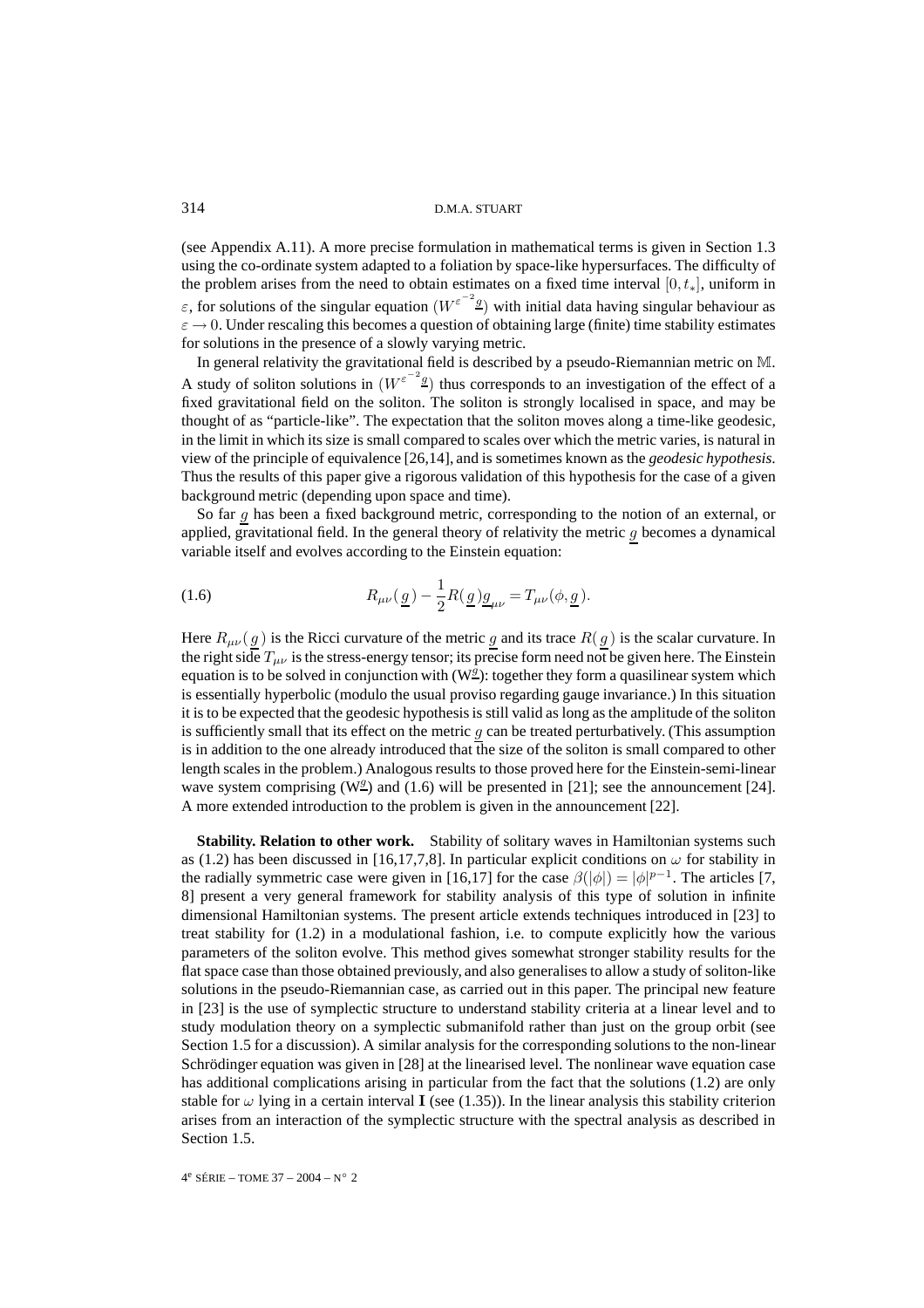(see Appendix A.11). A more precise formulation in mathematical terms is given in Section 1.3 using the co-ordinate system adapted to a foliation by space-like hypersurfaces. The difficulty of the problem arises from the need to obtain estimates on a fixed time interval  $[0, t_*]$ , uniform in ε, for solutions of the singular equation  $(W^{\epsilon^{-2} g})$  with initial data having singular behaviour as  $\varepsilon \to 0$ . Under rescaling this becomes a question of obtaining large (finite) time stability estimates for solutions in the presence of a slowly varying metric.

In general relativity the gravitational field is described by a pseudo-Riemannian metric on M. A study of soliton solutions in  $(W^{\varepsilon^{-2} g})$  thus corresponds to an investigation of the effect of a fixed gravitational field on the soliton. The soliton is strongly localised in space, and may be thought of as "particle-like". The expectation that the soliton moves along a time-like geodesic, in the limit in which its size is small compared to scales over which the metric varies, is natural in view of the principle of equivalence [26,14], and is sometimes known as the *geodesic hypothesis*. Thus the results of this paper give a rigorous validation of this hypothesis for the case of a given background metric (depending upon space and time).

So far g has been a fixed background metric, corresponding to the notion of an external, or applied, gravitational field. In the general theory of relativity the metric  $g$  becomes a dynamical variable itself and evolves according to the Einstein equation:

(1.6) 
$$
R_{\mu\nu}(\underline{g}) - \frac{1}{2}R(\underline{g})\underline{g}_{\mu\nu} = T_{\mu\nu}(\phi, \underline{g}).
$$

Here  $R_{\mu\nu}(g)$  is the Ricci curvature of the metric g and its trace  $R(g)$  is the scalar curvature. In the right side  $T_{\mu\nu}$  is the stress-energy tensor; its precise form need not be given here. The Einstein equation is to be solved in conjunction with  $(W_2^g)$ : together they form a quasilinear system which is essentially hyperbolic (modulo the usual proviso regarding gauge invariance.) In this situation it is to be expected that the geodesic hypothesis is still valid as long as the amplitude of the soliton is sufficiently small that its effect on the metric  $g$  can be treated perturbatively. (This assumption is in addition to the one already introduced that the size of the soliton is small compared to other length scales in the problem.) Analogous results to those proved here for the Einstein-semi-linear wave system comprising (W<sup> $q$ </sup>) and (1.6) will be presented in [21]; see the announcement [24]. A more extended introduction to the problem is given in the announcement [22].

**Stability. Relation to other work.** Stability of solitary waves in Hamiltonian systems such as (1.2) has been discussed in [16,17,7,8]. In particular explicit conditions on  $\omega$  for stability in the radially symmetric case were given in [16,17] for the case  $\beta(|\phi|) = |\phi|^{p-1}$ . The articles [7, 8] present a very general framework for stability analysis of this type of solution in infinite dimensional Hamiltonian systems. The present article extends techniques introduced in [23] to treat stability for (1.2) in a modulational fashion, i.e. to compute explicitly how the various parameters of the soliton evolve. This method gives somewhat stronger stability results for the flat space case than those obtained previously, and also generalises to allow a study of soliton-like solutions in the pseudo-Riemannian case, as carried out in this paper. The principal new feature in [23] is the use of symplectic structure to understand stability criteria at a linear level and to study modulation theory on a symplectic submanifold rather than just on the group orbit (see Section 1.5 for a discussion). A similar analysis for the corresponding solutions to the non-linear Schrödinger equation was given in [28] at the linearised level. The nonlinear wave equation case has additional complications arising in particular from the fact that the solutions (1.2) are only stable for  $\omega$  lying in a certain interval **I** (see (1.35)). In the linear analysis this stability criterion arises from an interaction of the symplectic structure with the spectral analysis as described in Section 1.5.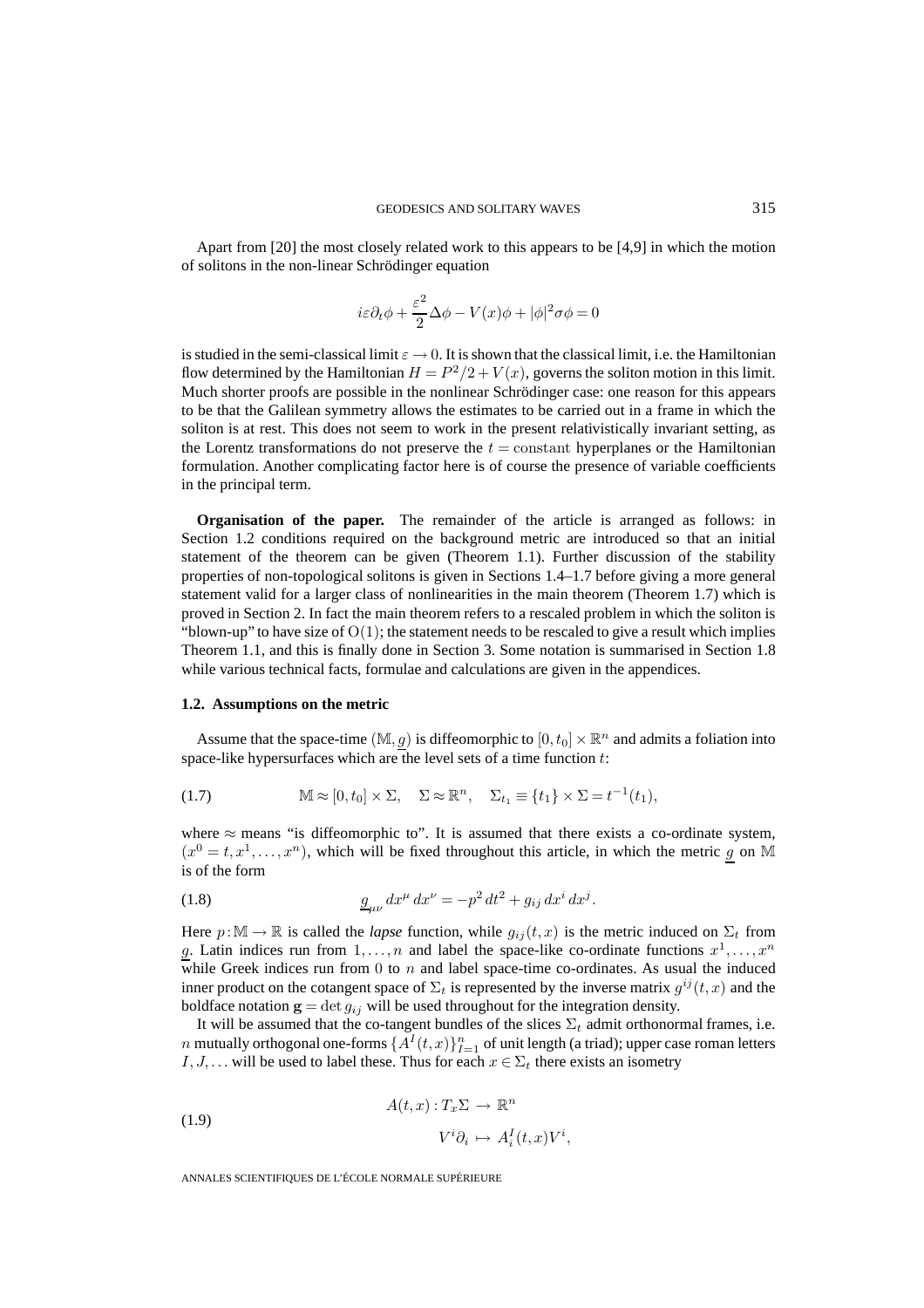Apart from [20] the most closely related work to this appears to be [4,9] in which the motion of solitons in the non-linear Schrödinger equation

$$
i\varepsilon\partial_t\phi+\frac{\varepsilon^2}{2}\Delta\phi-V(x)\phi+|\phi|^2\sigma\phi=0
$$

is studied in the semi-classical limit  $\varepsilon \to 0$ . It is shown that the classical limit, i.e. the Hamiltonian flow determined by the Hamiltonian  $H = P^2/2 + V(x)$ , governs the soliton motion in this limit. Much shorter proofs are possible in the nonlinear Schrödinger case: one reason for this appears to be that the Galilean symmetry allows the estimates to be carried out in a frame in which the soliton is at rest. This does not seem to work in the present relativistically invariant setting, as the Lorentz transformations do not preserve the  $t = constant$  hyperplanes or the Hamiltonian formulation. Another complicating factor here is of course the presence of variable coefficients in the principal term.

**Organisation of the paper.** The remainder of the article is arranged as follows: in Section 1.2 conditions required on the background metric are introduced so that an initial statement of the theorem can be given (Theorem 1.1). Further discussion of the stability properties of non-topological solitons is given in Sections 1.4–1.7 before giving a more general statement valid for a larger class of nonlinearities in the main theorem (Theorem 1.7) which is proved in Section 2. In fact the main theorem refers to a rescaled problem in which the soliton is "blown-up" to have size of  $O(1)$ ; the statement needs to be rescaled to give a result which implies Theorem 1.1, and this is finally done in Section 3. Some notation is summarised in Section 1.8 while various technical facts, formulae and calculations are given in the appendices.

## **1.2. Assumptions on the metric**

Assume that the space-time  $(M, g)$  is diffeomorphic to  $[0, t_0] \times \mathbb{R}^n$  and admits a foliation into space-like hypersurfaces which are the level sets of a time function  $t$ :

(1.7) 
$$
\mathbb{M} \approx [0, t_0] \times \Sigma, \quad \Sigma \approx \mathbb{R}^n, \quad \Sigma_{t_1} \equiv \{t_1\} \times \Sigma = t^{-1}(t_1),
$$

where  $\approx$  means "is diffeomorphic to". It is assumed that there exists a co-ordinate system,  $(x^0 = t, x^1, \ldots, x^n)$ , which will be fixed throughout this article, in which the metric g on M is of the form

(1.8) 
$$
\frac{g_{\mu\nu}}{dx^{\mu}} dx^{\nu} = -p^2 dt^2 + g_{ij} dx^i dx^j.
$$

Here  $p:\mathbb{M}\to\mathbb{R}$  is called the *lapse* function, while  $g_{ij}(t,x)$  is the metric induced on  $\Sigma_t$  from g. Latin indices run from  $1, \ldots, n$  and label the space-like co-ordinate functions  $x^1, \ldots, x^n$ while Greek indices run from  $0$  to  $n$  and label space-time co-ordinates. As usual the induced inner product on the cotangent space of  $\Sigma_t$  is represented by the inverse matrix  $g^{ij}(t, x)$  and the boldface notation  $\mathbf{g} = \det g_{ij}$  will be used throughout for the integration density.

It will be assumed that the co-tangent bundles of the slices  $\Sigma_t$  admit orthonormal frames, i.e.  $n$  mutually orthogonal one-forms  $\{A^{I}(t,x)\}_{I=1}^{n}$  of unit length (a triad); upper case roman letters I, J, ... will be used to label these. Thus for each  $x \in \Sigma_t$  there exists an isometry

(1.9) 
$$
A(t,x): T_x \Sigma \to \mathbb{R}^n
$$

$$
V^i \partial_i \mapsto A_i^I(t,x)V^i,
$$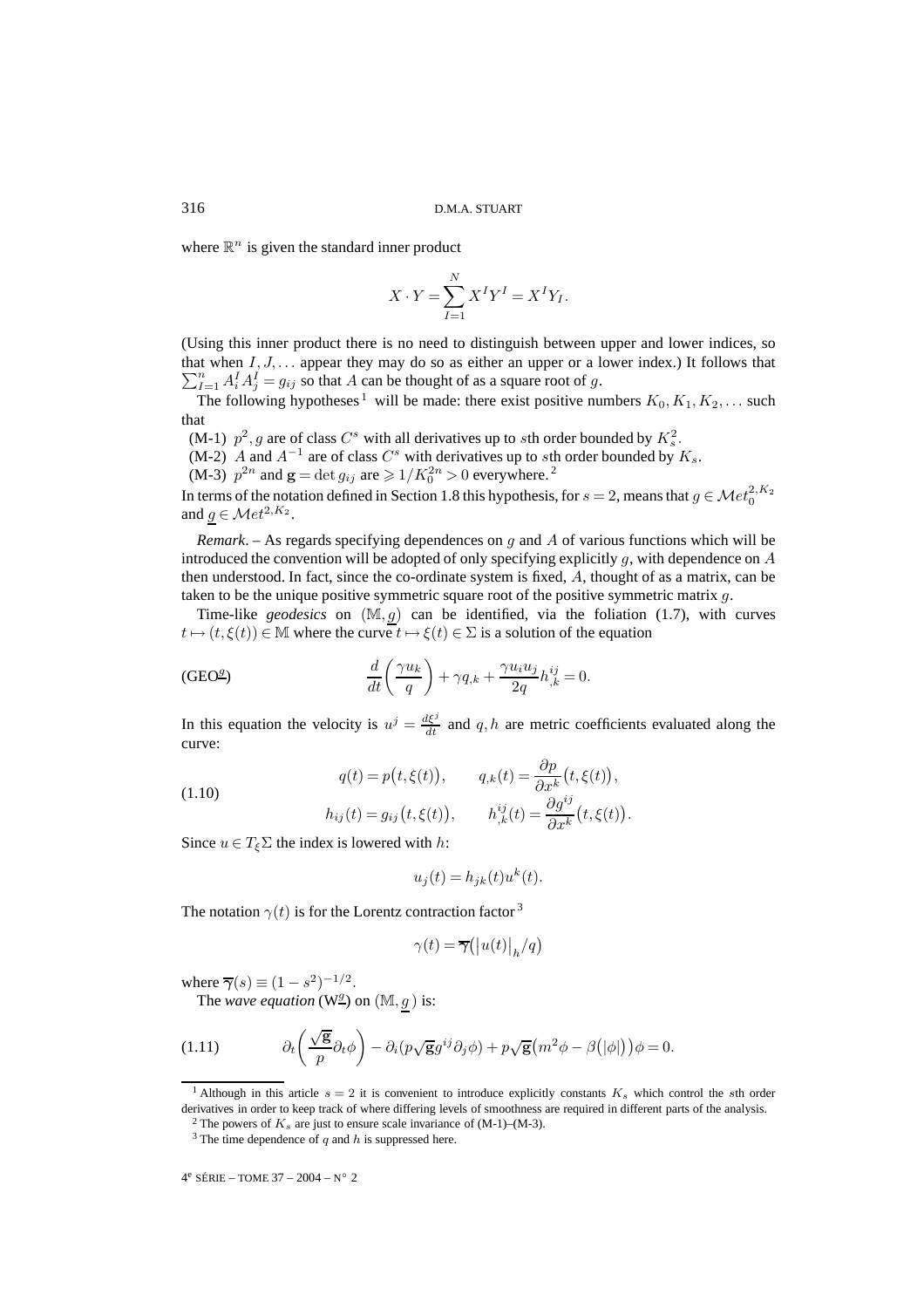where  $\mathbb{R}^n$  is given the standard inner product

$$
X \cdot Y = \sum_{I=1}^{N} X^I Y^I = X^I Y_I.
$$

(Using this inner product there is no need to distinguish between upper and lower indices, so  $\sum_{I=1}^{n} A_i^I A_j^I = g_{ij}$  so that A can be thought of as a square root of g. that when  $I, J, \ldots$  appear they may do so as either an upper or a lower index.) It follows that

The following hypotheses<sup>1</sup> will be made: there exist positive numbers  $K_0, K_1, K_2, \ldots$  such that

(M-1)  $p^2$ , g are of class  $C^s$  with all derivatives up to sth order bounded by  $K_s^2$ .

(M-2) A and  $A^{-1}$  are of class  $C^s$  with derivatives up to sth order bounded by  $K_s$ .

(M-3)  $p^{2n}$  and  $\mathbf{g} = \det g_{ij}$  are  $\geq 1/K_0^{2n} > 0$  everywhere.<sup>2</sup>

In terms of the notation defined in Section 1.8 this hypothesis, for  $s = 2$ , means that  $g \in \mathcal{M}et_0^{2,K_2}$ and  $g \in \mathcal{M}et^{2,K_2}$ .

*Remark*. – As regards specifying dependences on g and A of various functions which will be introduced the convention will be adopted of only specifying explicitly  $g$ , with dependence on  $A$ then understood. In fact, since the co-ordinate system is fixed, A, thought of as a matrix, can be taken to be the unique positive symmetric square root of the positive symmetric matrix  $q$ .

Time-like *geodesics* on  $(M, g)$  can be identified, via the foliation (1.7), with curves  $t \mapsto (t, \xi(t)) \in M$  where the curve  $t \mapsto \xi(t) \in \Sigma$  is a solution of the equation

(GEO<sup>2</sup>) 
$$
\frac{d}{dt}\left(\frac{\gamma u_k}{q}\right) + \gamma q_{,k} + \frac{\gamma u_i u_j}{2q} h_{,k}^{ij} = 0.
$$

In this equation the velocity is  $u^j = \frac{d\xi^j}{dt}$  and q, h are metric coefficients evaluated along the curve:

(1.10)  

$$
q(t) = p(t, \xi(t)), \qquad q_{,k}(t) = \frac{\partial p}{\partial x^k}(t, \xi(t)),
$$

$$
h_{ij}(t) = g_{ij}(t, \xi(t)), \qquad h_{,k}^{ij}(t) = \frac{\partial g^{ij}}{\partial x^k}(t, \xi(t)).
$$

Since  $u \in T_{\xi} \Sigma$  the index is lowered with h:

$$
u_j(t) = h_{jk}(t)u^k(t).
$$

The notation  $\gamma(t)$  is for the Lorentz contraction factor <sup>3</sup>

$$
\gamma(t) = \overline{\gamma}(|u(t)|_h/q)
$$

where  $\overline{\gamma}(s) \equiv (1 - s^2)^{-1/2}$ .

The *wave equation* ( $W^{\underline{g}}$ ) on ( $M, g$ ) is:

(1.11) 
$$
\partial_t \left( \frac{\sqrt{g}}{p} \partial_t \phi \right) - \partial_i (p \sqrt{g} g^{ij} \partial_j \phi) + p \sqrt{g} \left( m^2 \phi - \beta (|\phi|) \right) \phi = 0.
$$

<sup>&</sup>lt;sup>1</sup> Although in this article  $s = 2$  it is convenient to introduce explicitly constants  $K<sub>s</sub>$  which control the sth order derivatives in order to keep track of where differing levels of smoothness are required in different parts of the analysis.

<sup>&</sup>lt;sup>2</sup> The powers of  $K_s$  are just to ensure scale invariance of (M-1)–(M-3).

 $3$  The time dependence of q and h is suppressed here.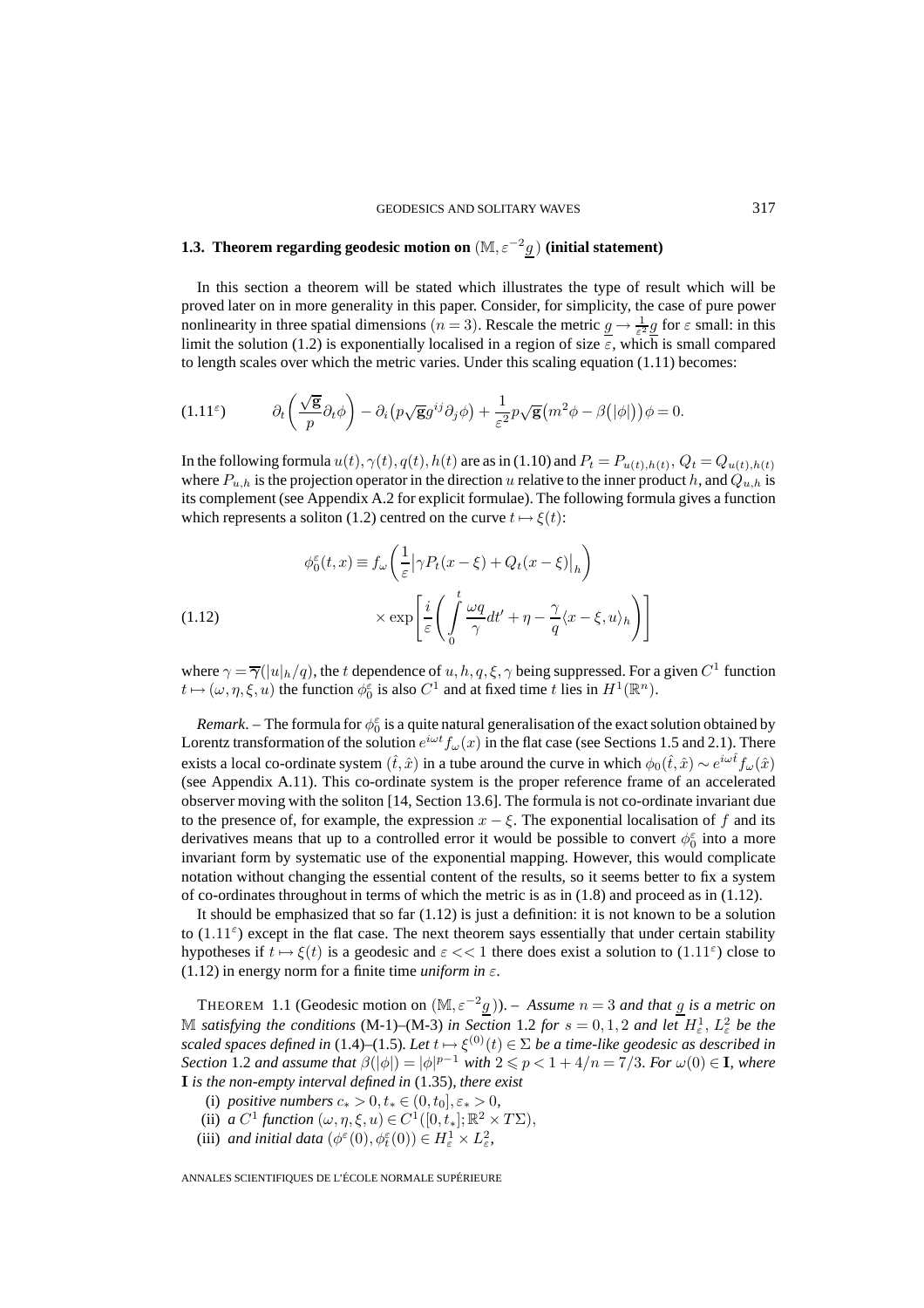# **1.3.** Theorem regarding geodesic motion on  $(\mathbb{M}, \varepsilon^{-2}g)$  (initial statement)

In this section a theorem will be stated which illustrates the type of result which will be proved later on in more generality in this paper. Consider, for simplicity, the case of pure power nonlinearity in three spatial dimensions  $(n=3)$ . Rescale the metric  $\underline{g} \to \frac{1}{\varepsilon^2} \underline{g}$  for  $\varepsilon$  small: in this limit the solution (1.2) is exponentially localised in a region of size  $\varepsilon$ , which is small compared to length scales over which the metric varies. Under this scaling equation  $(1.11)$  becomes:

$$
(1.11^{\varepsilon}) \t\t \partial_t \left( \frac{\sqrt{\mathbf{g}}}{p} \partial_t \phi \right) - \partial_i \left( p \sqrt{\mathbf{g}} g^{ij} \partial_j \phi \right) + \frac{1}{\varepsilon^2} p \sqrt{\mathbf{g}} \left( m^2 \phi - \beta (|\phi|) \right) \phi = 0.
$$

In the following formula  $u(t)$ ,  $\gamma(t)$ ,  $q(t)$ ,  $h(t)$  are as in (1.10) and  $P_t = P_{u(t),h(t)}$ ,  $Q_t = Q_{u(t),h(t)}$ where  $P_{u,h}$  is the projection operator in the direction u relative to the inner product h, and  $Q_{u,h}$  is its complement (see Appendix A.2 for explicit formulae). The following formula gives a function which represents a soliton (1.2) centred on the curve  $t \mapsto \xi(t)$ :

(1.12) 
$$
\phi_0^{\varepsilon}(t,x) \equiv f_{\omega} \left( \frac{1}{\varepsilon} \left| \gamma P_t(x - \xi) + Q_t(x - \xi) \right|_h \right) \times \exp \left[ \frac{i}{\varepsilon} \left( \int_0^t \frac{\omega q}{\gamma} dt' + \eta - \frac{\gamma}{q} \langle x - \xi, u \rangle_h \right) \right]
$$

where  $\gamma = \overline{\gamma}(|u|_h/q)$ , the t dependence of u, h, q,  $\xi$ ,  $\gamma$  being suppressed. For a given  $C^1$  function  $t \mapsto (\omega, \eta, \xi, u)$  the function  $\phi_0^{\varepsilon}$  is also  $C^1$  and at fixed time t lies in  $H^1(\mathbb{R}^n)$ .

*Remark*. – The formula for  $\phi_0^{\varepsilon}$  is a quite natural generalisation of the exact solution obtained by Lorentz transformation of the solution  $e^{i\omega t} f_{\omega}(x)$  in the flat case (see Sections 1.5 and 2.1). There exists a local co-ordinate system  $(\hat{t}, \hat{x})$  in a tube around the curve in which  $\phi_0(\hat{t}, \hat{x}) \sim e^{i\omega \hat{t}} f_\omega(\hat{x})$ (see Appendix A.11). This co-ordinate system is the proper reference frame of an accelerated observer moving with the soliton [14, Section 13.6]. The formula is not co-ordinate invariant due to the presence of, for example, the expression  $x - \xi$ . The exponential localisation of f and its derivatives means that up to a controlled error it would be possible to convert  $\phi_0^{\varepsilon}$  into a more invariant form by systematic use of the exponential mapping. However, this would complicate notation without changing the essential content of the results, so it seems better to fix a system of co-ordinates throughout in terms of which the metric is as in  $(1.8)$  and proceed as in  $(1.12)$ .

It should be emphasized that so far  $(1.12)$  is just a definition: it is not known to be a solution to  $(1.11^{\epsilon})$  except in the flat case. The next theorem says essentially that under certain stability hypotheses if  $t \mapsto \xi(t)$  is a geodesic and  $\varepsilon \ll 1$  there does exist a solution to  $(1.11^{\varepsilon})$  close to (1.12) in energy norm for a finite time *uniform in*  $\varepsilon$ *.* 

THEOREM 1.1 (Geodesic motion on  $(\mathbb{M}, \varepsilon^{-2}g)$ ). – Assume  $n = 3$  and that g is a metric on M satisfying the conditions (M-1)–(M-3) in Section 1.2 for  $s = 0, 1, 2$  and let  $H^1_\varepsilon$ ,  $L^2_\varepsilon$  be the *scaled spaces defined in* (1.4)–(1.5). Let  $t \mapsto \xi^{(0)}(t) \in \Sigma$  be a time-like geodesic as described in *Section* 1.2 *and assume that*  $\beta(|\phi|) = |\phi|^{p-1}$  *with*  $2 \leq p < 1 + 4/n = 7/3$ *. For*  $\omega(0) \in \mathbf{I}$ *, where* **I** *is the non-empty interval defined in* (1.35)*, there exist*

- (i) *positive numbers*  $c_* > 0, t_* \in (0, t_0], \varepsilon_* > 0$ ,
- (ii) *a*  $C^1$  *function*  $(\omega, \eta, \xi, u) \in C^1([0, t_*]; \mathbb{R}^2 \times T\Sigma)$ ,
- (iii) *and initial data*  $(\phi^{\varepsilon}(0), \phi^{\varepsilon}_{t}(0)) \in H^{1}_{\varepsilon} \times L^{2}_{\varepsilon}$ ,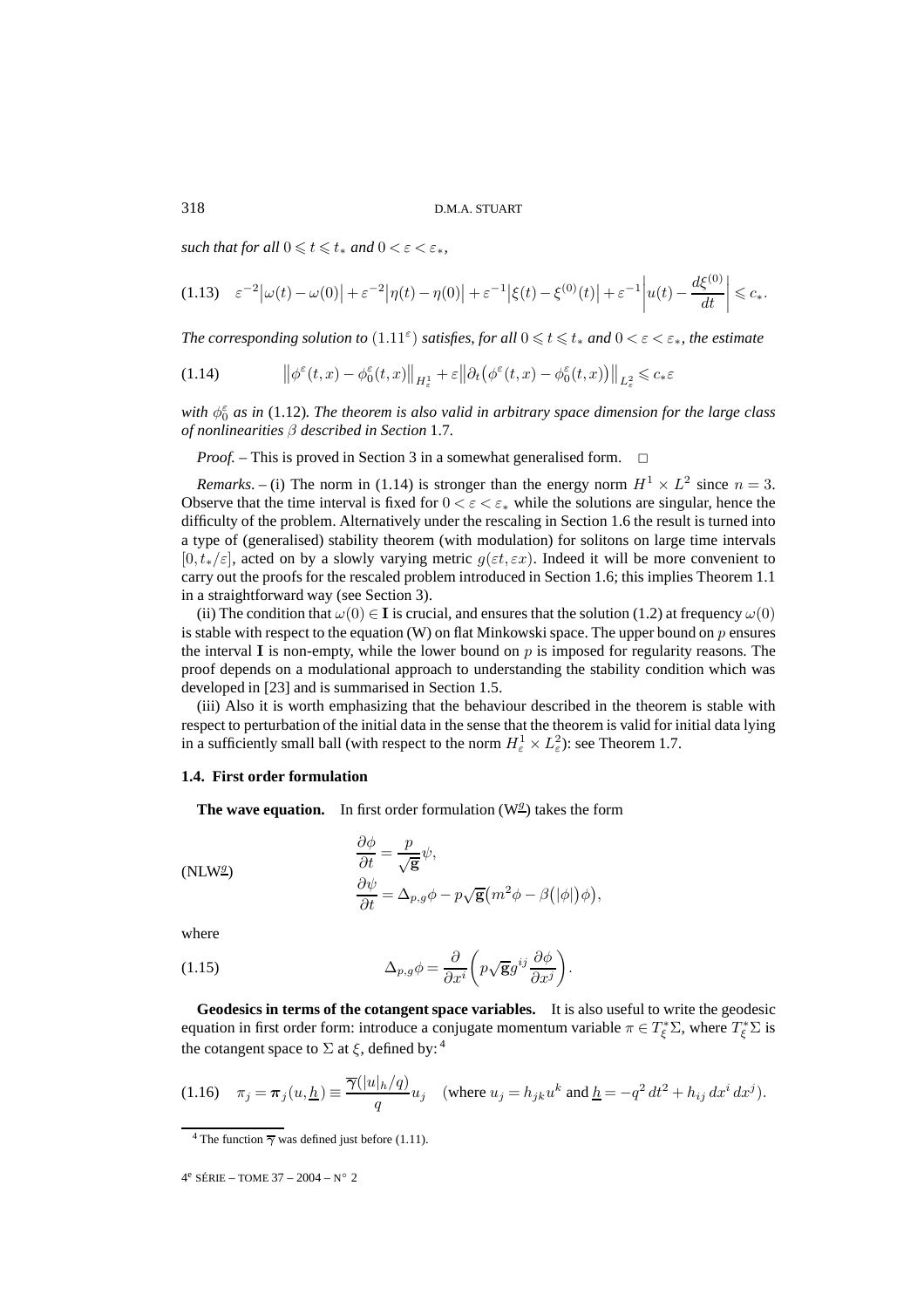$\mathit{such that for all } 0 \leqslant t \leqslant t_* \mathit{ and } 0 < \varepsilon < \varepsilon_*,$ 

$$
(1.13) \quad \varepsilon^{-2} \big| \omega(t) - \omega(0) \big| + \varepsilon^{-2} \big| \eta(t) - \eta(0) \big| + \varepsilon^{-1} \big| \xi(t) - \xi^{(0)}(t) \big| + \varepsilon^{-1} \big| u(t) - \frac{d\xi^{(0)}}{dt} \big| \leq c_*.
$$

*The corresponding solution to*  $(1.11^{\epsilon})$  *satisfies, for all*  $0 \le t \le t_*$  *and*  $0 < \varepsilon < \varepsilon_*$ *, the estimate* 

(1.14) 
$$
\left\|\phi^{\varepsilon}(t,x)-\phi^{\varepsilon}_{0}(t,x)\right\|_{H_{\varepsilon}^{1}}+\varepsilon\left\|\partial_{t}\left(\phi^{\varepsilon}(t,x)-\phi^{\varepsilon}_{0}(t,x)\right)\right\|_{L_{\varepsilon}^{2}}\leqslant c_{*}\varepsilon
$$

with  $\phi_0^{\varepsilon}$  as in (1.12). The theorem is also valid in arbitrary space dimension for the large class *of nonlinearities* β *described in Section* 1.7*.*

*Proof.* – This is proved in Section 3 in a somewhat generalised form. □

*Remarks*. – (i) The norm in (1.14) is stronger than the energy norm  $H^1 \times L^2$  since  $n = 3$ . Observe that the time interval is fixed for  $0 < \varepsilon < \varepsilon_*$  while the solutions are singular, hence the difficulty of the problem. Alternatively under the rescaling in Section 1.6 the result is turned into a type of (generalised) stability theorem (with modulation) for solitons on large time intervals  $[0, t_*/\varepsilon]$ , acted on by a slowly varying metric  $g(\varepsilon t, \varepsilon x)$ . Indeed it will be more convenient to carry out the proofs for the rescaled problem introduced in Section 1.6; this implies Theorem 1.1 in a straightforward way (see Section 3).

(ii) The condition that  $\omega(0) \in I$  is crucial, and ensures that the solution (1.2) at frequency  $\omega(0)$ is stable with respect to the equation (W) on flat Minkowski space. The upper bound on  $p$  ensures the interval **I** is non-empty, while the lower bound on  $p$  is imposed for regularity reasons. The proof depends on a modulational approach to understanding the stability condition which was developed in [23] and is summarised in Section 1.5.

(iii) Also it is worth emphasizing that the behaviour described in the theorem is stable with respect to perturbation of the initial data in the sense that the theorem is valid for initial data lying in a sufficiently small ball (with respect to the norm  $H^1_\varepsilon \times L^2_\varepsilon$ ): see Theorem 1.7.

# **1.4. First order formulation**

**The wave equation.** In first order formulation  $(W_2^g)$  takes the form

$$
\frac{\partial \phi}{\partial t} = \frac{p}{\sqrt{\mathbf{g}}} \psi,
$$
  
\n
$$
\frac{\partial \psi}{\partial t} = \Delta_{p,g} \phi - p \sqrt{\mathbf{g}} \left( m^2 \phi - \beta (|\phi|) \phi \right),
$$

where

(1.15) 
$$
\Delta_{p,g}\phi = \frac{\partial}{\partial x^i} \left( p \sqrt{\mathbf{g}} g^{ij} \frac{\partial \phi}{\partial x^j} \right).
$$

**Geodesics in terms of the cotangent space variables.** It is also useful to write the geodesic equation in first order form: introduce a conjugate momentum variable  $\pi \in T_{\xi}^* \Sigma$ , where  $T_{\xi}^* \Sigma$  is the cotangent space to  $\Sigma$  at  $\xi$ , defined by: <sup>4</sup>

$$
(1.16) \quad \pi_j = \pi_j(u, \underline{h}) \equiv \frac{\overline{\gamma}(|u|_h/q)}{q} u_j \quad \text{(where } u_j = h_{jk} u^k \text{ and } \underline{h} = -q^2 dt^2 + h_{ij} dx^i dx^j).
$$

<sup>&</sup>lt;sup>4</sup> The function  $\overline{\gamma}$  was defined just before (1.11).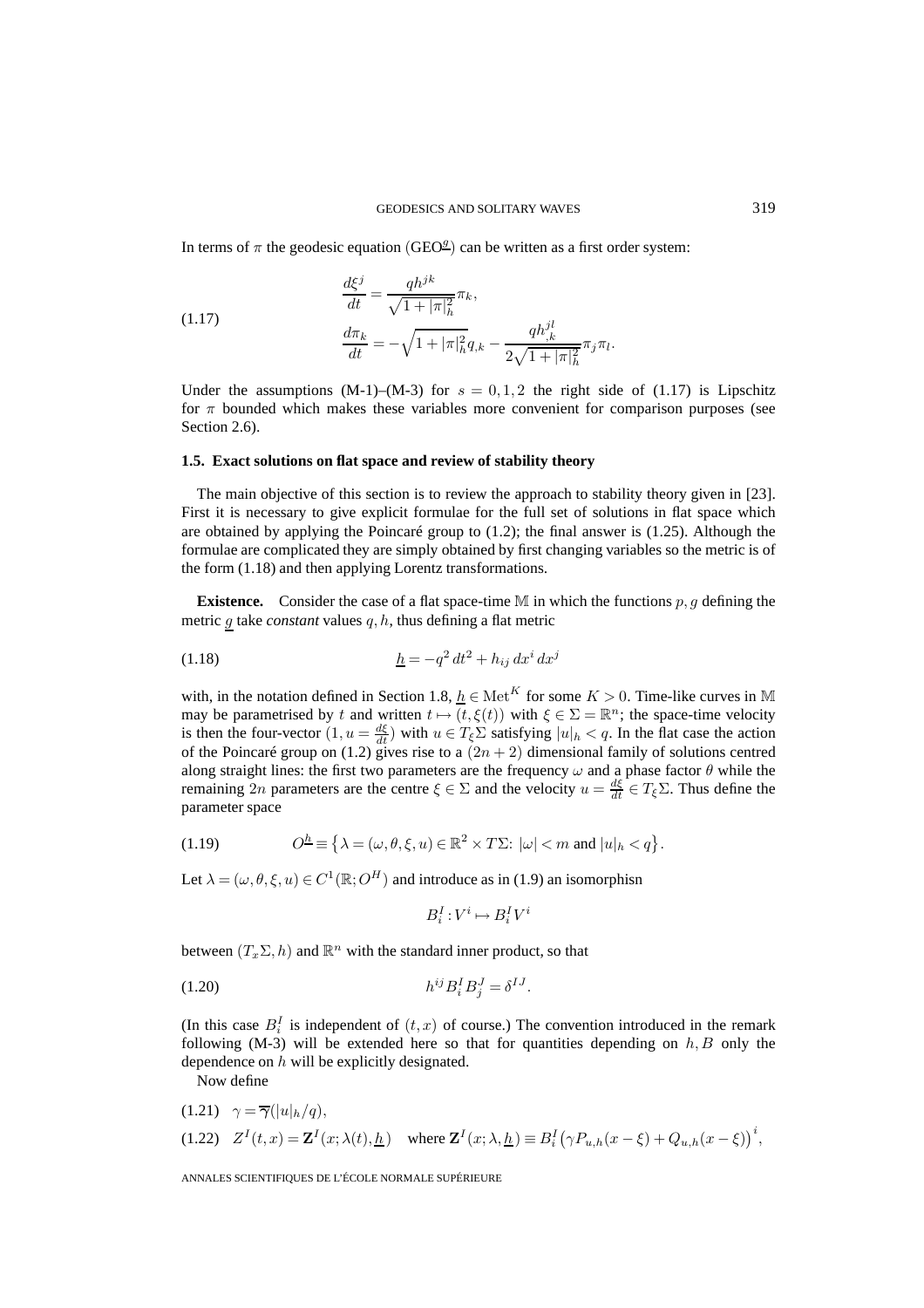In terms of  $\pi$  the geodesic equation (GEO<sup>g</sup>) can be written as a first order system:

(1.17) 
$$
\frac{d\xi^j}{dt} = \frac{qh^{jk}}{\sqrt{1 + |\pi|^2_h}} \pi_k,
$$

$$
\frac{d\pi_k}{dt} = -\sqrt{1 + |\pi|^2_h} q_{,k} - \frac{qh^{jl}_{,k}}{2\sqrt{1 + |\pi|^2_h}} \pi_j \pi_l.
$$

Under the assumptions (M-1)–(M-3) for  $s = 0, 1, 2$  the right side of (1.17) is Lipschitz for  $\pi$  bounded which makes these variables more convenient for comparison purposes (see Section 2.6).

# **1.5. Exact solutions on flat space and review of stability theory**

The main objective of this section is to review the approach to stability theory given in [23]. First it is necessary to give explicit formulae for the full set of solutions in flat space which are obtained by applying the Poincaré group to (1.2); the final answer is (1.25). Although the formulae are complicated they are simply obtained by first changing variables so the metric is of the form (1.18) and then applying Lorentz transformations.

**Existence.** Consider the case of a flat space-time  $M$  in which the functions  $p, q$  defining the metric  $g$  take *constant* values  $q, h$ , thus defining a flat metric

(1.18) 
$$
\underline{h} = -q^2 dt^2 + h_{ij} dx^i dx^j
$$

with, in the notation defined in Section 1.8,  $h \in \text{Met}^K$  for some  $K > 0$ . Time-like curves in M may be parametrised by t and written  $t \mapsto (t, \xi(t))$  with  $\xi \in \Sigma = \mathbb{R}^n$ ; the space-time velocity is then the four-vector  $(1, u = \frac{d\xi}{dt})$  with  $u \in T_{\xi} \Sigma$  satisfying  $|u|_h < q$ . In the flat case the action of the Poincaré group on (1.2) gives rise to a  $(2n + 2)$  dimensional family of solutions centred along straight lines: the first two parameters are the frequency  $\omega$  and a phase factor  $\theta$  while the remaining 2n parameters are the centre  $\xi \in \Sigma$  and the velocity  $u = \frac{d\xi}{dt} \in T_{\xi} \Sigma$ . Thus define the parameter space

(1.19) 
$$
O^{\underline{h}} \equiv \left\{ \lambda = (\omega, \theta, \xi, u) \in \mathbb{R}^2 \times T\Sigma : |\omega| < m \text{ and } |u|_h < q \right\}.
$$

Let  $\lambda = (\omega, \theta, \xi, u) \in C^1(\mathbb{R}; O^H)$  and introduce as in (1.9) an isomorphisn

$$
B_i^I: V^i \mapsto B_i^I V^i
$$

between  $(T_x \Sigma, h)$  and  $\mathbb{R}^n$  with the standard inner product, so that

$$
(1.20) \qquad \qquad h^{ij} B_i^I B_j^J = \delta^{IJ}.
$$

(In this case  $B_i^I$  is independent of  $(t, x)$  of course.) The convention introduced in the remark following (M-3) will be extended here so that for quantities depending on  $h, B$  only the dependence on h will be explicitly designated.

Now define

(1.21) 
$$
\gamma = \overline{\gamma}(|u|h/q)
$$
,  
(1.22)  $Z^I(t,x) = \mathbf{Z}^I(x;\lambda(t),\underline{h})$  where  $\mathbf{Z}^I(x;\lambda,\underline{h}) \equiv B_i^I(\gamma P_{u,h}(x-\xi) + Q_{u,h}(x-\xi))^i$ ,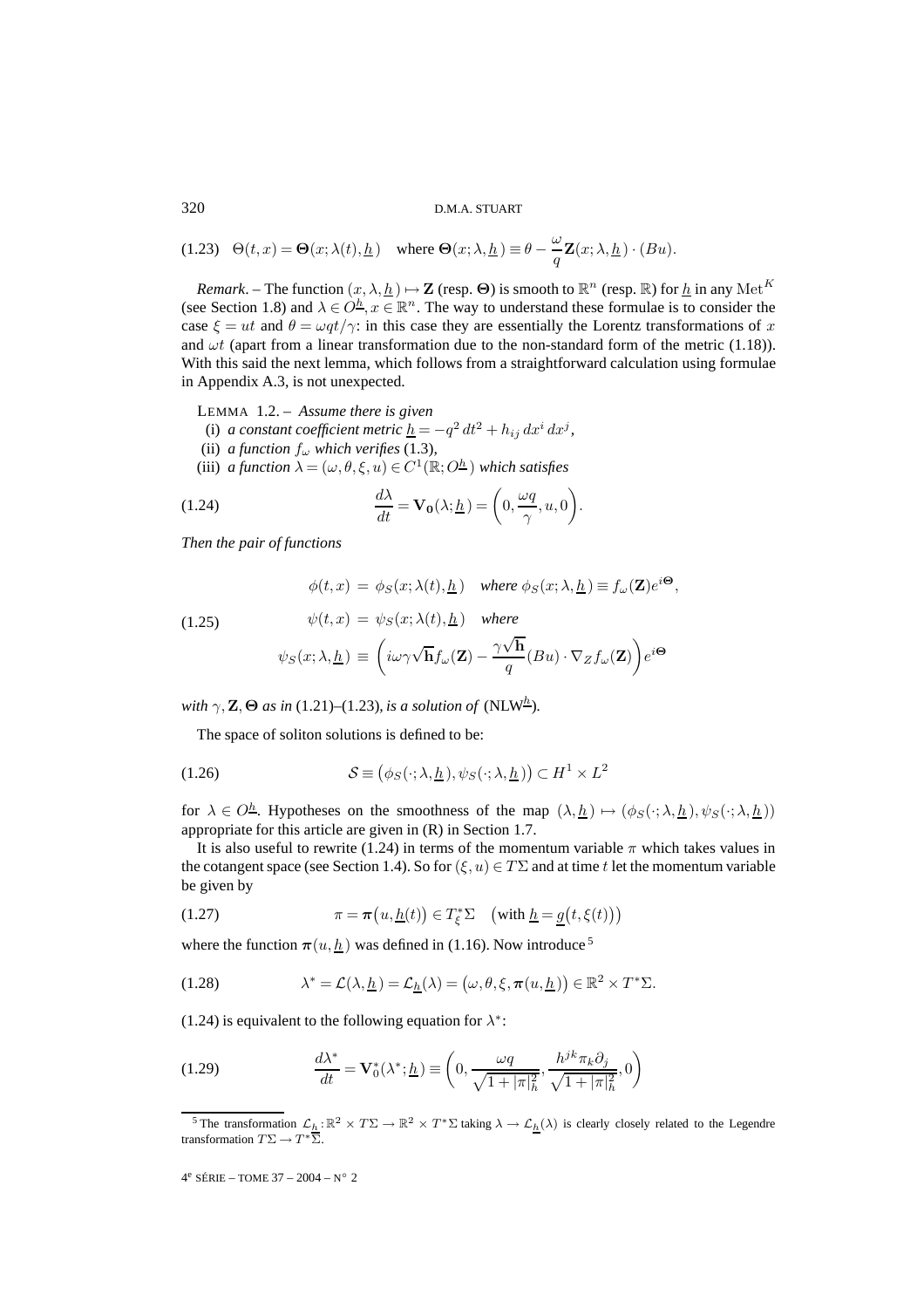320 D.M.A. STUART

(1.23)  $\Theta(t, x) = \Theta(x; \lambda(t), \underline{h})$  where  $\Theta(x; \lambda, \underline{h}) \equiv \theta - \frac{\omega}{q} \mathbf{Z}(x; \lambda, \underline{h}) \cdot (Bu)$ .

*Remark*. – The function  $(x, \lambda, \underline{h}) \mapsto \mathbf{Z}$  (resp.  $\Theta$ ) is smooth to  $\mathbb{R}^n$  (resp.  $\mathbb{R}$ ) for  $\underline{h}$  in any Met<sup>K</sup> (see Section 1.8) and  $\lambda \in O^{\underline{h}}$ ,  $x \in \mathbb{R}^n$ . The way to understand these formulae is to consider the case  $\xi = ut$  and  $\theta = \omega q t / \gamma$ : in this case they are essentially the Lorentz transformations of x and  $\omega t$  (apart from a linear transformation due to the non-standard form of the metric (1.18)). With this said the next lemma, which follows from a straightforward calculation using formulae in Appendix A.3, is not unexpected.

LEMMA 1.2. – *Assume there is given*

- (i) *a constant coefficient metric*  $\underline{h} = -q^2 dt^2 + h_{ij} dx^i dx^j$ ,
- (ii) *a function*  $f_{\omega}$  *which verifies* (1.3),
- (iii) *a function*  $\lambda = (\omega, \theta, \xi, u) \in C^1(\mathbb{R}; O^{\underline{h}})$  *which satisfies*

(1.24) 
$$
\frac{d\lambda}{dt} = \mathbf{V_0}(\lambda; \underline{h}) = \left(0, \frac{\omega q}{\gamma}, u, 0\right).
$$

*Then the pair of functions*

 $\phi(t, x) = \phi_S(x; \lambda(t), \underline{h})$  *where*  $\phi_S(x; \lambda, \underline{h}) \equiv f_\omega(\mathbf{Z})e^{i\Theta}$ ,

(1.25)

$$
\psi_S(x; \lambda, \underline{h}) \equiv \left(i\omega \gamma \sqrt{\mathbf{h}} f_{\omega}(\mathbf{Z}) - \frac{\gamma \sqrt{\mathbf{h}}}{q} (Bu) \cdot \nabla_Z f_{\omega}(\mathbf{Z})\right) e^{i\Theta}
$$

*with*  $\gamma$ , **Z**,  $\Theta$  *as in* (1.21)–(1.23)*, is a solution of* (NLW<sup>h</sup>)*.* 

The space of soliton solutions is defined to be:

(1.26) 
$$
\mathcal{S} \equiv (\phi_S(\cdot; \lambda, \underline{h}), \psi_S(\cdot; \lambda, \underline{h})) \subset H^1 \times L^2
$$

 $\psi(t, x) = \psi_s(x; \lambda(t), h)$  where

for  $\lambda \in O^{\underline{h}}$ . Hypotheses on the smoothness of the map  $(\lambda, \underline{h}) \mapsto (\phi_S(\cdot; \lambda, \underline{h}), \psi_S(\cdot; \lambda, \underline{h}))$ appropriate for this article are given in (R) in Section 1.7.

It is also useful to rewrite (1.24) in terms of the momentum variable  $\pi$  which takes values in the cotangent space (see Section 1.4). So for  $(\xi, u) \in T\Sigma$  and at time t let the momentum variable be given by

(1.27) 
$$
\pi = \pi(u, \underline{h}(t)) \in T_{\xi}^* \Sigma \quad \left(\text{with } \underline{h} = \underline{g}(t, \xi(t))\right)
$$

where the function  $\pi(u, h)$  was defined in (1.16). Now introduce <sup>5</sup>

(1.28) 
$$
\lambda^* = \mathcal{L}(\lambda, \underline{h}) = \mathcal{L}_{\underline{h}}(\lambda) = (\omega, \theta, \xi, \pi(u, \underline{h})) \in \mathbb{R}^2 \times T^* \Sigma.
$$

(1.24) is equivalent to the following equation for  $\lambda^*$ :

(1.29) 
$$
\frac{d\lambda^*}{dt} = \mathbf{V}_0^*(\lambda^*; \underline{h}) \equiv \left(0, \frac{\omega q}{\sqrt{1+|\pi|^2_h}}, \frac{h^{jk}\pi_k \partial_j}{\sqrt{1+|\pi|^2_h}}, 0\right)
$$

<sup>&</sup>lt;sup>5</sup> The transformation  $\mathcal{L}_h : \mathbb{R}^2 \times T\Sigma \to \mathbb{R}^2 \times T^* \Sigma$  taking  $\lambda \to \mathcal{L}_h(\lambda)$  is clearly closely related to the Legendre transformation  $T\Sigma \to T^*Y$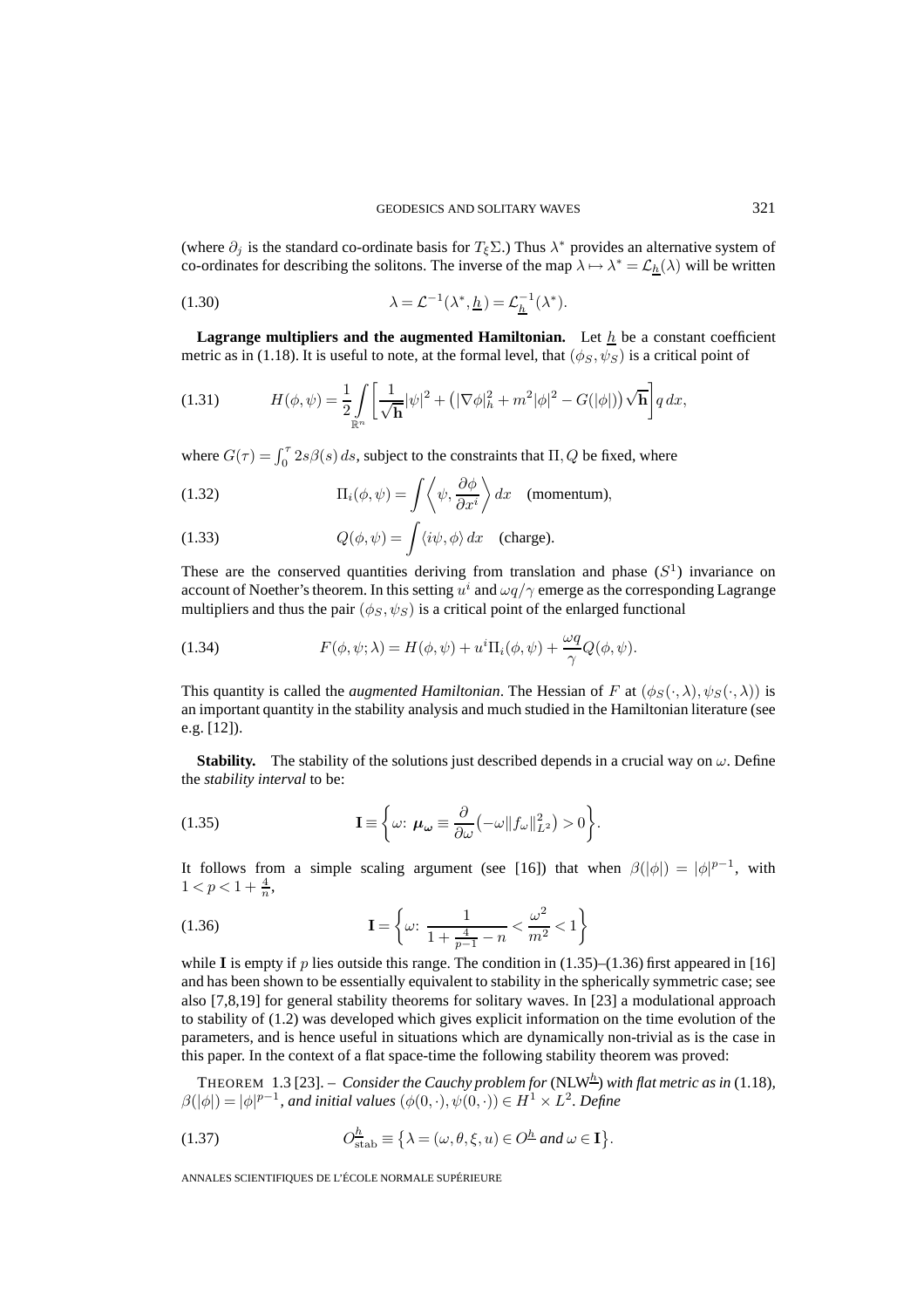(where  $\partial_j$  is the standard co-ordinate basis for  $T_{\xi} \Sigma$ .) Thus  $\lambda^*$  provides an alternative system of co-ordinates for describing the solitons. The inverse of the map  $\lambda \mapsto \lambda^* = \mathcal{L}_h(\lambda)$  will be written

(1.30) 
$$
\lambda = \mathcal{L}^{-1}(\lambda^*, \underline{h}) = \mathcal{L}_{\underline{h}}^{-1}(\lambda^*).
$$

**Lagrange multipliers and the augmented Hamiltonian.** Let  $h$  be a constant coefficient metric as in (1.18). It is useful to note, at the formal level, that  $(\phi_S, \psi_S)$  is a critical point of

(1.31) 
$$
H(\phi, \psi) = \frac{1}{2} \int_{\mathbb{R}^n} \left[ \frac{1}{\sqrt{\mathbf{h}}} |\psi|^2 + (|\nabla \phi|_h^2 + m^2 |\phi|^2 - G(|\phi|)) \sqrt{\mathbf{h}} \right] q \, dx,
$$

where  $G(\tau) = \int_0^{\tau} 2s\beta(s) ds$ , subject to the constraints that  $\Pi, Q$  be fixed, where

(1.32) 
$$
\Pi_i(\phi, \psi) = \int \left\langle \psi, \frac{\partial \phi}{\partial x^i} \right\rangle dx \quad \text{(momentum)},
$$

(1.33) 
$$
Q(\phi, \psi) = \int \langle i\psi, \phi \rangle dx \quad \text{(charge)}.
$$

These are the conserved quantities deriving from translation and phase  $(S<sup>1</sup>)$  invariance on account of Noether's theorem. In this setting  $u^i$  and  $\omega q/\gamma$  emerge as the corresponding Lagrange multipliers and thus the pair  $(\phi_S, \psi_S)$  is a critical point of the enlarged functional

(1.34) 
$$
F(\phi, \psi; \lambda) = H(\phi, \psi) + u^i \Pi_i(\phi, \psi) + \frac{\omega q}{\gamma} Q(\phi, \psi).
$$

This quantity is called the *augmented Hamiltonian*. The Hessian of F at  $(\phi_S(\cdot, \lambda), \psi_S(\cdot, \lambda))$  is an important quantity in the stability analysis and much studied in the Hamiltonian literature (see e.g. [12]).

**Stability.** The stability of the solutions just described depends in a crucial way on  $\omega$ . Define the *stability interval* to be:

(1.35) 
$$
\mathbf{I} \equiv \left\{ \omega : \boldsymbol{\mu}_{\boldsymbol{\omega}} \equiv \frac{\partial}{\partial \omega} \left( -\omega \| f_{\omega} \|_{L^2}^2 \right) > 0 \right\}.
$$

It follows from a simple scaling argument (see [16]) that when  $\beta(|\phi|) = |\phi|^{p-1}$ , with  $1 < p < 1 + \frac{4}{n},$ 

(1.36) 
$$
\mathbf{I} = \left\{ \omega : \frac{1}{1 + \frac{4}{p-1} - n} < \frac{\omega^2}{m^2} < 1 \right\}
$$

while **I** is empty if  $p$  lies outside this range. The condition in  $(1.35)$ – $(1.36)$  first appeared in [16] and has been shown to be essentially equivalent to stability in the spherically symmetric case; see also [7,8,19] for general stability theorems for solitary waves. In [23] a modulational approach to stability of (1.2) was developed which gives explicit information on the time evolution of the parameters, and is hence useful in situations which are dynamically non-trivial as is the case in this paper. In the context of a flat space-time the following stability theorem was proved:

THEOREM 1.3 [23]. – *Consider the Cauchy problem for* (NLW<sup>h</sup>) with flat metric as in (1.18),  $\beta(|\phi|) = |\phi|^{p-1}$ , and initial values  $(\phi(0,\cdot), \psi(0,\cdot)) \in H^1 \times L^2$ . Define

(1.37) 
$$
O_{\text{stab}}^{\underline{h}} \equiv \left\{ \lambda = (\omega, \theta, \xi, u) \in O^{\underline{h}} \text{ and } \omega \in \mathbf{I} \right\}.
$$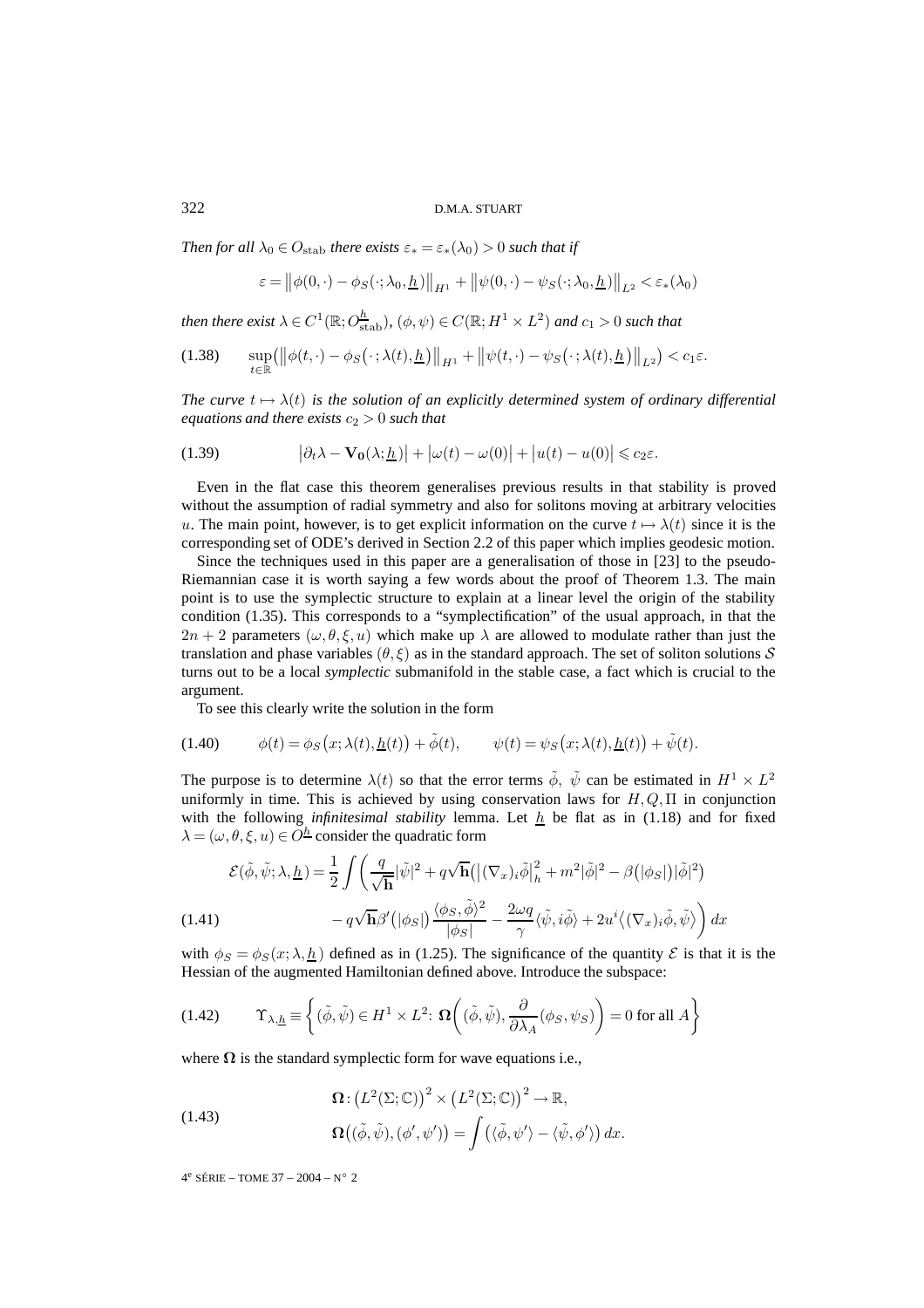#### 322 D.M.A. STUART

*Then for all*  $\lambda_0 \in O_{\text{stab}}$  *there exists*  $\varepsilon_* = \varepsilon_*(\lambda_0) > 0$  *such that if* 

$$
\varepsilon = ||\phi(0,\cdot) - \phi_S(\cdot;\lambda_0,\underline{h})||_{H^1} + ||\psi(0,\cdot) - \psi_S(\cdot;\lambda_0,\underline{h})||_{L^2} < \varepsilon_*(\lambda_0)
$$

then there exist  $\lambda \in C^1(\mathbb{R}; O_{\text{stab}}^{\overline{h}})$ ,  $(\phi, \psi) \in C(\mathbb{R}; H^1 \times L^2)$  and  $c_1 > 0$  such that

$$
(1.38) \qquad \sup_{t\in\mathbb{R}} \left( \left\| \phi(t,\cdot) - \phi_S(\cdot;\lambda(t),\underline{h}) \right\|_{H^1} + \left\| \psi(t,\cdot) - \psi_S(\cdot;\lambda(t),\underline{h}) \right\|_{L^2} \right) < c_1 \varepsilon.
$$

*The curve*  $t \mapsto \lambda(t)$  *is the solution of an explicitly determined system of ordinary differential equations and there exists*  $c_2 > 0$  *such that* 

(1.39) 
$$
\left|\partial_t \lambda - \mathbf{V_0}(\lambda; \underline{h})\right| + \left|\omega(t) - \omega(0)\right| + \left|u(t) - u(0)\right| \leq c_2 \varepsilon.
$$

Even in the flat case this theorem generalises previous results in that stability is proved without the assumption of radial symmetry and also for solitons moving at arbitrary velocities u. The main point, however, is to get explicit information on the curve  $t \mapsto \lambda(t)$  since it is the corresponding set of ODE's derived in Section 2.2 of this paper which implies geodesic motion.

Since the techniques used in this paper are a generalisation of those in [23] to the pseudo-Riemannian case it is worth saying a few words about the proof of Theorem 1.3. The main point is to use the symplectic structure to explain at a linear level the origin of the stability condition (1.35). This corresponds to a "symplectification" of the usual approach, in that the  $2n + 2$  parameters  $(\omega, \theta, \xi, u)$  which make up  $\lambda$  are allowed to modulate rather than just the translation and phase variables  $(\theta, \xi)$  as in the standard approach. The set of soliton solutions S turns out to be a local *symplectic* submanifold in the stable case, a fact which is crucial to the argument.

To see this clearly write the solution in the form

(1.40) 
$$
\phi(t) = \phi_S(x; \lambda(t), \underline{h}(t)) + \tilde{\phi}(t), \qquad \psi(t) = \psi_S(x; \lambda(t), \underline{h}(t)) + \tilde{\psi}(t).
$$

The purpose is to determine  $\lambda(t)$  so that the error terms  $\tilde{\phi}$ ,  $\tilde{\psi}$  can be estimated in  $H^1 \times L^2$ uniformly in time. This is achieved by using conservation laws for  $H, Q, \Pi$  in conjunction with the following *infinitesimal stability* lemma. Let  $h$  be flat as in (1.18) and for fixed  $\lambda = (\omega, \theta, \xi, u) \in O^{\underline{h}}$  consider the quadratic form

$$
\mathcal{E}(\tilde{\phi}, \tilde{\psi}; \lambda, \underline{h}) = \frac{1}{2} \int \left( \frac{q}{\sqrt{\mathbf{h}}} |\tilde{\psi}|^2 + q\sqrt{\mathbf{h}} (|(\nabla_x)_i \tilde{\phi}|_h^2 + m^2 |\tilde{\phi}|^2 - \beta (|\phi_S|) |\tilde{\phi}|^2) - q\sqrt{\mathbf{h}} \beta' (|\phi_S|) \frac{\langle \phi_S, \tilde{\phi} \rangle^2}{|\phi_S|} - \frac{2\omega q}{\gamma} \langle \tilde{\psi}, i \tilde{\phi} \rangle + 2u^i \langle (\nabla_x)_i \tilde{\phi}, \tilde{\psi} \rangle \right) dx
$$

with  $\phi_S = \phi_S(x; \lambda, h)$  defined as in (1.25). The significance of the quantity  $\mathcal E$  is that it is the Hessian of the augmented Hamiltonian defined above. Introduce the subspace:

(1.42) 
$$
\Upsilon_{\lambda,\underline{h}} \equiv \left\{ (\tilde{\phi}, \tilde{\psi}) \in H^1 \times L^2 : \Omega \left( (\tilde{\phi}, \tilde{\psi}), \frac{\partial}{\partial \lambda_A} (\phi_S, \psi_S) \right) = 0 \text{ for all } A \right\}
$$

where  $\Omega$  is the standard symplectic form for wave equations i.e.,

(1.43)  
\n
$$
\Omega: (L^{2}(\Sigma; \mathbb{C}))^{2} \times (L^{2}(\Sigma; \mathbb{C}))^{2} \to \mathbb{R},
$$
\n
$$
\Omega((\tilde{\phi}, \tilde{\psi}), (\phi', \psi')) = \int (\langle \tilde{\phi}, \psi' \rangle - \langle \tilde{\psi}, \phi' \rangle) dx.
$$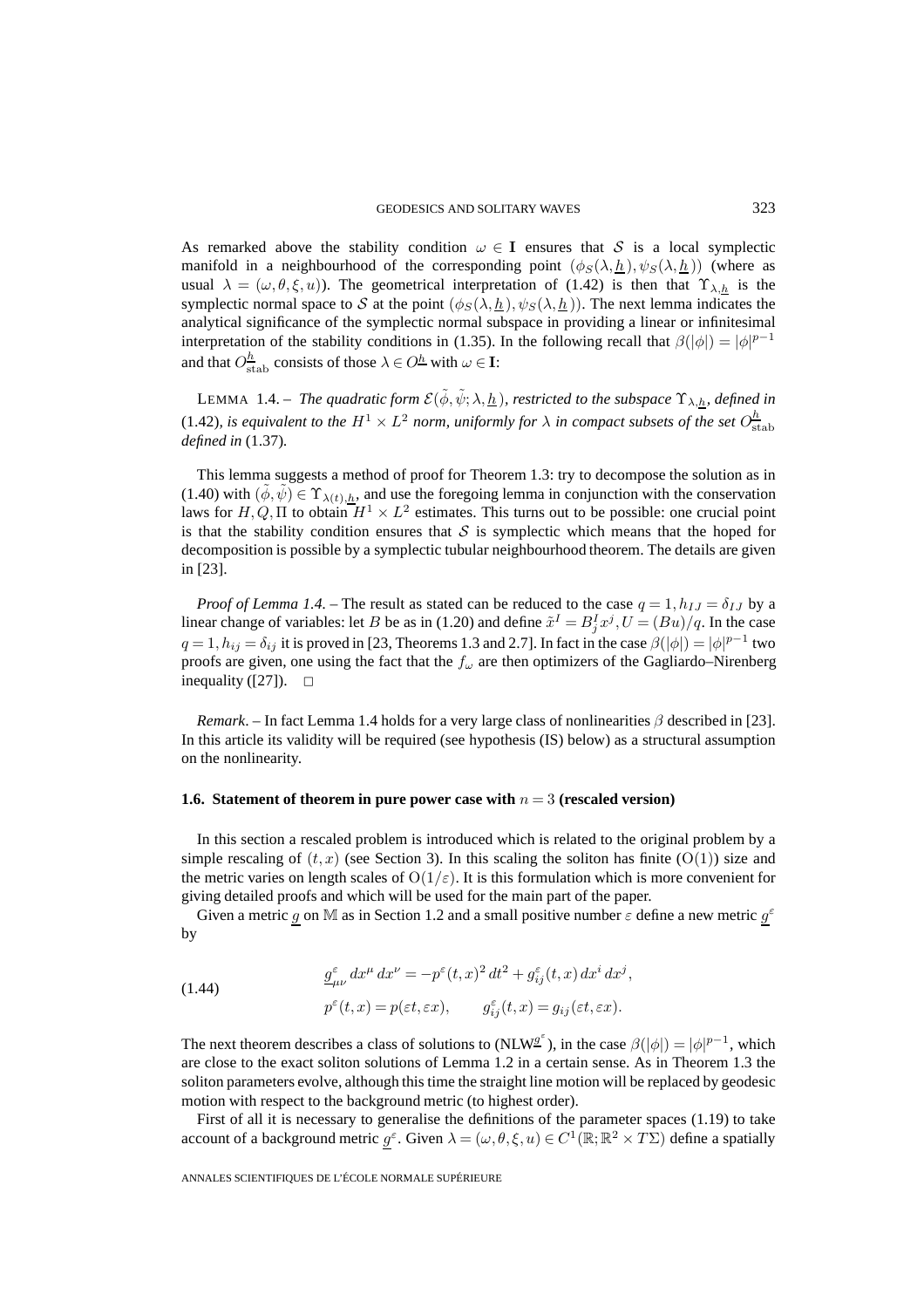As remarked above the stability condition  $\omega \in I$  ensures that S is a local symplectic manifold in a neighbourhood of the corresponding point  $(\phi_S(\lambda, h), \psi_S(\lambda, h))$  (where as usual  $\lambda = (\omega, \theta, \xi, u)$ ). The geometrical interpretation of (1.42) is then that  $\Upsilon_{\lambda, h}$  is the symplectic normal space to S at the point  $(\phi_S(\lambda, h), \psi_S(\lambda, h))$ . The next lemma indicates the analytical significance of the symplectic normal subspace in providing a linear or infinitesimal interpretation of the stability conditions in (1.35). In the following recall that  $\beta(|\phi|) = |\phi|^{p-1}$ and that  $O_{\text{stab}}^{\underline{h}}$  consists of those  $\lambda \in O^{\underline{h}}$  with  $\omega \in \mathbf{I}$ :

LEMMA 1.4. – *The quadratic form*  $\mathcal{E}(\tilde{\phi}, \tilde{\psi}; \lambda, \underline{h})$ *, restricted to the subspace*  $\Upsilon_{\lambda, h}$ *, defined in* (1.42)*, is equivalent to the*  $H^1 \times L^2$  *norm, uniformly for*  $\lambda$  *in compact subsets of the set*  $O_{\text{stab}}^h$ *defined in* (1.37)*.*

This lemma suggests a method of proof for Theorem 1.3: try to decompose the solution as in (1.40) with  $(\phi, \psi) \in \Upsilon_{\lambda(t),h}$ , and use the foregoing lemma in conjunction with the conservation laws for  $H, Q, \Pi$  to obtain  $H^1 \times L^2$  estimates. This turns out to be possible: one crucial point is that the stability condition ensures that  $S$  is symplectic which means that the hoped for decomposition is possible by a symplectic tubular neighbourhood theorem. The details are given in [23].

*Proof of Lemma 1.4.* – The result as stated can be reduced to the case  $q = 1, h_{IJ} = \delta_{IJ}$  by a linear change of variables: let B be as in (1.20) and define  $\tilde{x}^I = B_j^I x^j$ ,  $U = (Bu)/q$ . In the case  $q=1, h_{ij}=\delta_{ij}$  it is proved in [23, Theorems 1.3 and 2.7]. In fact in the case  $\beta(|\phi|)=|\phi|^{p-1}$  two proofs are given, one using the fact that the  $f_{\omega}$  are then optimizers of the Gagliardo–Nirenberg inequality ([27]).  $\Box$ 

*Remark.* – In fact Lemma 1.4 holds for a very large class of nonlinearities  $\beta$  described in [23]. In this article its validity will be required (see hypothesis (IS) below) as a structural assumption on the nonlinearity.

#### **1.6. Statement of theorem in pure power case with**  $n = 3$  (rescaled version)

In this section a rescaled problem is introduced which is related to the original problem by a simple rescaling of  $(t, x)$  (see Section 3). In this scaling the soliton has finite  $(O(1))$  size and the metric varies on length scales of  $O(1/\epsilon)$ . It is this formulation which is more convenient for giving detailed proofs and which will be used for the main part of the paper.

Given a metric g on M as in Section 1.2 and a small positive number  $\varepsilon$  define a new metric  $g^{\varepsilon}$ by

(1.44) 
$$
\frac{g_{\mu\nu}^{\varepsilon}}{dx^{\mu}} dx^{\mu} dx^{\nu} = -p^{\varepsilon}(t, x)^{2} dt^{2} + g_{ij}^{\varepsilon}(t, x) dx^{i} dx^{j},
$$

$$
p^{\varepsilon}(t, x) = p(\varepsilon t, \varepsilon x), \qquad g_{ij}^{\varepsilon}(t, x) = g_{ij}(\varepsilon t, \varepsilon x).
$$

The next theorem describes a class of solutions to (NLW<sup>ge</sup>), in the case  $\beta(|\phi|) = |\phi|^{p-1}$ , which are close to the exact soliton solutions of Lemma 1.2 in a certain sense. As in Theorem 1.3 the soliton parameters evolve, although this time the straight line motion will be replaced by geodesic motion with respect to the background metric (to highest order).

First of all it is necessary to generalise the definitions of the parameter spaces (1.19) to take account of a background metric  $g^{\epsilon}$ . Given  $\lambda = (\omega, \theta, \xi, u) \in C^{1}(\mathbb{R}; \mathbb{R}^{2} \times T\Sigma)$  define a spatially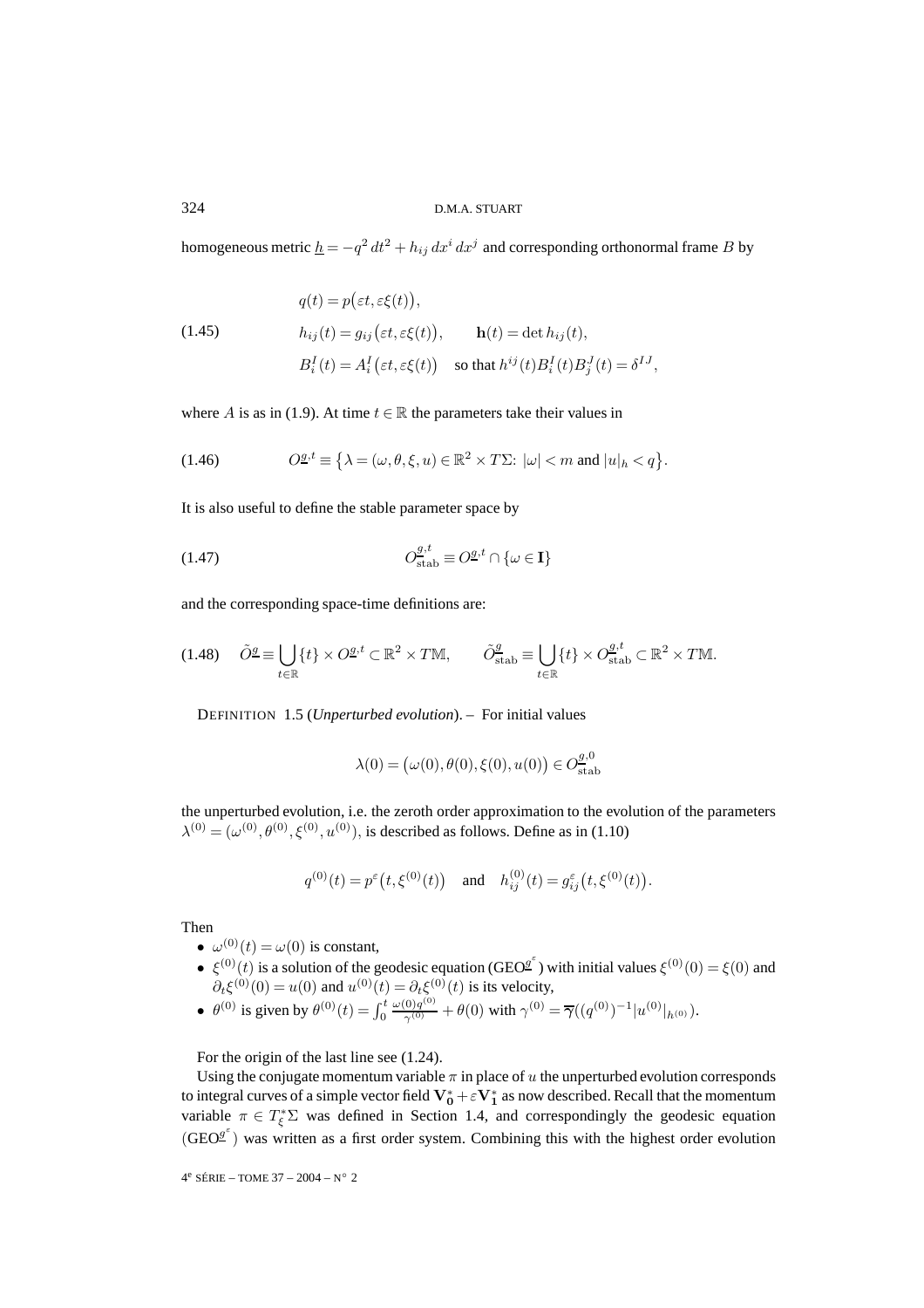homogeneous metric  $\underline{h} = -q^2 dt^2 + h_{ij} dx^i dx^j$  and corresponding orthonormal frame B by

(1.45)  
\n
$$
q(t) = p(\varepsilon t, \varepsilon \xi(t)),
$$
\n
$$
h_{ij}(t) = g_{ij}(\varepsilon t, \varepsilon \xi(t)),
$$
\n
$$
h(t) = \det h_{ij}(t),
$$
\n
$$
B_i^I(t) = A_i^I(\varepsilon t, \varepsilon \xi(t))
$$
\nso that  $h^{ij}(t)B_i^I(t)B_j^J(t) = \delta^{IJ}$ ,

where A is as in (1.9). At time  $t \in \mathbb{R}$  the parameters take their values in

(1.46) 
$$
O^{\underline{g},t} \equiv \left\{ \lambda = (\omega,\theta,\xi,u) \in \mathbb{R}^2 \times T\Sigma: |\omega| < m \text{ and } |u|_h < q \right\}.
$$

It is also useful to define the stable parameter space by

(1.47) 
$$
O_{\text{stab}}^{\mathcal{g},t} \equiv O_{\text{stab}}^{\mathcal{g},t} \cap \{\omega \in \mathbf{I}\}
$$

and the corresponding space-time definitions are:

$$
(1.48)\quad \tilde{O}^{\underline{g}} \equiv \bigcup_{t \in \mathbb{R}} \{t\} \times O^{\underline{g}, t} \subset \mathbb{R}^2 \times T\mathbb{M}, \qquad \tilde{O}^{\underline{g}}_{\text{stab}} \equiv \bigcup_{t \in \mathbb{R}} \{t\} \times O^{\underline{g}, t}_{\text{stab}} \subset \mathbb{R}^2 \times T\mathbb{M}.
$$

DEFINITION 1.5 (*Unperturbed evolution*). – For initial values

$$
\lambda(0) = (\omega(0), \theta(0), \xi(0), u(0)) \in O_{\text{stab}}^{g,0}
$$

the unperturbed evolution, i.e. the zeroth order approximation to the evolution of the parameters  $\lambda^{(0)} = (\omega^{(0)}, \theta^{(0)}, \xi^{(0)}, u^{(0)})$ , is described as follows. Define as in (1.10)

$$
q^{(0)}(t) = p^{\varepsilon}\big(t, \xi^{(0)}(t)\big) \quad \text{and} \quad h_{ij}^{(0)}(t) = g_{ij}^{\varepsilon}\big(t, \xi^{(0)}(t)\big).
$$

Then

- $\omega^{(0)}(t) = \omega(0)$  is constant,
- $\epsilon(\xi^{(0)}(t))$  is a solution of the geodesic equation (GEO<sup>g</sup>) with initial values  $\xi^{(0)}(0) = \xi(0)$  and  $\partial_t \xi^{(0)}(0) = u(0)$  and  $u^{(0)}(t) = \partial_t \xi^{(0)}(t)$  is its velocity,
- $\theta^{(0)}$  is given by  $\theta^{(0)}(t) = \int_0^t$  $\frac{\omega(0)q^{(0)}}{\gamma^{(0)}} + \theta(0)$  with  $\gamma^{(0)} = \overline{\gamma}((q^{(0)})^{-1}|u^{(0)}|_{h^{(0)}})$ .

For the origin of the last line see (1.24).

Using the conjugate momentum variable  $\pi$  in place of u the unperturbed evolution corresponds to integral curves of a simple vector field  $V_0^* + \varepsilon V_1^*$  as now described. Recall that the momentum variable  $\pi \in T_{\xi}^* \Sigma$  was defined in Section 1.4, and correspondingly the geodesic equation  $(GEO<sup>g<sup>\epsilon</sup></sup>$ ) was written as a first order system. Combining this with the highest order evolution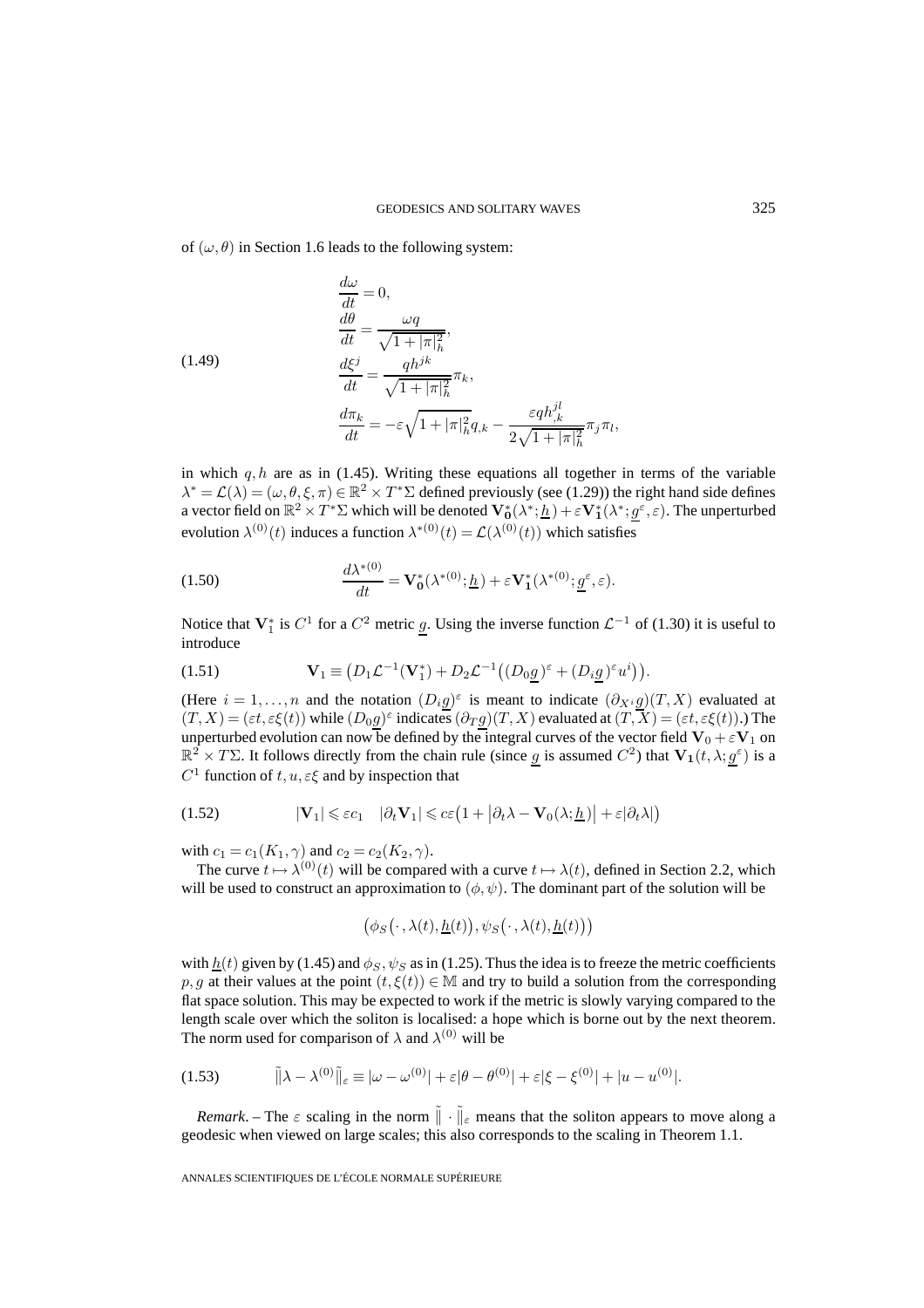of  $(\omega, \theta)$  in Section 1.6 leads to the following system:

(1.49)  
\n
$$
\frac{d\omega}{dt} = 0,
$$
\n
$$
\frac{d\theta}{dt} = \frac{\omega q}{\sqrt{1 + |\pi|_h^2}},
$$
\n
$$
\frac{d\xi^j}{dt} = \frac{qh^{jk}}{\sqrt{1 + |\pi|_h^2}} \pi_k,
$$
\n
$$
\frac{d\pi_k}{dt} = -\varepsilon \sqrt{1 + |\pi|_h^2} q_{,k} - \frac{\varepsilon q h_{,k}^{jl}}{2\sqrt{1 + |\pi|_h^2}} \pi_j \pi_l,
$$

in which  $q, h$  are as in (1.45). Writing these equations all together in terms of the variable  $\lambda^* = \mathcal{L}(\lambda) = (\omega, \theta, \xi, \pi) \in \mathbb{R}^2 \times T^* \Sigma$  defined previously (see (1.29)) the right hand side defines a vector field on  $\mathbb{R}^2 \times T^* \Sigma$  which will be denoted  $\mathbf{V}_0^*(\lambda^*; \underline{h}) + \varepsilon \mathbf{V}_1^*(\lambda^*; \underline{g}^\varepsilon, \varepsilon)$ . The unperturbed evolution  $\lambda^{(0)}(t)$  induces a function  $\lambda^{*(0)}(t) = \mathcal{L}(\lambda^{(0)}(t))$  which satisfies

(1.50) 
$$
\frac{d\lambda^{*(0)}}{dt} = \mathbf{V}_0^*(\lambda^{*(0)}; \underline{h}) + \varepsilon \mathbf{V}_1^*(\lambda^{*(0)}; \underline{g}^\varepsilon, \varepsilon).
$$

Notice that  $V_1^*$  is  $C^1$  for a  $C^2$  metric  $\underline{g}$ . Using the inverse function  $\mathcal{L}^{-1}$  of (1.30) it is useful to introduce

(1.51) 
$$
\mathbf{V}_1 \equiv (D_1 \mathcal{L}^{-1}(\mathbf{V}_1^*) + D_2 \mathcal{L}^{-1}((D_0 \underline{g})^{\varepsilon} + (D_i \underline{g})^{\varepsilon} u^i)).
$$

(Here  $i = 1, \ldots, n$  and the notation  $(D_i g)^\varepsilon$  is meant to indicate  $(\partial_{X_i} g)(T, X)$  evaluated at  $(T, X) = (\varepsilon t, \varepsilon \xi(t))$  while  $(D_0 g)^\varepsilon$  indicates  $(\partial_T g)(T, X)$  evaluated at  $(T, X) = (\varepsilon t, \varepsilon \xi(t))$ .) The unperturbed evolution can now be defined by the integral curves of the vector field  $V_0 + \varepsilon V_1$  on  $\mathbb{R}^2 \times T\Sigma$ . It follows directly from the chain rule (since g is assumed  $C^2$ ) that  $\mathbf{V}_1(t, \lambda; g^{\varepsilon})$  is a  $C^1$  function of  $t, u, \varepsilon \xi$  and by inspection that

(1.52) 
$$
|\mathbf{V}_1| \leqslant \varepsilon c_1 \quad |\partial_t \mathbf{V}_1| \leqslant c \varepsilon \left(1 + |\partial_t \lambda - \mathbf{V}_0(\lambda; \underline{h})| + \varepsilon |\partial_t \lambda|\right)
$$

with  $c_1 = c_1(K_1, \gamma)$  and  $c_2 = c_2(K_2, \gamma)$ .

The curve  $t \mapsto \lambda^{(0)}(t)$  will be compared with a curve  $t \mapsto \lambda(t)$ , defined in Section 2.2, which will be used to construct an approximation to  $(\phi, \psi)$ . The dominant part of the solution will be

$$
(\phi_S(\cdot,\lambda(t),\underline{h}(t)),\psi_S(\cdot,\lambda(t),\underline{h}(t)))
$$

with  $h(t)$  given by (1.45) and  $\phi_S$ ,  $\psi_S$  as in (1.25). Thus the idea is to freeze the metric coefficients p, g at their values at the point  $(t, \xi(t)) \in M$  and try to build a solution from the corresponding flat space solution. This may be expected to work if the metric is slowly varying compared to the length scale over which the soliton is localised: a hope which is borne out by the next theorem. The norm used for comparison of  $\lambda$  and  $\lambda^{(0)}$  will be

$$
(1.53) \qquad \qquad |\!|\tilde{\lambda} - \lambda^{(0)}|\!|\!|_{\varepsilon} \equiv |\omega - \omega^{(0)}| + \varepsilon |\theta - \theta^{(0)}| + \varepsilon |\xi - \xi^{(0)}| + |u - u^{(0)}|.
$$

*Remark*. – The  $\varepsilon$  scaling in the norm  $\|\cdot\|_{\varepsilon}$  means that the soliton appears to move along a geodesic when viewed on large scales; this also corresponds to the scaling in Theorem 1.1.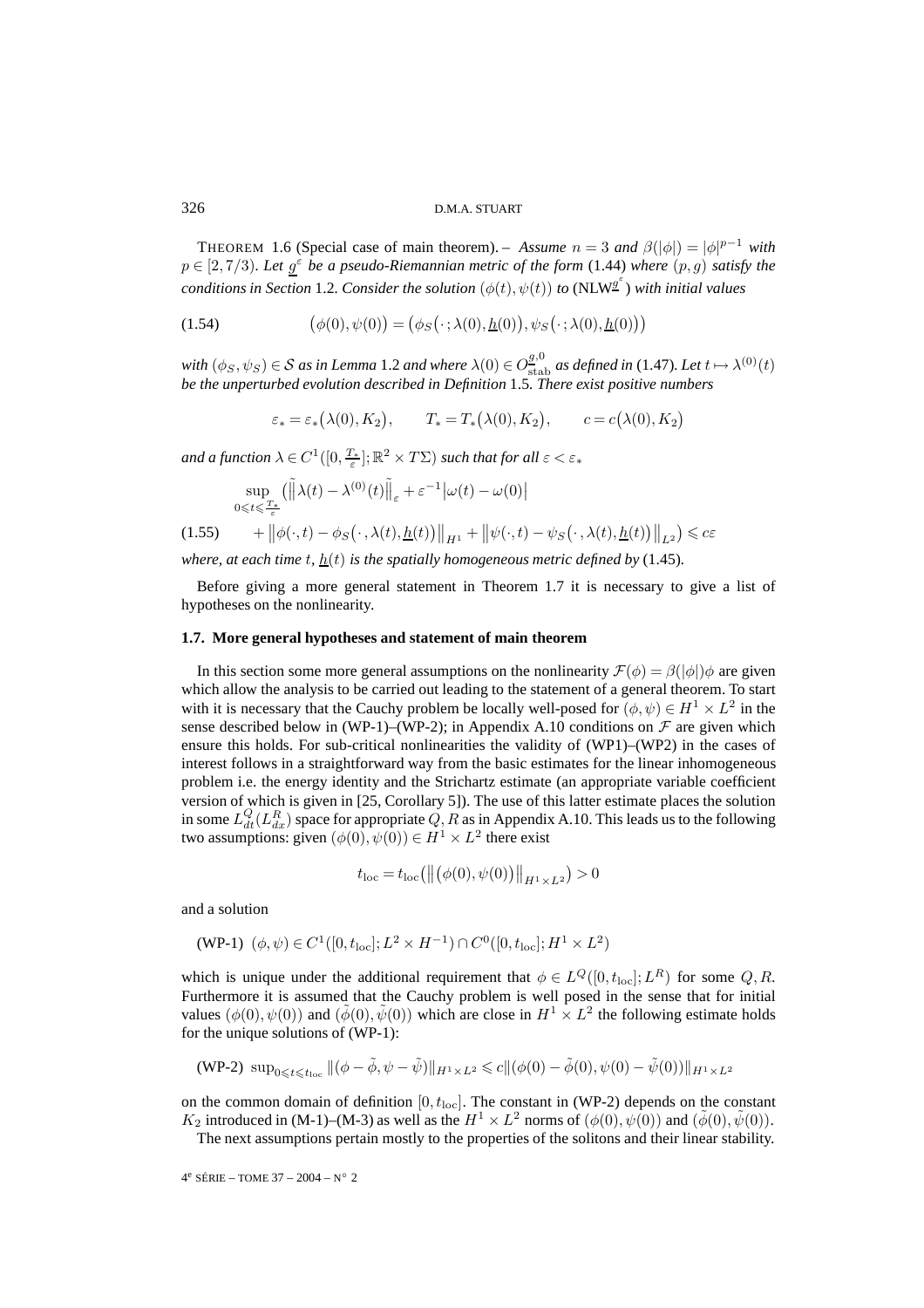THEOREM 1.6 (Special case of main theorem). – *Assume*  $n = 3$  *and*  $\beta(|\phi|) = |\phi|^{p-1}$  *with*  $p \in [2, 7/3)$ *. Let*  $g^{\epsilon}$  *be a pseudo-Riemannian metric of the form* (1.44) *where*  $(p, g)$  *satisfy the conditions in Section* 1.2*. Consider the solution*  $(\phi(t), \psi(t))$  *to* (NLW<sup>ge)</sup> with initial values

(1.54) 
$$
(\phi(0), \psi(0)) = (\phi_S(\cdot; \lambda(0), \underline{h}(0)), \psi_S(\cdot; \lambda(0), \underline{h}(0)))
$$

 $with (\phi_S, \psi_S) \in S$  *as in Lemma* 1.2 *and where*  $\lambda(0) \in O_{\text{stab}}^{g,0}$  *as defined in* (1.47)*. Let*  $t \mapsto \lambda^{(0)}(t)$ *be the unperturbed evolution described in Definition* 1.5*. There exist positive numbers*

$$
\varepsilon_* = \varepsilon_* (\lambda(0), K_2), \qquad T_* = T_* (\lambda(0), K_2), \qquad c = c (\lambda(0), K_2)
$$

and a function  $\lambda \in C^1([0,\frac{T_*}{\varepsilon}];{\mathbb R}^2\times T\Sigma)$  such that for all  $\varepsilon < \varepsilon_*$ 

$$
\sup_{0\leq t\leq \frac{T_*}{\varepsilon}}\left(\left\|\lambda(t)-\lambda^{(0)}(t)\right\|_{\varepsilon}+\varepsilon^{-1}\left|\omega(t)-\omega(0)\right| \right)
$$

$$
(1.55) \t+ ||\phi(\cdot,t) - \phi_S(\cdot,\lambda(t),\underline{h}(t))||_{H^1} + ||\psi(\cdot,t) - \psi_S(\cdot,\lambda(t),\underline{h}(t))||_{L^2}) \leq c\varepsilon
$$

*where, at each time t,*  $h(t)$  *is the spatially homogeneous metric defined by* (1.45)*.* 

Before giving a more general statement in Theorem 1.7 it is necessary to give a list of hypotheses on the nonlinearity.

# **1.7. More general hypotheses and statement of main theorem**

In this section some more general assumptions on the nonlinearity  $\mathcal{F}(\phi) = \beta(|\phi|) \phi$  are given which allow the analysis to be carried out leading to the statement of a general theorem. To start with it is necessary that the Cauchy problem be locally well-posed for  $(\phi, \psi) \in H^1 \times L^2$  in the sense described below in (WP-1)–(WP-2); in Appendix A.10 conditions on  $\mathcal F$  are given which ensure this holds. For sub-critical nonlinearities the validity of (WP1)–(WP2) in the cases of interest follows in a straightforward way from the basic estimates for the linear inhomogeneous problem i.e. the energy identity and the Strichartz estimate (an appropriate variable coefficient version of which is given in [25, Corollary 5]). The use of this latter estimate places the solution in some  $L_{dt}^{Q}(L_{dx}^{R})$  space for appropriate  $Q, R$  as in Appendix A.10. This leads us to the following two assumptions: given  $(\phi(0), \psi(0)) \in H^1 \times L^2$  there exist

$$
t_{\rm loc} = t_{\rm loc} (|| (\phi(0), \psi(0)) ||_{H^1 \times L^2}) > 0
$$

and a solution

(WP-1) 
$$
(\phi, \psi) \in C^1([0, t_{\text{loc}}]; L^2 \times H^{-1}) \cap C^0([0, t_{\text{loc}}]; H^1 \times L^2)
$$

which is unique under the additional requirement that  $\phi \in L^Q([0, t_{\text{loc}}]; L^R)$  for some  $Q, R$ . Furthermore it is assumed that the Cauchy problem is well posed in the sense that for initial values  $(\phi(0), \psi(0))$  and  $(\phi(0), \tilde{\psi}(0))$  which are close in  $H^1 \times L^2$  the following estimate holds for the unique solutions of (WP-1):

(WP-2) sup<sub>0\leq t\leq t\_{loc}</sub> 
$$
||(\phi - \tilde{\phi}, \psi - \tilde{\psi})||_{H^1 \times L^2} \leq c||(\phi(0) - \tilde{\phi}(0), \psi(0) - \tilde{\psi}(0))||_{H^1 \times L^2}
$$

on the common domain of definition  $[0, t<sub>loc</sub>]$ . The constant in (WP-2) depends on the constant  $K_2$  introduced in (M-1)–(M-3) as well as the  $H^1 \times L^2$  norms of  $(\phi(0), \psi(0))$  and  $(\tilde{\phi}(0), \tilde{\psi}(0))$ .

The next assumptions pertain mostly to the properties of the solitons and their linear stability.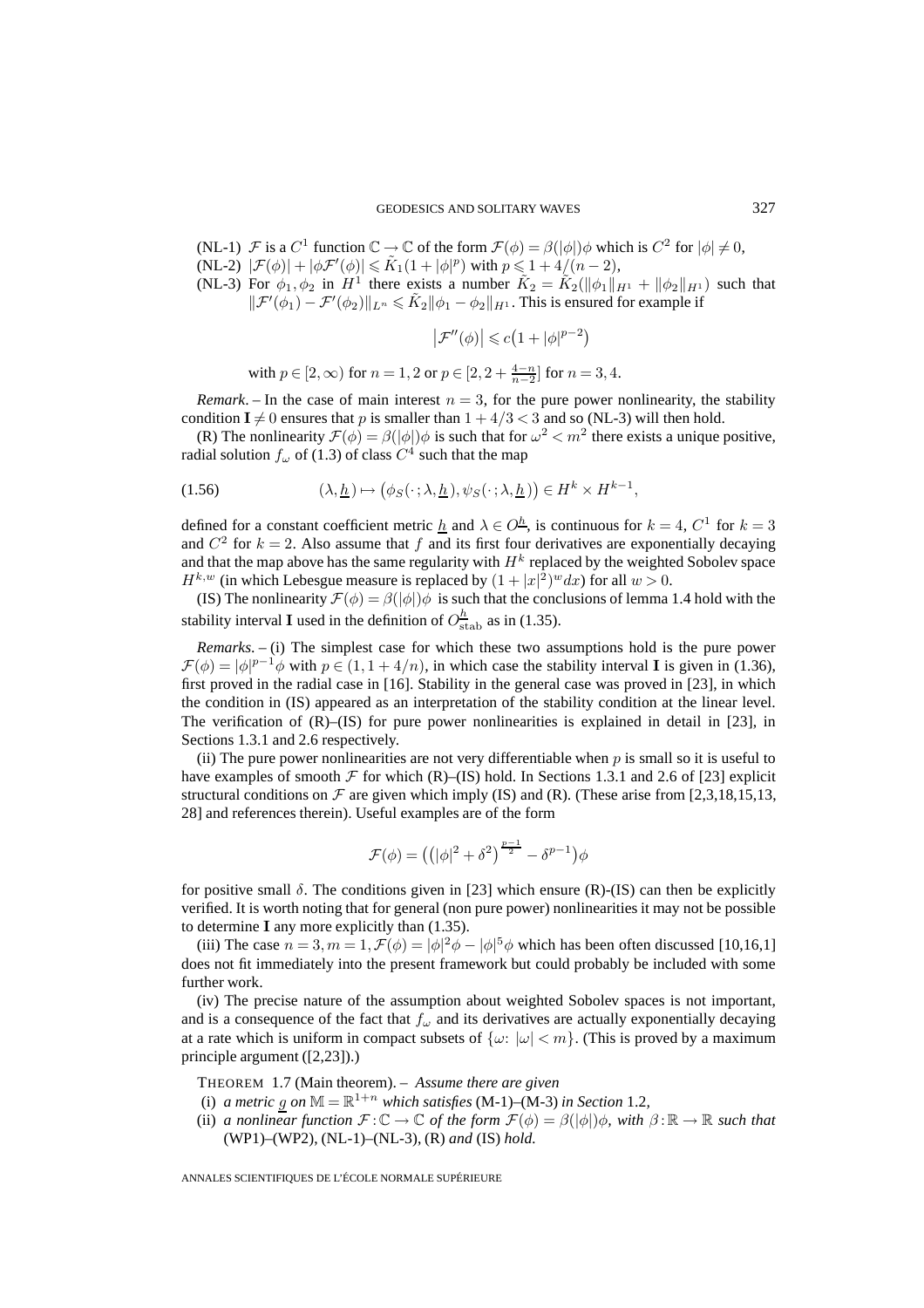- (NL-1)  $\mathcal F$  is a  $C^1$  function  $\mathbb C \to \mathbb C$  of the form  $\mathcal F(\phi) = \beta(|\phi|) \phi$  which is  $C^2$  for  $|\phi| \neq 0$ ,  $(NL-2)$   $|\mathcal{F}(\phi)| + |\phi \mathcal{F}'(\phi)| \leq \tilde{K}_1(1+|\phi|^p)$  with  $p \leq 1+4/(n-2)$ ,
- (NL-3) For  $\phi_1, \phi_2$  in  $H^1$  there exists a number  $\tilde{K}_2 = \tilde{K}_2(||\phi_1||_{H^1} + ||\phi_2||_{H^1})$  such that  $\|\mathcal{F}'(\phi_1) - \mathcal{F}'(\phi_2)\|_{L^n} \leq \tilde{K}_2 \|\phi_1 - \phi_2\|_{H^1}$ . This is ensured for example if

$$
\left|\mathcal{F}''(\phi)\right| \leqslant c\big(1+|\phi|^{p-2}\big)
$$

with 
$$
p \in [2, \infty)
$$
 for  $n = 1, 2$  or  $p \in [2, 2 + \frac{4-n}{n-2}]$  for  $n = 3, 4$ .

*Remark*. – In the case of main interest  $n = 3$ , for the pure power nonlinearity, the stability condition  $I \neq 0$  ensures that p is smaller than  $1 + 4/3 < 3$  and so (NL-3) will then hold.

(R) The nonlinearity  $\mathcal{F}(\phi) = \beta(|\phi|) \phi$  is such that for  $\omega^2 < m^2$  there exists a unique positive, radial solution  $f_{\omega}$  of (1.3) of class  $C^4$  such that the map

(1.56) 
$$
(\lambda, \underline{h}) \mapsto (\phi_S(\cdot; \lambda, \underline{h}), \psi_S(\cdot; \lambda, \underline{h})) \in H^k \times H^{k-1},
$$

defined for a constant coefficient metric  $\underline{h}$  and  $\lambda \in O^{\underline{h}}$ , is continuous for  $k = 4$ ,  $C^1$  for  $k = 3$ and  $C^2$  for  $k = 2$ . Also assume that f and its first four derivatives are exponentially decaying and that the map above has the same regularity with  $H<sup>k</sup>$  replaced by the weighted Sobolev space  $H^{k,w}$  (in which Lebesgue measure is replaced by  $(1+|x|^2)^w dx$ ) for all  $w > 0$ .

(IS) The nonlinearity  $\mathcal{F}(\phi) = \beta(|\phi|) \phi$  is such that the conclusions of lemma 1.4 hold with the stability interval **I** used in the definition of  $O_{\text{stab}}^h$  as in (1.35).

*Remarks*. – (i) The simplest case for which these two assumptions hold is the pure power  $\mathcal{F}(\phi) = |\phi|^{p-1}\phi$  with  $p \in (1, 1+4/n)$ , in which case the stability interval **I** is given in (1.36), first proved in the radial case in [16]. Stability in the general case was proved in [23], in which the condition in (IS) appeared as an interpretation of the stability condition at the linear level. The verification of  $(R)$ – $(IS)$  for pure power nonlinearities is explained in detail in [23], in Sections 1.3.1 and 2.6 respectively.

(ii) The pure power nonlinearities are not very differentiable when  $p$  is small so it is useful to have examples of smooth  $\mathcal F$  for which (R)–(IS) hold. In Sections 1.3.1 and 2.6 of [23] explicit structural conditions on  $\mathcal F$  are given which imply (IS) and (R). (These arise from [2,3,18,15,13, 28] and references therein). Useful examples are of the form

$$
\mathcal{F}(\phi) = ((|\phi|^2 + \delta^2)^{\frac{p-1}{2}} - \delta^{p-1})\phi
$$

for positive small  $\delta$ . The conditions given in [23] which ensure (R)-(IS) can then be explicitly verified. It is worth noting that for general (non pure power) nonlinearities it may not be possible to determine **I** any more explicitly than (1.35).

(iii) The case  $n = 3, m = 1, \mathcal{F}(\phi) = |\phi|^2 \phi - |\phi|^5 \phi$  which has been often discussed [10,16,1] does not fit immediately into the present framework but could probably be included with some further work.

(iv) The precise nature of the assumption about weighted Sobolev spaces is not important, and is a consequence of the fact that  $f_{\omega}$  and its derivatives are actually exponentially decaying at a rate which is uniform in compact subsets of  $\{\omega: |\omega| < m\}$ . (This is proved by a maximum principle argument ([2,23]).)

THEOREM 1.7 (Main theorem). – *Assume there are given*

- (i) *a metric* g on  $M = \mathbb{R}^{1+n}$  which satisfies (M-1)–(M-3) in Section 1.2,
- (ii) *a nonlinear function*  $\mathcal{F} : \mathbb{C} \to \mathbb{C}$  *of the form*  $\mathcal{F}(\phi) = \beta(|\phi|) \phi$ *, with*  $\beta : \mathbb{R} \to \mathbb{R}$  *such that* (WP1)–(WP2), (NL-1)–(NL-3), (R) *and* (IS) *hold.*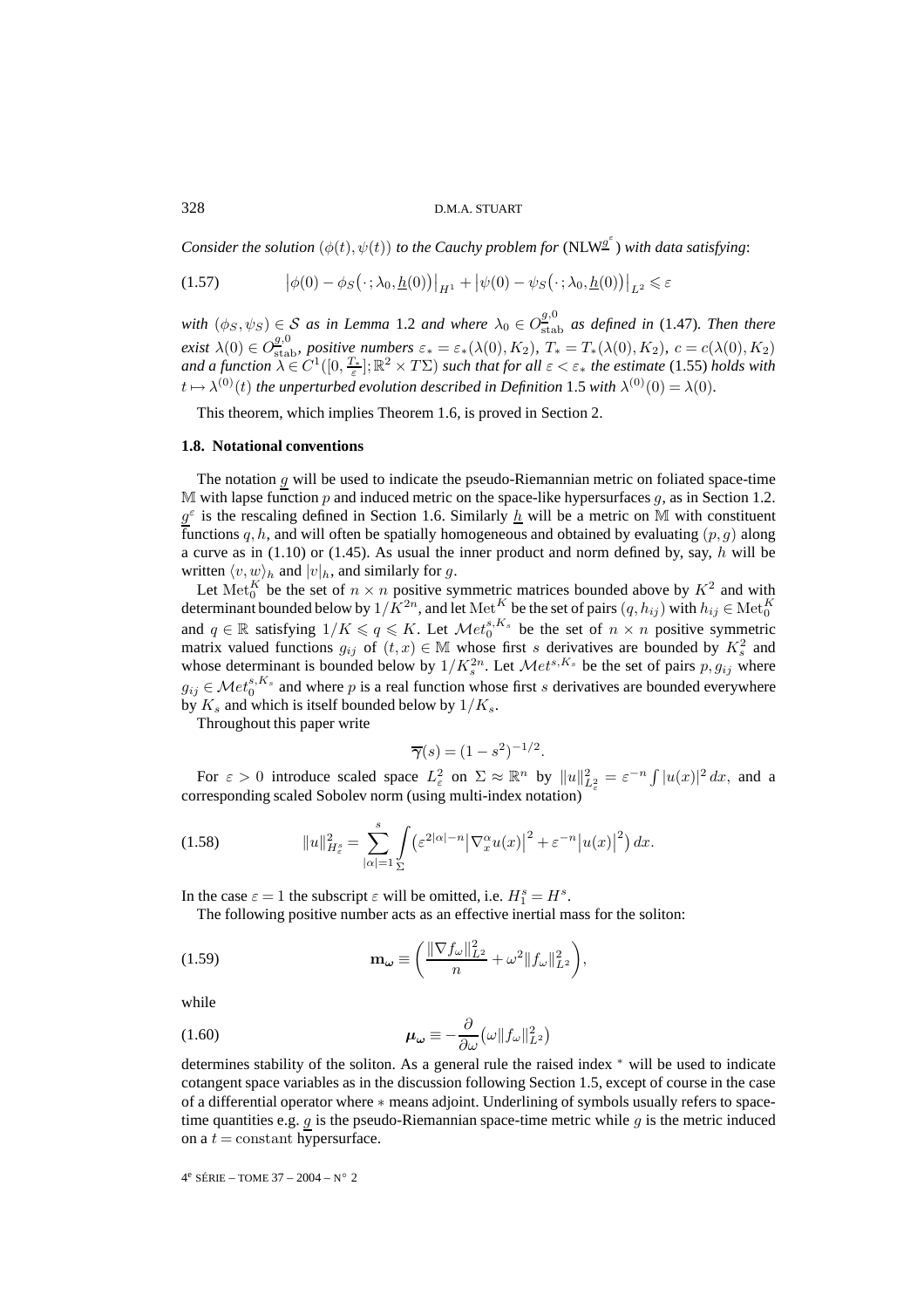#### 328 D.M.A. STUART

*Consider the solution*  $(\phi(t), \psi(t))$  *to the Cauchy problem for* (NLW<sup>g'</sup>) *with data satisfying*:

$$
(1.57) \qquad \left| \phi(0) - \phi_S(\cdot; \lambda_0, \underline{h}(0)) \right|_{H^1} + \left| \psi(0) - \psi_S(\cdot; \lambda_0, \underline{h}(0)) \right|_{L^2} \leq \varepsilon
$$

*with*  $(\phi_S, \psi_S) \in S$  *as in Lemma* 1.2 *and where*  $\lambda_0 \in O_{\text{stab}}^{g,0}$  *as defined in* (1.47)*. Then there exist*  $\lambda(0) \in O^{g,0}_{\text{stab}}$ *, positive numbers*  $\varepsilon_* = \varepsilon_*(\lambda(0), K_2)$ *,*  $T_* = T_*(\lambda(0), K_2)$ *, c* =  $c(\lambda(0), K_2)$ *and a function*  $\lambda \in C^1([0, \frac{T_*}{\varepsilon}]; \mathbb{R}^2 \times T\Sigma)$  *such that for all*  $\varepsilon < \varepsilon_*$  *the estimate* (1.55) *holds with*  $t \mapsto \lambda^{(0)}(t)$  *the unperturbed evolution described in Definition* 1.5 *with*  $\lambda^{(0)}(0) = \lambda(0)$ *.* 

This theorem, which implies Theorem 1.6, is proved in Section 2.

#### **1.8. Notational conventions**

The notation  $g$  will be used to indicate the pseudo-Riemannian metric on foliated space-time M with lapse function  $p$  and induced metric on the space-like hypersurfaces  $g$ , as in Section 1.2.  $g^{\varepsilon}$  is the rescaling defined in Section 1.6. Similarly  $\underline{h}$  will be a metric on M with constituent functions q, h, and will often be spatially homogeneous and obtained by evaluating  $(p, q)$  along a curve as in  $(1.10)$  or  $(1.45)$ . As usual the inner product and norm defined by, say, h will be written  $\langle v, w \rangle_h$  and  $|v|_h$ , and similarly for g.

Let  ${\rm Met}_0^K$  be the set of  $n \times n$  positive symmetric matrices bounded above by  $K^2$  and with determinant bounded below by  $1/\bar{K}^{2n}$ , and let Met<sup>K</sup> be the set of pairs  $(q, h_{ij})$  with  $h_{ij} \in \text{Met}^K_0$  and  $q \in \mathbb{R}$  satisfying  $1/K \leq q \leq K$ . Let  $\mathcal{M}et_0^{s,K_s}$  be the set of  $n \times n$  positive symmetric matrix valued functions  $g_{ij}$  of  $(t, x) \in \mathbb{M}$  whose first s derivatives are bounded by  $K_s^2$  and whose determinant is bounded below by  $1/K_s^{2n}$ . Let  $\mathcal{M}et^{s,K_s}$  be the set of pairs  $p, g_{ij}$  where  $g_{ij} \in \mathcal{M}et_0^{s,K_s}$  and where p is a real function whose first s derivatives are bounded everywhere by  $K_s$  and which is itself bounded below by  $1/K_s$ .

Throughout this paper write

$$
\overline{\gamma}(s) = (1 - s^2)^{-1/2}.
$$

For  $\varepsilon > 0$  introduce scaled space  $L^2_{\varepsilon}$  on  $\Sigma \approx \mathbb{R}^n$  by  $||u||_{L^2_{\varepsilon}}^2 = \varepsilon^{-n} \int |u(x)|^2 dx$ , and a corresponding scaled Sobolev norm (using multi-index notation)

(1.58) 
$$
||u||_{H_{\varepsilon}^{s}}^{2} = \sum_{|\alpha|=1}^{s} \int_{\Sigma} \left( \varepsilon^{2|\alpha|-n} \left| \nabla_{x}^{\alpha} u(x) \right|^{2} + \varepsilon^{-n} \left| u(x) \right|^{2} \right) dx.
$$

In the case  $\varepsilon = 1$  the subscript  $\varepsilon$  will be omitted, i.e.  $H_1^s = H^s$ .

The following positive number acts as an effective inertial mass for the soliton:

(1.59) 
$$
\mathbf{m}_{\omega} \equiv \left( \frac{\|\nabla f_{\omega}\|_{L^2}^2}{n} + \omega^2 \|f_{\omega}\|_{L^2}^2 \right),
$$

while

(1.60) 
$$
\mu_{\omega} \equiv -\frac{\partial}{\partial \omega} (\omega \| f_{\omega} \|_{L^2}^2)
$$

determines stability of the soliton. As a general rule the raised index <sup>∗</sup> will be used to indicate cotangent space variables as in the discussion following Section 1.5, except of course in the case of a differential operator where ∗ means adjoint. Underlining of symbols usually refers to spacetime quantities e.g.  $g$  is the pseudo-Riemannian space-time metric while  $g$  is the metric induced on a  $t =$  constant hypersurface.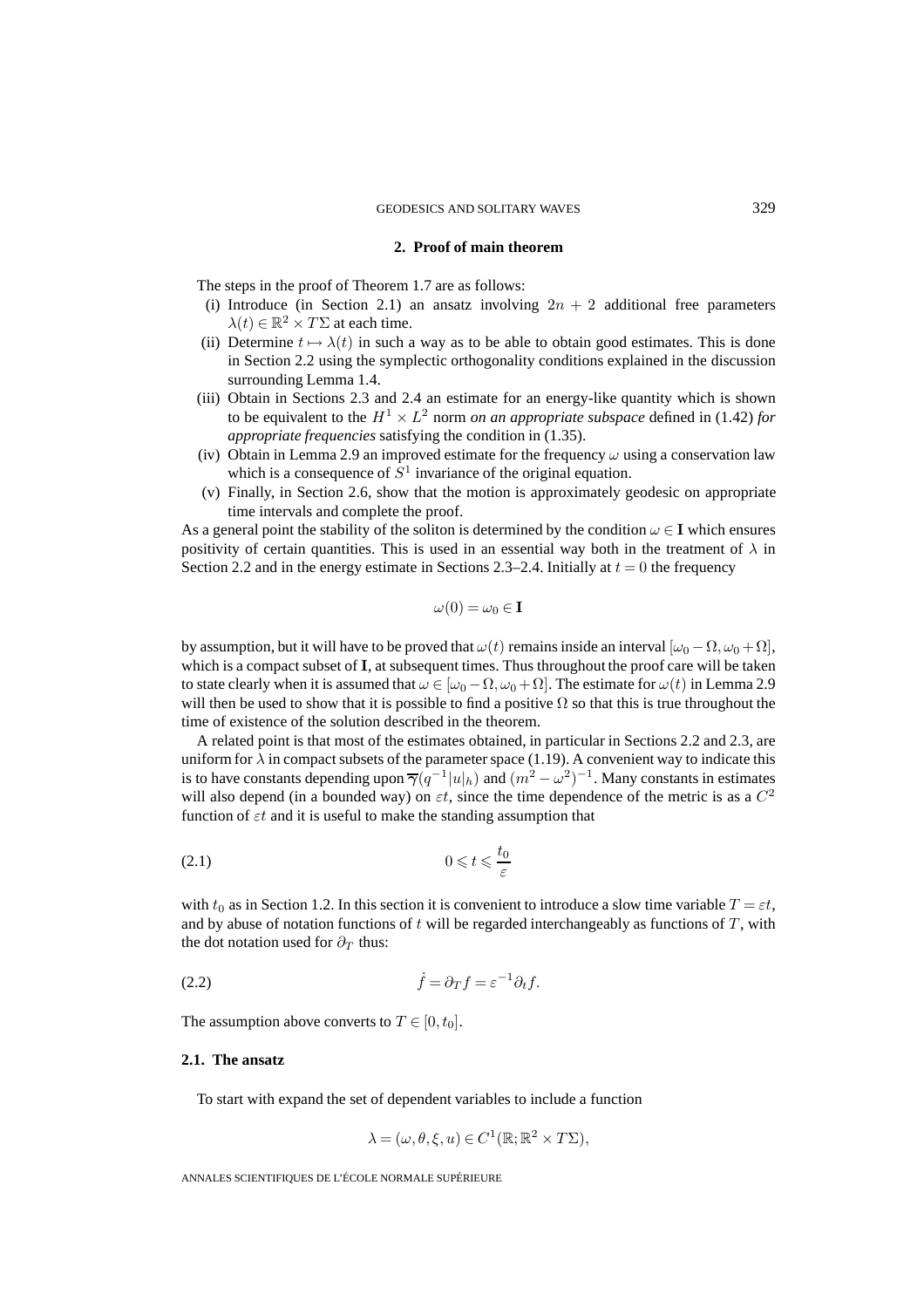# **2. Proof of main theorem**

The steps in the proof of Theorem 1.7 are as follows:

- (i) Introduce (in Section 2.1) an ansatz involving  $2n + 2$  additional free parameters  $\lambda(t) \in \mathbb{R}^2 \times T\Sigma$  at each time.
- (ii) Determine  $t \mapsto \lambda(t)$  in such a way as to be able to obtain good estimates. This is done in Section 2.2 using the symplectic orthogonality conditions explained in the discussion surrounding Lemma 1.4.
- (iii) Obtain in Sections 2.3 and 2.4 an estimate for an energy-like quantity which is shown to be equivalent to the  $H^1 \times L^2$  norm *on an appropriate subspace* defined in (1.42) *for appropriate frequencies* satisfying the condition in (1.35).
- (iv) Obtain in Lemma 2.9 an improved estimate for the frequency  $\omega$  using a conservation law which is a consequence of  $S<sup>1</sup>$  invariance of the original equation.
- (v) Finally, in Section 2.6, show that the motion is approximately geodesic on appropriate time intervals and complete the proof.

As a general point the stability of the soliton is determined by the condition  $\omega \in I$  which ensures positivity of certain quantities. This is used in an essential way both in the treatment of  $\lambda$  in Section 2.2 and in the energy estimate in Sections 2.3–2.4. Initially at  $t = 0$  the frequency

$$
\omega(0) = \omega_0 \in \mathbf{I}
$$

by assumption, but it will have to be proved that  $\omega(t)$  remains inside an interval  $[\omega_0 - \Omega, \omega_0 + \Omega]$ , which is a compact subset of **I**, at subsequent times. Thus throughout the proof care will be taken to state clearly when it is assumed that  $\omega \in [\omega_0 - \Omega, \omega_0 + \Omega]$ . The estimate for  $\omega(t)$  in Lemma 2.9 will then be used to show that it is possible to find a positive  $\Omega$  so that this is true throughout the time of existence of the solution described in the theorem.

A related point is that most of the estimates obtained, in particular in Sections 2.2 and 2.3, are uniform for  $\lambda$  in compact subsets of the parameter space (1.19). A convenient way to indicate this is to have constants depending upon  $\overline{\gamma}(q^{-1}|u|_h)$  and  $(m^2 - \omega^2)^{-1}$ . Many constants in estimates will also depend (in a bounded way) on  $\varepsilon t$ , since the time dependence of the metric is as a  $C^2$ function of  $\varepsilon t$  and it is useful to make the standing assumption that

$$
(2.1) \t\t 0 \leqslant t \leqslant \frac{t_0}{\varepsilon}
$$

with  $t_0$  as in Section 1.2. In this section it is convenient to introduce a slow time variable  $T = \varepsilon t$ , and by abuse of notation functions of t will be regarded interchangeably as functions of  $T$ , with the dot notation used for  $\partial_T$  thus:

˙f = ∂<sup>T</sup> f = ε<sup>−</sup><sup>1</sup> (2.2) ∂tf.

The assumption above converts to  $T \in [0, t_0]$ .

#### **2.1. The ansatz**

To start with expand the set of dependent variables to include a function

$$
\lambda = (\omega, \theta, \xi, u) \in C^1(\mathbb{R}; \mathbb{R}^2 \times T\Sigma),
$$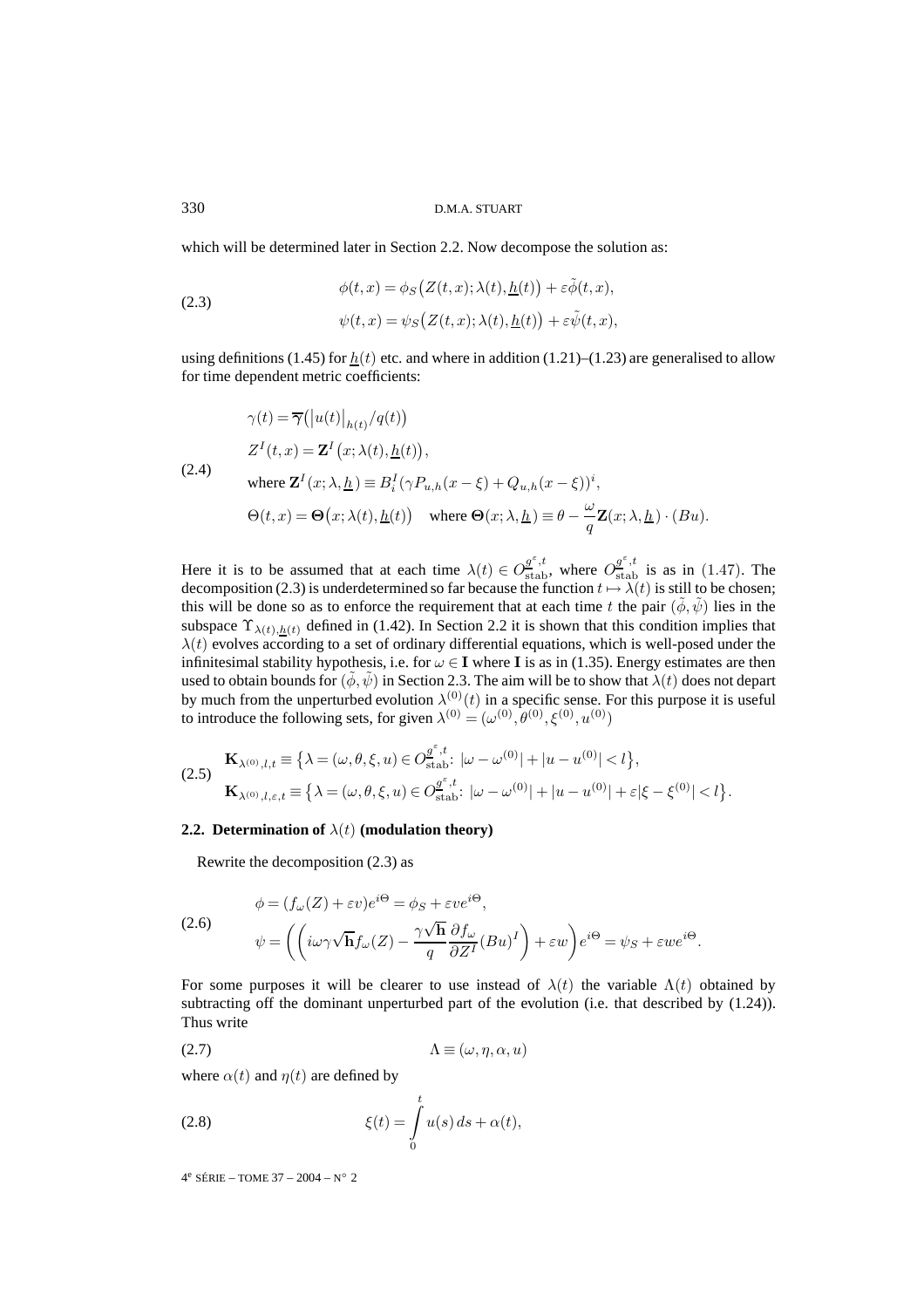which will be determined later in Section 2.2. Now decompose the solution as:

(2.3)  

$$
\phi(t,x) = \phi_S(Z(t,x); \lambda(t), \underline{h}(t)) + \varepsilon \tilde{\phi}(t,x),
$$

$$
\psi(t,x) = \psi_S(Z(t,x); \lambda(t), \underline{h}(t)) + \varepsilon \tilde{\psi}(t,x),
$$

using definitions (1.45) for  $h(t)$  etc. and where in addition (1.21)–(1.23) are generalised to allow for time dependent metric coefficients:

$$
\gamma(t) = \overline{\gamma}(|u(t)|_{h(t)}/q(t))
$$
  
\n
$$
Z^{I}(t, x) = \mathbf{Z}^{I}(x; \lambda(t), \underline{h}(t)),
$$
  
\nwhere  $\mathbf{Z}^{I}(x; \lambda, \underline{h}) \equiv B_{i}^{I}(\gamma P_{u,h}(x - \xi) + Q_{u,h}(x - \xi))^{i}$ ,  
\n
$$
\Theta(t, x) = \Theta(x; \lambda(t), \underline{h}(t)) \quad \text{where } \Theta(x; \lambda, \underline{h}) \equiv \theta - \frac{\omega}{q} \mathbf{Z}(x; \lambda, \underline{h}) \cdot (Bu).
$$

Here it is to be assumed that at each time  $\lambda(t) \in O_{\text{stab}}^{\underline{\sigma}^{\varepsilon},t}$ , where  $O_{\text{stab}}^{\underline{\sigma}^{\varepsilon},t}$  is as in (1.47). The decomposition (2.3) is underdetermined so far because the function  $t \mapsto \lambda(t)$  is still to be chosen; this will be done so as to enforce the requirement that at each time t the pair  $(\phi, \psi)$  lies in the subspace  $\Upsilon_{\lambda(t),h(t)}$  defined in (1.42). In Section 2.2 it is shown that this condition implies that  $\lambda(t)$  evolves according to a set of ordinary differential equations, which is well-posed under the infinitesimal stability hypothesis, i.e. for  $\omega \in I$  where I is as in (1.35). Energy estimates are then used to obtain bounds for  $(\phi, \psi)$  in Section 2.3. The aim will be to show that  $\lambda(t)$  does not depart by much from the unperturbed evolution  $\lambda^{(0)}(t)$  in a specific sense. For this purpose it is useful to introduce the following sets, for given  $\lambda^{(0)} = (\omega^{(0)}, \theta^{(0)}, \xi^{(0)}, u^{(0)})$ 

$$
\begin{split} \mathbf{(2.5)} \quad & \mathbf{K}_{\lambda^{(0)},l,t} \equiv \big\{ \lambda = (\omega,\theta,\xi,u) \in O_{\text{stab}}^{\underline{\theta}^{\varepsilon},t} \colon |\omega - \omega^{(0)}| + |u - u^{(0)}| < l \big\}, \\ & \mathbf{K}_{\lambda^{(0)},l,\varepsilon,t} \equiv \big\{ \lambda = (\omega,\theta,\xi,u) \in O_{\text{stab}}^{\underline{\theta}^{\varepsilon},t} \colon |\omega - \omega^{(0)}| + |u - u^{(0)}| + \varepsilon |\xi - \xi^{(0)}| < l \big\}. \end{split}
$$

# **2.2. Determination of**  $\lambda(t)$  (modulation theory)

Rewrite the decomposition (2.3) as

(2.6)  
\n
$$
\phi = (f_{\omega}(Z) + \varepsilon v)e^{i\Theta} = \phi_S + \varepsilon v e^{i\Theta},
$$
\n
$$
\psi = \left( \left( i\omega \gamma \sqrt{\mathbf{h}} f_{\omega}(Z) - \frac{\gamma \sqrt{\mathbf{h}}}{q} \frac{\partial f_{\omega}}{\partial Z^I} (Bu)^I \right) + \varepsilon w \right) e^{i\Theta} = \psi_S + \varepsilon w e^{i\Theta}.
$$

For some purposes it will be clearer to use instead of  $\lambda(t)$  the variable  $\Lambda(t)$  obtained by subtracting off the dominant unperturbed part of the evolution (i.e. that described by  $(1.24)$ ). Thus write

$$
\Lambda \equiv (\omega, \eta, \alpha, u)
$$

where  $\alpha(t)$  and  $\eta(t)$  are defined by

(2.8) 
$$
\xi(t) = \int_{0}^{t} u(s) ds + \alpha(t),
$$

 $4^e$  SÉRIE – TOME 37 – 2004 – N° 2

(2.4)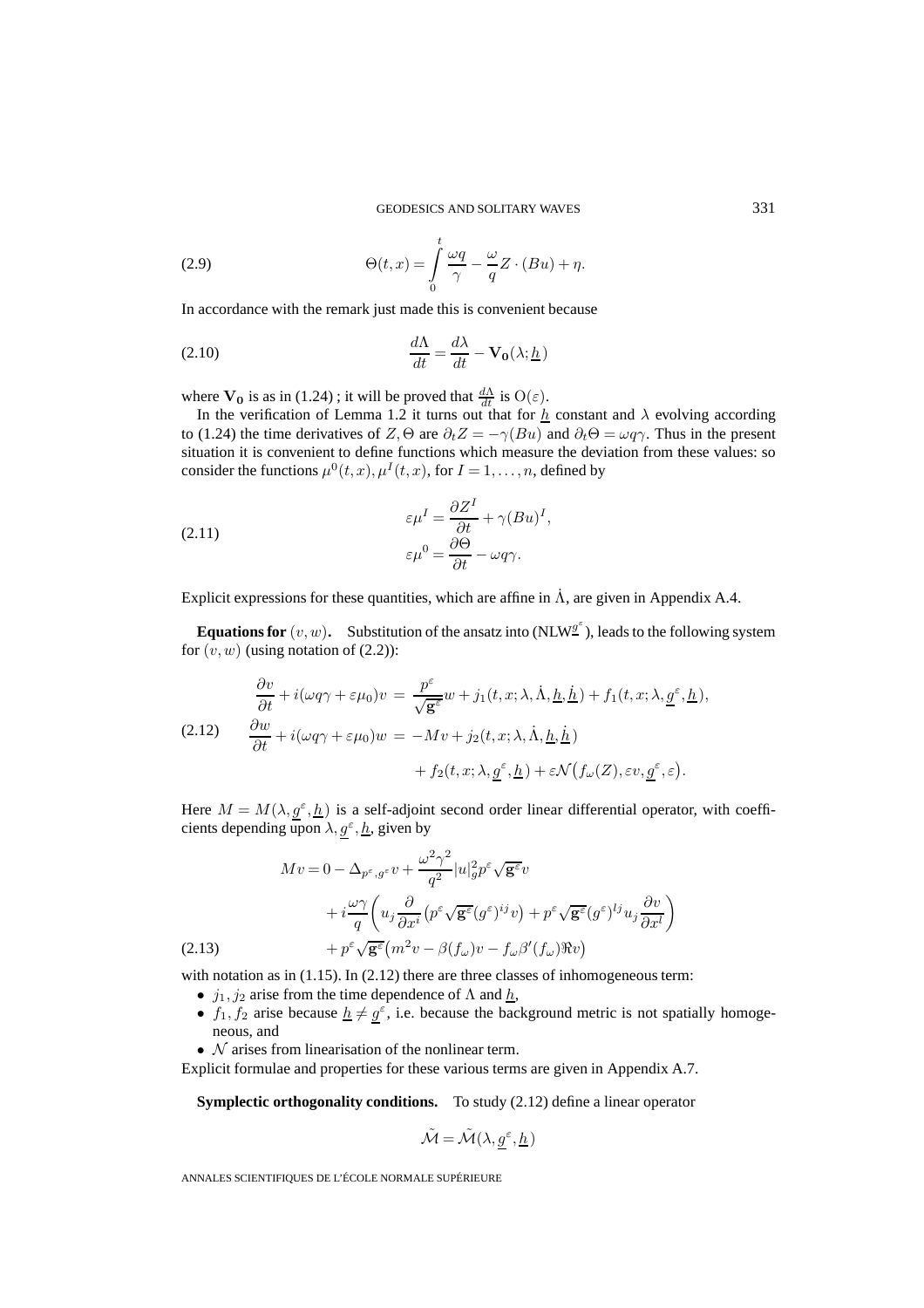(2.9) 
$$
\Theta(t,x) = \int_{0}^{t} \frac{\omega q}{\gamma} - \frac{\omega}{q} Z \cdot (Bu) + \eta.
$$

In accordance with the remark just made this is convenient because

(2.10) 
$$
\frac{d\Lambda}{dt} = \frac{d\lambda}{dt} - \mathbf{V_0}(\lambda; \underline{h})
$$

where  $V_0$  is as in (1.24); it will be proved that  $\frac{d\Lambda}{dt}$  is  $O(\varepsilon)$ .

In the verification of Lemma 1.2 it turns out that for  $h$  constant and  $\lambda$  evolving according to (1.24) the time derivatives of  $Z$ , $\Theta$  are  $\partial_t Z = -\gamma(Bu)$  and  $\partial_t \Theta = \omega q \gamma$ . Thus in the present situation it is convenient to define functions which measure the deviation from these values: so consider the functions  $\mu^{0}(t, x), \mu^{I}(t, x)$ , for  $I = 1, \ldots, n$ , defined by

(2.11) 
$$
\varepsilon \mu^{I} = \frac{\partial Z^{I}}{\partial t} + \gamma (Bu)^{I},
$$

$$
\varepsilon \mu^{0} = \frac{\partial \Theta}{\partial t} - \omega q \gamma.
$$

Explicit expressions for these quantities, which are affine in  $\Lambda$ , are given in Appendix A.4.

**Equations for**  $(v, w)$ . Substitution of the ansatz into  $(NLW^{\mathcal{Q}^{\epsilon}})$ , leads to the following system for  $(v, w)$  (using notation of  $(2.2)$ ):

(2.12) 
$$
\begin{aligned}\n\frac{\partial v}{\partial t} + i(\omega q \gamma + \varepsilon \mu_0)v &= \frac{p^{\varepsilon}}{\sqrt{\mathbf{g}^{\varepsilon}}} w + j_1(t, x; \lambda, \dot{\Lambda}, \underline{h}, \dot{\underline{h}}) + f_1(t, x; \lambda, \underline{g}^{\varepsilon}, \underline{h}), \\
(2.12) \quad \frac{\partial w}{\partial t} + i(\omega q \gamma + \varepsilon \mu_0)w &= -Mv + j_2(t, x; \lambda, \dot{\Lambda}, \underline{h}, \dot{\underline{h}}) \\
&+ f_2(t, x; \lambda, g^{\varepsilon}, \underline{h}) + \varepsilon \mathcal{N}(f_{\omega}(Z), \varepsilon v, g^{\varepsilon}, \varepsilon).\n\end{aligned}
$$

Here  $M = M(\lambda, g^{\varepsilon}, \underline{h})$  is a self-adjoint second order linear differential operator, with coefficients depending upon  $\lambda, g^{\varepsilon}, \underline{h}$ , given by

$$
Mv = 0 - \Delta_{p^{\varepsilon}, g^{\varepsilon}} v + \frac{\omega^2 \gamma^2}{q^2} |u|_g^2 p^{\varepsilon} \sqrt{\mathbf{g}^{\varepsilon}} v
$$
  
+ 
$$
i \frac{\omega \gamma}{q} \left( u_j \frac{\partial}{\partial x^i} (p^{\varepsilon} \sqrt{\mathbf{g}^{\varepsilon}} (g^{\varepsilon})^{ij} v) + p^{\varepsilon} \sqrt{\mathbf{g}^{\varepsilon}} (g^{\varepsilon})^{lj} u_j \frac{\partial v}{\partial x^l} \right)
$$
  
(2.13) 
$$
+ p^{\varepsilon} \sqrt{\mathbf{g}^{\varepsilon}} (m^2 v - \beta (f_{\omega}) v - f_{\omega} \beta' (f_{\omega}) \Re v)
$$

with notation as in (1.15). In (2.12) there are three classes of inhomogeneous term:

- $j_1, j_2$  arise from the time dependence of  $\Lambda$  and  $h$ ,
- $f_1, f_2$  arise because  $h \neq g^{\epsilon}$ , i.e. because the background metric is not spatially homogeneous, and
- $\mathcal N$  arises from linearisation of the nonlinear term.

Explicit formulae and properties for these various terms are given in Appendix A.7.

**Symplectic orthogonality conditions.** To study (2.12) define a linear operator

$$
\tilde{\mathcal{M}} = \tilde{\mathcal{M}}(\lambda, g^{\varepsilon}, \underline{h})
$$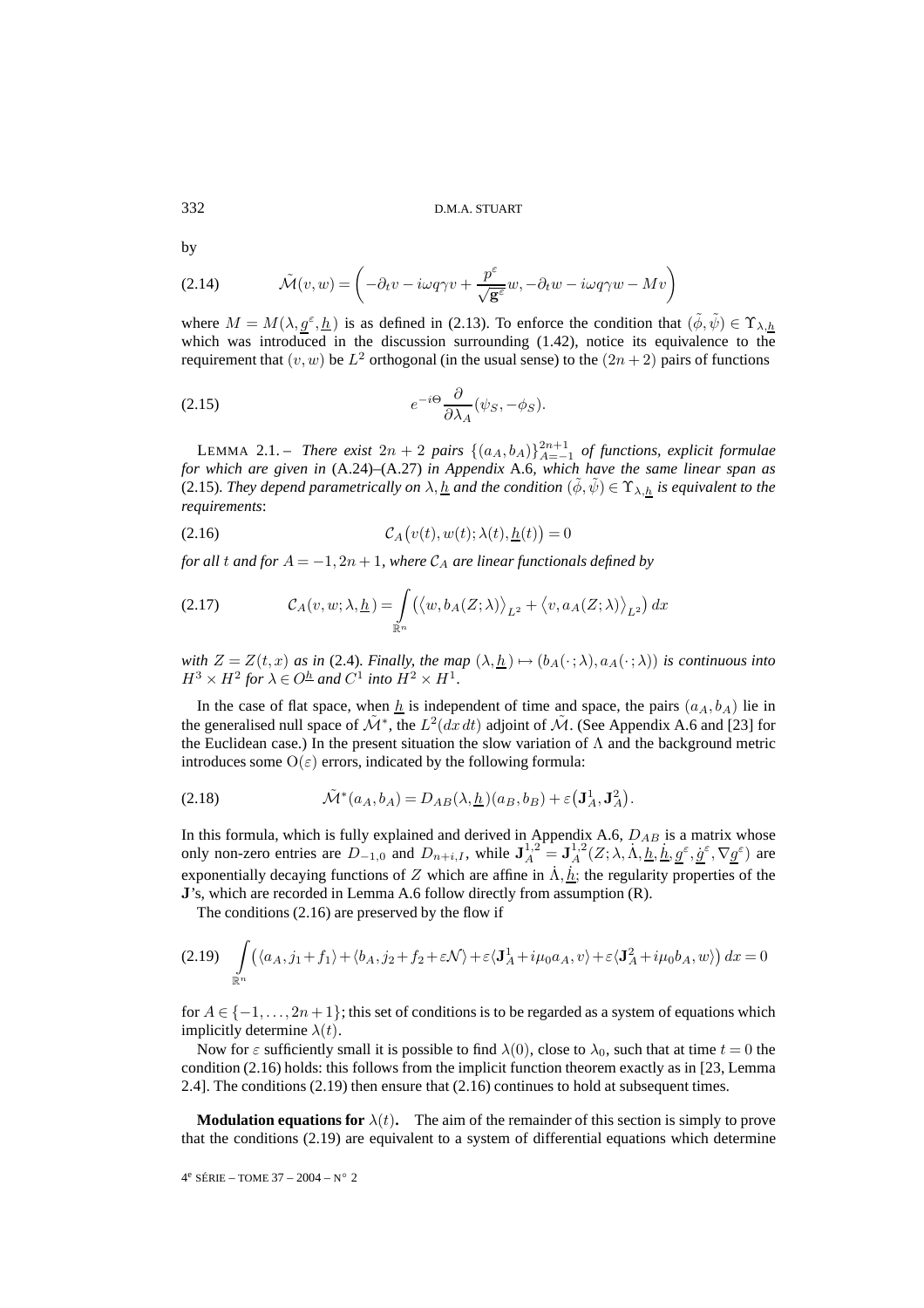by

(2.14) 
$$
\tilde{\mathcal{M}}(v, w) = \left(-\partial_t v - i\omega q \gamma v + \frac{p^{\varepsilon}}{\sqrt{\mathbf{g}^{\varepsilon}}}w, -\partial_t w - i\omega q \gamma w - Mv\right)
$$

where  $M = M(\lambda, g^{\varepsilon}, h)$  is as defined in (2.13). To enforce the condition that  $(\tilde{\phi}, \tilde{\psi}) \in \Upsilon_{\lambda, h}$ which was introduced in the discussion surrounding (1.42), notice its equivalence to the requirement that  $(v, w)$  be  $L^2$  orthogonal (in the usual sense) to the  $(2n + 2)$  pairs of functions

(2.15) 
$$
e^{-i\Theta} \frac{\partial}{\partial \lambda_A} (\psi_S, -\phi_S).
$$

LEMMA 2.1. – *There exist*  $2n + 2$  *pairs*  $\{(a_A, b_A)\}_{A=-1}^{2n+1}$  *of functions, explicit formulae for which are given in* (A.24)–(A.27) *in Appendix* A.6*, which have the same linear span as* (2.15)*. They depend parametrically on*  $\lambda, \underline{h}$  *and the condition*  $(\phi, \psi) \in \Upsilon_{\lambda, h}$  *is equivalent to the requirements*:

(2.16) 
$$
\mathcal{C}_A(v(t), w(t); \lambda(t), \underline{h}(t)) = 0
$$

*for all t and for*  $A = -1, 2n + 1$ *, where*  $C_A$  *are linear functionals defined by* 

(2.17) 
$$
\mathcal{C}_A(v, w; \lambda, \underline{h}) = \int_{\mathbb{R}^n} (\langle w, b_A(Z; \lambda) \rangle_{L^2} + \langle v, a_A(Z; \lambda) \rangle_{L^2}) dx
$$

*with*  $Z = Z(t, x)$  *as in* (2.4)*. Finally, the map*  $(\lambda, \underline{h}) \mapsto (b_A(\cdot; \lambda), a_A(\cdot; \lambda))$  *is continuous into*  $H^3 \times H^2$  for  $\lambda \in O^{\underline{h}}$  and  $C^1$  into  $H^2 \times H^1$ .

In the case of flat space, when  $\underline{h}$  is independent of time and space, the pairs  $(a_A, b_A)$  lie in the generalised null space of  $\mathcal{M}^*$ , the  $L^2(dx dt)$  adjoint of  $\mathcal{M}$ . (See Appendix A.6 and [23] for the Euclidean case.) In the present situation the slow variation of  $\Lambda$  and the background metric introduces some  $O(\varepsilon)$  errors, indicated by the following formula:

(2.18) 
$$
\tilde{\mathcal{M}}^*(a_A, b_A) = D_{AB}(\lambda, \underline{h})(a_B, b_B) + \varepsilon(\mathbf{J}_A^1, \mathbf{J}_A^2).
$$

In this formula, which is fully explained and derived in Appendix A.6,  $D_{AB}$  is a matrix whose only non-zero entries are  $D_{-1,0}$  and  $D_{n+i,I}$ , while  $\mathbf{J}_A^{1,2} = \mathbf{J}_A^{1,2}(Z; \lambda, \dot{\Lambda}, \underline{h}, \underline{h}, \underline{g}^\varepsilon, \underline{g}^\varepsilon, \nabla \underline{g}^\varepsilon)$  are exponentially decaying functions of Z which are affine in  $\dot{\Lambda}$ ,  $\dot{h}$ ; the regularity properties of the **J**'s, which are recorded in Lemma A.6 follow directly from assumption (R).

The conditions (2.16) are preserved by the flow if

$$
(2.19) \quad \int\limits_{\mathbb{R}^n} \left( \langle a_A, j_1 + f_1 \rangle + \langle b_A, j_2 + f_2 + \varepsilon \mathcal{N} \rangle + \varepsilon \langle \mathbf{J}_A^1 + i\mu_0 a_A, v \rangle + \varepsilon \langle \mathbf{J}_A^2 + i\mu_0 b_A, w \rangle \right) dx = 0
$$

for  $A \in \{-1, \ldots, 2n+1\}$ ; this set of conditions is to be regarded as a system of equations which implicitly determine  $\lambda(t)$ .

Now for  $\varepsilon$  sufficiently small it is possible to find  $\lambda(0)$ , close to  $\lambda_0$ , such that at time  $t = 0$  the condition (2.16) holds: this follows from the implicit function theorem exactly as in [23, Lemma 2.4]. The conditions (2.19) then ensure that (2.16) continues to hold at subsequent times.

**Modulation equations for**  $\lambda(t)$ . The aim of the remainder of this section is simply to prove that the conditions (2.19) are equivalent to a system of differential equations which determine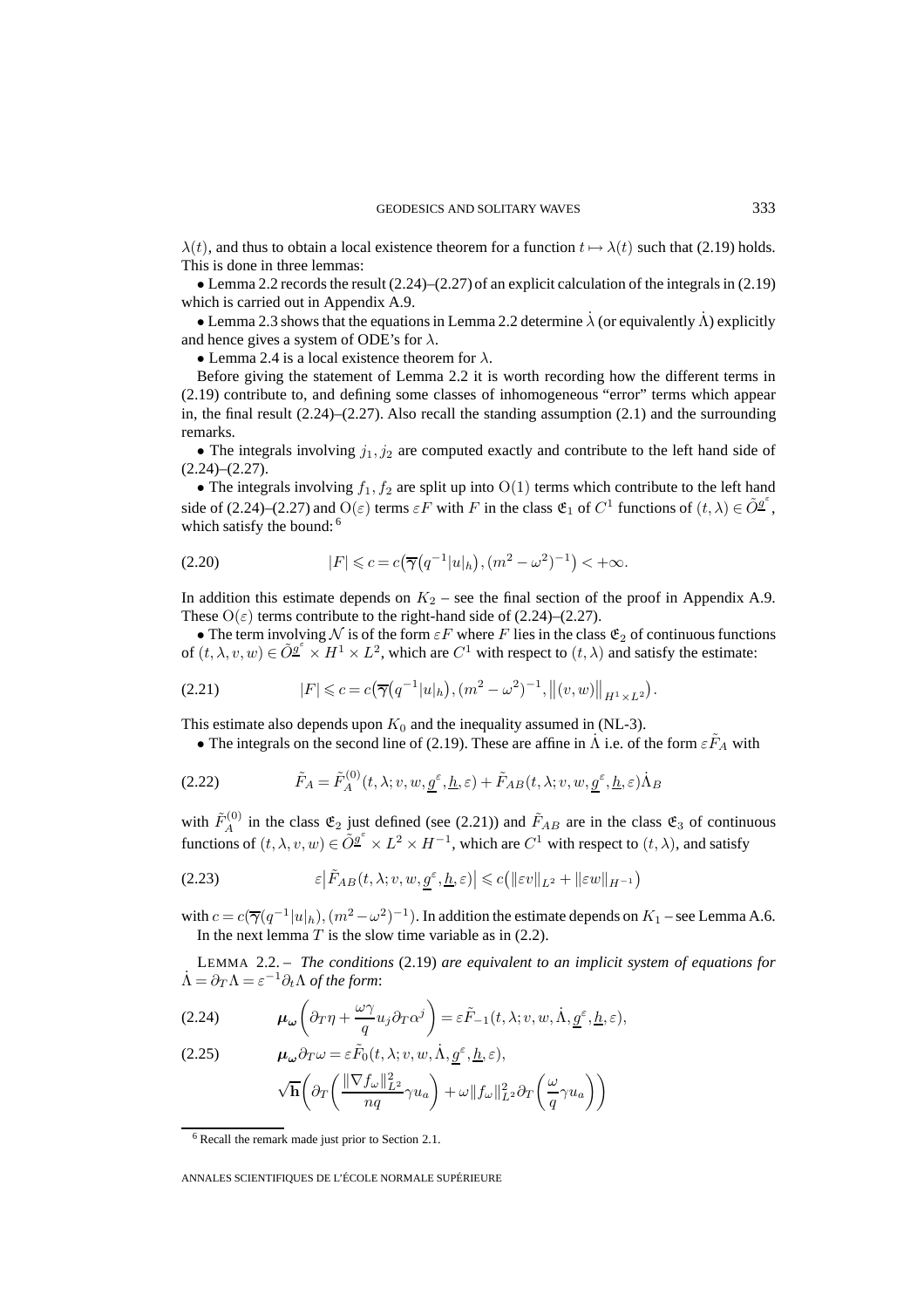$\lambda(t)$ , and thus to obtain a local existence theorem for a function  $t \mapsto \lambda(t)$  such that (2.19) holds. This is done in three lemmas:

• Lemma 2.2 records the result (2.24)–(2.27) of an explicit calculation of the integrals in (2.19) which is carried out in Appendix A.9.

• Lemma 2.3 shows that the equations in Lemma 2.2 determine  $\lambda$  (or equivalently  $\Lambda$ ) explicitly and hence gives a system of ODE's for  $\lambda$ .

• Lemma 2.4 is a local existence theorem for  $\lambda$ .

Before giving the statement of Lemma 2.2 it is worth recording how the different terms in (2.19) contribute to, and defining some classes of inhomogeneous "error" terms which appear in, the final result  $(2.24)$ – $(2.27)$ . Also recall the standing assumption  $(2.1)$  and the surrounding remarks.

• The integrals involving  $j_1, j_2$  are computed exactly and contribute to the left hand side of  $(2.24)–(2.27)$ .

• The integrals involving  $f_1, f_2$  are split up into  $O(1)$  terms which contribute to the left hand side of (2.24)–(2.27) and  $O(\varepsilon)$  terms  $\varepsilon F$  with F in the class  $\mathfrak{E}_1$  of  $C^1$  functions of  $(t, \lambda) \in \tilde{O}_2^{\sigma^{\varepsilon}}$ , which satisfy the bound: <sup>6</sup>

$$
(2.20) \t\t |F| \leq c = c(\overline{\gamma}(q^{-1}|u|_h), (m^2 - \omega^2)^{-1}) < +\infty.
$$

In addition this estimate depends on  $K_2$  – see the final section of the proof in Appendix A.9. These  $O(\varepsilon)$  terms contribute to the right-hand side of (2.24)–(2.27).

• The term involving N is of the form  $\varepsilon F$  where F lies in the class  $\mathfrak{E}_2$  of continuous functions of  $(t, \lambda, v, w) \in \tilde{O}^{\underline{\varrho}^{\epsilon}} \times H^1 \times L^2$ , which are  $C^1$  with respect to  $(t, \lambda)$  and satisfy the estimate:

(2.21) 
$$
|F| \leqslant c = c(\overline{\gamma}(q^{-1}|u|_h), (m^2 - \omega^2)^{-1}, \|(v, w)\|_{H^1 \times L^2}).
$$

This estimate also depends upon  $K_0$  and the inequality assumed in (NL-3).

• The integrals on the second line of (2.19). These are affine in  $\Lambda$  i.e. of the form  $\varepsilon F_A$  with

(2.22) 
$$
\tilde{F}_A = \tilde{F}_A^{(0)}(t, \lambda; v, w, \underline{g}^\varepsilon, \underline{h}, \varepsilon) + \tilde{F}_{AB}(t, \lambda; v, w, \underline{g}^\varepsilon, \underline{h}, \varepsilon) \dot{\Lambda}_B
$$

with  $\tilde{F}_A^{(0)}$  in the class  $\mathfrak{E}_2$  just defined (see (2.21)) and  $\tilde{F}_{AB}$  are in the class  $\mathfrak{E}_3$  of continuous functions of  $(t, \lambda, v, w) \in \tilde{O}_x^{\sigma^{\epsilon}} \times L^2 \times H^{-1}$ , which are  $C^1$  with respect to  $(t, \lambda)$ , and satisfy

(2.23) 
$$
\varepsilon \left| \tilde{F}_{AB}(t,\lambda;v,w,\underline{g}^{\varepsilon},\underline{h},\varepsilon) \right| \leqslant c \left( \| \varepsilon v \|_{L^2} + \| \varepsilon w \|_{H^{-1}} \right)
$$

with  $c = c(\overline{\gamma}(q^{-1}|u|_h), (m^2 - \omega^2)^{-1})$ . In addition the estimate depends on  $K_1$  – see Lemma A.6. In the next lemma  $T$  is the slow time variable as in (2.2).

LEMMA 2.2. – *The conditions* (2.19) *are equivalent to an implicit system of equations for*  $\dot{\Lambda} = \partial_T \Lambda = \varepsilon^{-1} \partial_t \Lambda$  of the form:

(2.24) 
$$
\boldsymbol{\mu}_{\boldsymbol{\omega}}\left(\partial_T\eta + \frac{\omega\gamma}{q}u_j\partial_T\alpha^j\right) = \varepsilon\tilde{F}_{-1}(t,\lambda;v,w,\dot{\Lambda},\underline{g}^{\varepsilon},\underline{h},\varepsilon),
$$

(2.25) 
$$
\mu_{\omega}\partial_T\omega = \varepsilon \tilde{F}_0(t,\lambda; v, w, \dot{\Lambda}, \underline{g}^{\varepsilon}, \underline{h}, \varepsilon),
$$

$$
\sqrt{\mathbf{h}}\left(\partial_T\left(\frac{\|\nabla f_{\omega}\|_{L^2}^2}{nq}\gamma u_a\right) + \omega \|f_{\omega}\|_{L^2}^2 \partial_T\left(\frac{\omega}{q}\gamma u_a\right)\right)
$$

<sup>6</sup> Recall the remark made just prior to Section 2.1.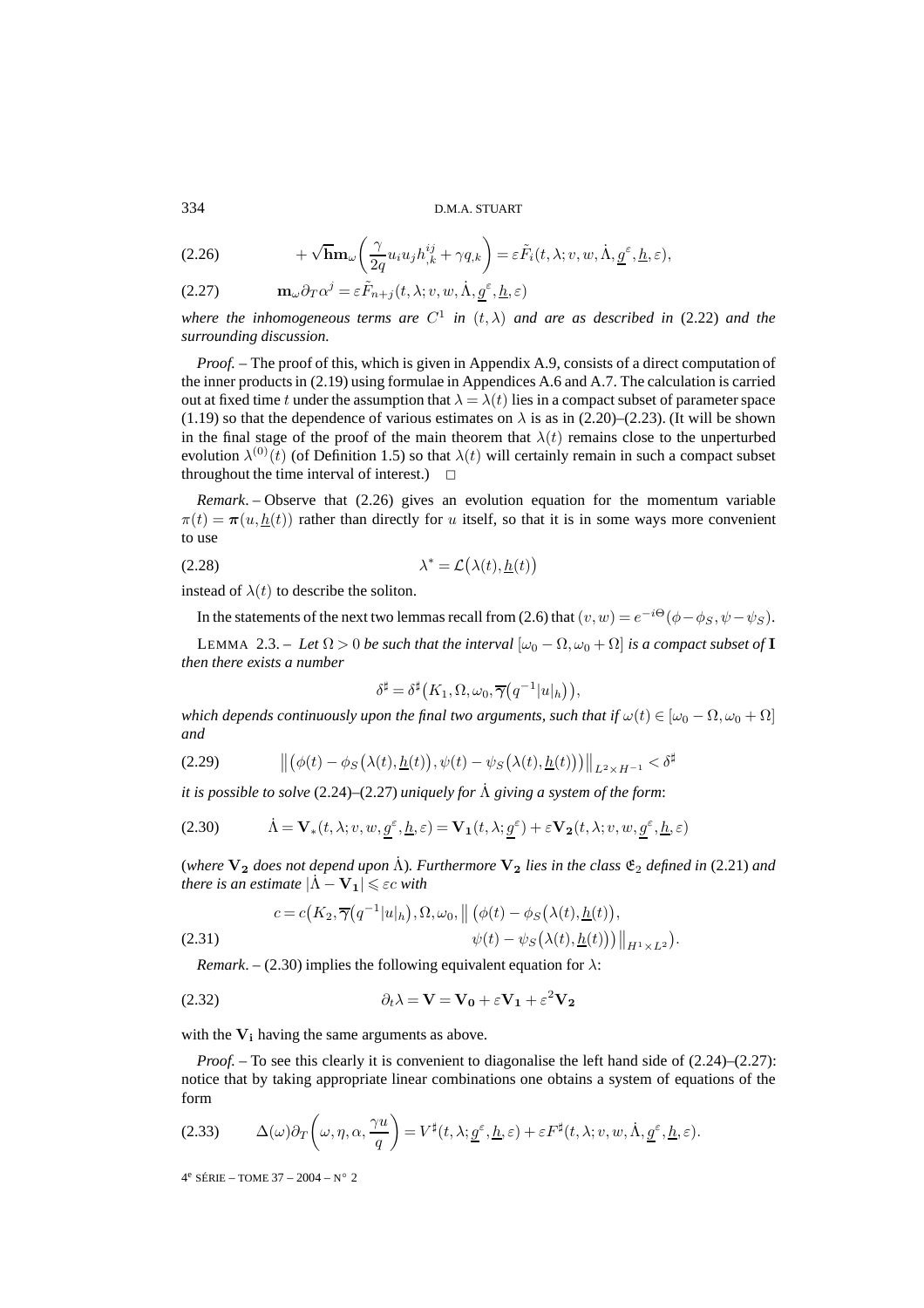#### D.M.A. STUART

(2.26) 
$$
+ \sqrt{\mathbf{h}} \mathbf{m}_{\omega} \left( \frac{\gamma}{2q} u_i u_j h_{,k}^{ij} + \gamma q_{,k} \right) = \varepsilon \tilde{F}_i(t, \lambda; v, w, \dot{\Lambda}, \underline{g}^{\varepsilon}, \underline{h}, \varepsilon),
$$

(2.27)  $\mathbf{m}_{\omega} \partial_T \alpha^j = \varepsilon \tilde{F}_{n+j}(t, \lambda; v, w, \dot{\Lambda}, g^{\varepsilon}, \underline{h}, \varepsilon)$ 

*where the inhomogeneous terms are*  $C^1$  *in*  $(t, \lambda)$  *and are as described in* (2.22) *and the surrounding discussion.*

*Proof. –* The proof of this, which is given in Appendix A.9, consists of a direct computation of the inner products in (2.19) using formulae in Appendices A.6 and A.7. The calculation is carried out at fixed time t under the assumption that  $\lambda = \lambda(t)$  lies in a compact subset of parameter space (1.19) so that the dependence of various estimates on  $\lambda$  is as in (2.20)–(2.23). (It will be shown in the final stage of the proof of the main theorem that  $\lambda(t)$  remains close to the unperturbed evolution  $\lambda^{(0)}(t)$  (of Definition 1.5) so that  $\lambda(t)$  will certainly remain in such a compact subset throughout the time interval of interest.)  $\Box$ 

*Remark*. – Observe that (2.26) gives an evolution equation for the momentum variable  $\pi(t) = \pi(u, h(t))$  rather than directly for u itself, so that it is in some ways more convenient to use

$$
\lambda^* = \mathcal{L}(\lambda(t), \underline{h}(t))
$$

instead of  $\lambda(t)$  to describe the soliton.

In the statements of the next two lemmas recall from (2.6) that  $(v, w) = e^{-i\Theta}(\phi - \phi_S, \psi - \psi_S)$ .

LEMMA 2.3. – Let  $\Omega > 0$  be such that the interval  $[\omega_0 - \Omega, \omega_0 + \Omega]$  is a compact subset of **I** *then there exists a number*

$$
\delta^{\sharp} = \delta^{\sharp} (K_1, \Omega, \omega_0, \overline{\gamma} (q^{-1} |u|_h)),
$$

*which depends continuously upon the final two arguments, such that if*  $\omega(t) \in [\omega_0 - \Omega, \omega_0 + \Omega]$ *and*

$$
(2.29) \qquad \left\| \left( \phi(t) - \phi_S\big(\lambda(t), \underline{h}(t)\big), \psi(t) - \psi_S\big(\lambda(t), \underline{h}(t)\big) \right) \right\|_{L^2 \times H^{-1}} < \delta^{\sharp}
$$

*it is possible to solve* (2.24)–(2.27) *uniquely for* Λ˙ *giving a system of the form*:

(2.30) 
$$
\dot{\Lambda} = \mathbf{V}_*(t, \lambda; v, w, \underline{g}^\varepsilon, \underline{h}, \varepsilon) = \mathbf{V}_1(t, \lambda; \underline{g}^\varepsilon) + \varepsilon \mathbf{V}_2(t, \lambda; v, w, \underline{g}^\varepsilon, \underline{h}, \varepsilon)
$$

(*where*  $V_2$  *does not depend upon*  $\Lambda$ *). Furthermore*  $V_2$  *lies in the class*  $\mathfrak{E}_2$  *defined in* (2.21) *and there is an estimate*  $|\dot{\Lambda} - \mathbf{V}_1| \leqslant \varepsilon c$  *with* 

$$
c = c(K_2, \overline{\gamma}(q^{-1}|u|_h), \Omega, \omega_0, \left\| \left( \phi(t) - \phi_S(\lambda(t), \underline{h}(t)) \right), \right. \n\psi(t) - \psi_S(\lambda(t), \underline{h}(t)) \right)\right\|_{H^1 \times L^2}).
$$
\n(2.31)

*Remark.* – (2.30) implies the following equivalent equation for  $\lambda$ :

(2.32) 
$$
\partial_t \lambda = \mathbf{V} = \mathbf{V_0} + \varepsilon \mathbf{V_1} + \varepsilon^2 \mathbf{V_2}
$$

with the  $V_i$  having the same arguments as above.

*Proof.* – To see this clearly it is convenient to diagonalise the left hand side of  $(2.24)$ – $(2.27)$ : notice that by taking appropriate linear combinations one obtains a system of equations of the form

$$
(2.33) \qquad \Delta(\omega)\partial_T\left(\omega,\eta,\alpha,\frac{\gamma u}{q}\right) = V^{\sharp}(t,\lambda;\underline{g}^{\varepsilon},\underline{h},\varepsilon) + \varepsilon F^{\sharp}(t,\lambda;v,w,\dot{\Lambda},\underline{g}^{\varepsilon},\underline{h},\varepsilon).
$$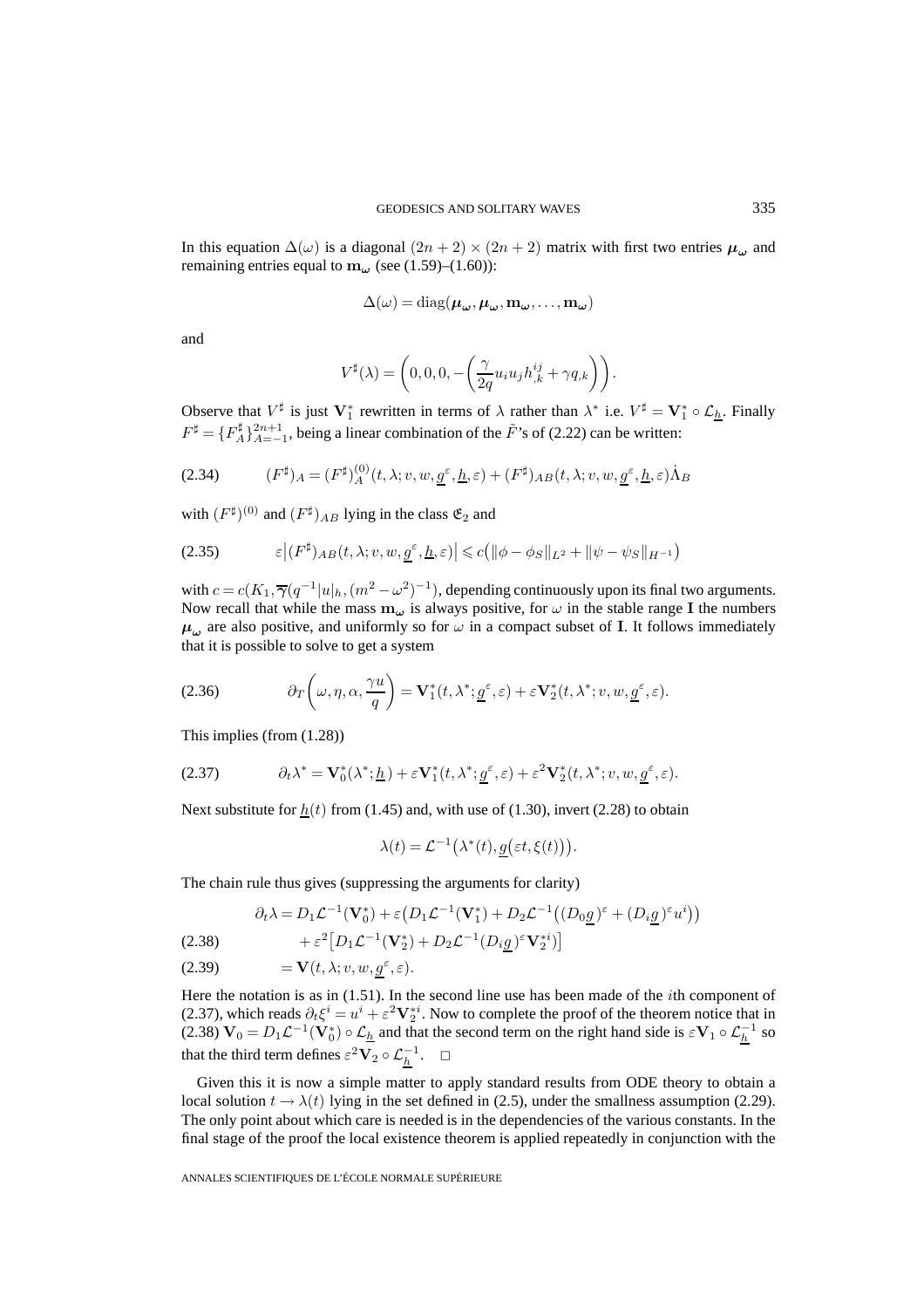In this equation  $\Delta(\omega)$  is a diagonal  $(2n + 2) \times (2n + 2)$  matrix with first two entries  $\mu_{\omega}$  and remaining entries equal to  $\mathbf{m}_{\omega}$  (see (1.59)–(1.60)):

$$
\Delta(\omega) = \mathrm{diag}(\boldsymbol{\mu}_{\boldsymbol{\omega}},\boldsymbol{\mu}_{\boldsymbol{\omega}},\mathbf{m}_{\boldsymbol{\omega}},\dots,\mathbf{m}_{\boldsymbol{\omega}})
$$

and

$$
V^{\sharp}(\lambda) = \left(0,0,0, -\left(\frac{\gamma}{2q}u_i u_j h_{,k}^{ij} + \gamma q_{,k}\right)\right).
$$

Observe that  $V^{\sharp}$  is just  $V_1^*$  rewritten in terms of  $\lambda$  rather than  $\lambda^*$  i.e.  $V^{\sharp} = V_1^* \circ \mathcal{L}_{\underline{h}}$ . Finally  $F^{\sharp} = \{F_A^{\sharp}\}_{A=-1}^{2n+1}$ , being a linear combination of the  $\tilde{F}$ 's of (2.22) can be written:

(2.34) 
$$
(F^{\sharp})_A = (F^{\sharp})_A^{(0)}(t, \lambda; v, w, \underline{g}^{\varepsilon}, \underline{h}, \varepsilon) + (F^{\sharp})_{AB}(t, \lambda; v, w, \underline{g}^{\varepsilon}, \underline{h}, \varepsilon) \dot{\Lambda}_B
$$

with  $(F^{\sharp})^{(0)}$  and  $(F^{\sharp})_{AB}$  lying in the class  $\mathfrak{E}_2$  and

$$
(2.35) \qquad \qquad \varepsilon \big| (F^{\sharp})_{AB}(t,\lambda;v,w,\underline{g^{\varepsilon}},\underline{h},\varepsilon) \big| \leqslant c \big( \| \phi - \phi_S \|_{L^2} + \| \psi - \psi_S \|_{H^{-1}} \big)
$$

with  $c = c(K_1, \overline{\gamma}(q^{-1}|u|_h, (m^2 - \omega^2)^{-1})$ , depending continuously upon its final two arguments. Now recall that while the mass  $m_\omega$  is always positive, for  $\omega$  in the stable range **I** the numbers  $\mu_{\omega}$  are also positive, and uniformly so for  $\omega$  in a compact subset of **I**. It follows immediately that it is possible to solve to get a system

(2.36) 
$$
\partial_T \left( \omega, \eta, \alpha, \frac{\gamma u}{q} \right) = \mathbf{V}_1^*(t, \lambda^*; \underline{g}^\varepsilon, \varepsilon) + \varepsilon \mathbf{V}_2^*(t, \lambda^*; v, w, \underline{g}^\varepsilon, \varepsilon).
$$

This implies (from (1.28))

(2.37) 
$$
\partial_t \lambda^* = \mathbf{V}_0^* (\lambda^*; \underline{h}) + \varepsilon \mathbf{V}_1^* (t, \lambda^*; \underline{g}^{\varepsilon}, \varepsilon) + \varepsilon^2 \mathbf{V}_2^* (t, \lambda^*; v, w, \underline{g}^{\varepsilon}, \varepsilon).
$$

Next substitute for  $h(t)$  from (1.45) and, with use of (1.30), invert (2.28) to obtain

$$
\lambda(t) = \mathcal{L}^{-1}\big(\lambda^*(t), \underline{g}(\varepsilon t, \xi(t))\big).
$$

The chain rule thus gives (suppressing the arguments for clarity)

$$
\partial_t \lambda = D_1 \mathcal{L}^{-1} (\mathbf{V}_0^*) + \varepsilon \left( D_1 \mathcal{L}^{-1} (\mathbf{V}_1^*) + D_2 \mathcal{L}^{-1} \left( (D_0 \underline{g})^{\varepsilon} + (D_i \underline{g})^{\varepsilon} u^i \right) \right)
$$

(2.38) 
$$
+ \varepsilon^2 \big[ D_1 \mathcal{L}^{-1} (\mathbf{V}_2^*) + D_2 \mathcal{L}^{-1} (D_i \underline{g})^{\varepsilon} \mathbf{V}_2^{*i} ) \big]
$$

(2.39) 
$$
= \mathbf{V}(t, \lambda; v, w, \underline{g}^{\varepsilon}, \varepsilon).
$$

Here the notation is as in  $(1.51)$ . In the second line use has been made of the *i*th component of (2.37), which reads  $\partial_t \xi^i = u^i + \varepsilon^2 \mathbf{V}_2^{*i}$ . Now to complete the proof of the theorem notice that in (2.38)  $\mathbf{V}_0 = D_1 \mathcal{L}^{-1} (\mathbf{V}_0^*) \circ \mathcal{L}_{\underline{h}}$  and that the second term on the right hand side is  $\epsilon \mathbf{V}_1 \circ \mathcal{L}_{\underline{h}}^{-1}$  so that the third term defines  $\varepsilon^2 \mathbf{V}_2 \circ \mathcal{L}_{\underline{h}}^{-1}$ .  $\Box$ 

Given this it is now a simple matter to apply standard results from ODE theory to obtain a local solution  $t \to \lambda(t)$  lying in the set defined in (2.5), under the smallness assumption (2.29). The only point about which care is needed is in the dependencies of the various constants. In the final stage of the proof the local existence theorem is applied repeatedly in conjunction with the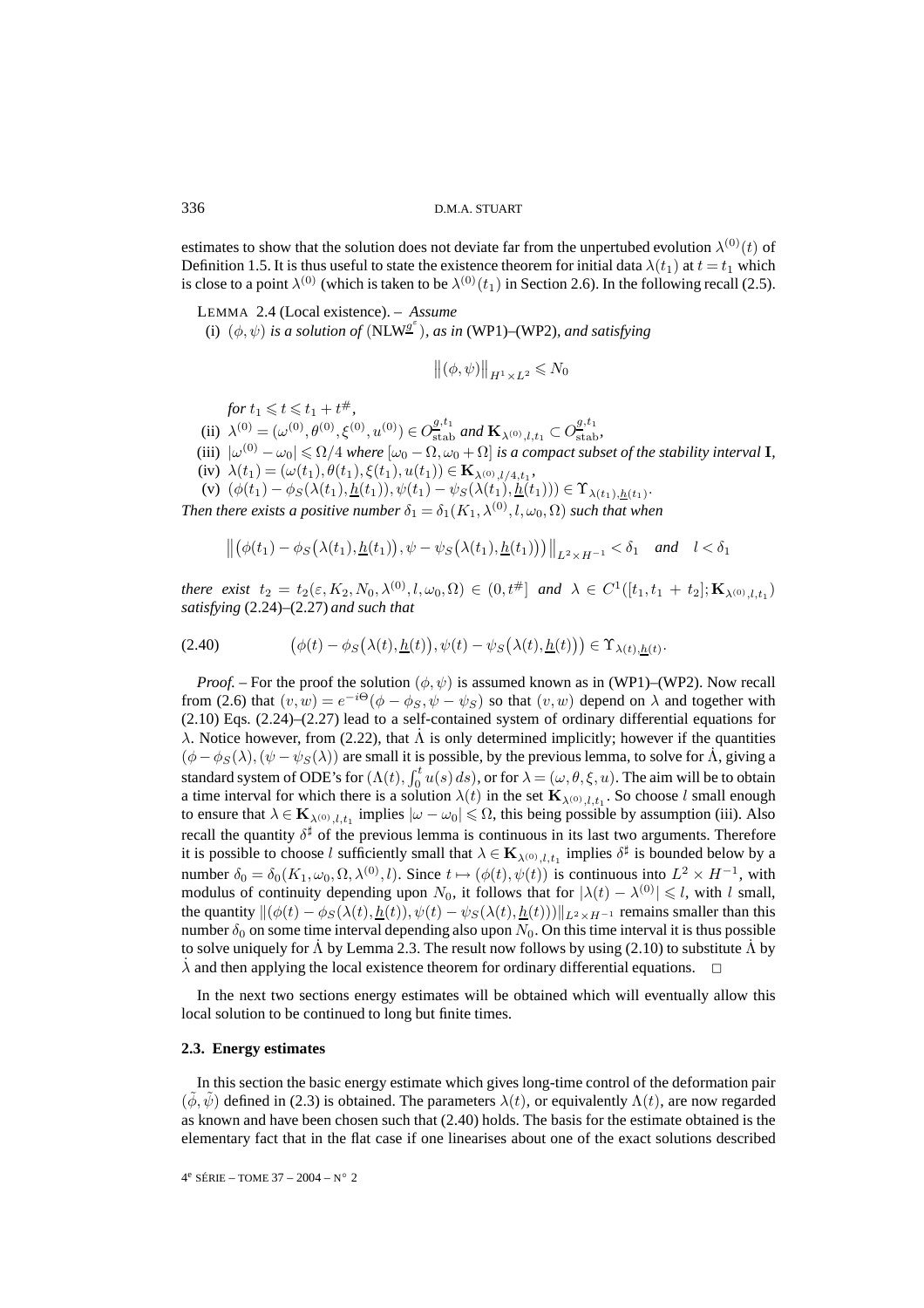estimates to show that the solution does not deviate far from the unpertubed evolution  $\lambda^{(0)}(t)$  of Definition 1.5. It is thus useful to state the existence theorem for initial data  $\lambda(t_1)$  at  $t = t_1$  which is close to a point  $\lambda^{(0)}$  (which is taken to be  $\lambda^{(0)}(t_1)$  in Section 2.6). In the following recall (2.5).

LEMMA 2.4 (Local existence). – *Assume*

(i)  $(\phi, \psi)$  is a solution of (NLW<sup> $g^{\epsilon}$ </sup>), as in (WP1)–(WP2), and satisfying

$$
\left\|(\phi,\psi)\right\|_{H^1\times L^2}\leqslant N_0
$$

for  $t_1 \leqslant t \leqslant t_1 + t^{\#},$ 

(ii)  $\lambda^{(0)} = (\omega^{(0)}, \theta^{(0)}, \xi^{(0)}, u^{(0)}) \in O_{\text{stab}}^{g,t_1}$  and  $\mathbf{K}_{\lambda^{(0)},l,t_1} \subset O_{\text{stab}}^{g,t_1}$ ,

- (iii)  $|\omega^{(0)}-\omega_0|\leqslant\Omega/4$  where  $[\omega_0-\Omega,\omega_0+\Omega]$  is a compact subset of the stability interval **I**,
- (iv)  $\lambda(t_1)=(\omega(t_1), \theta(t_1), \xi(t_1), u(t_1)) \in \mathbf{K}_{\lambda^{(0)}, l/4, t_1},$
- (v)  $(\phi(t_1) \phi_S(\lambda(t_1), \underline{h}(t_1)), \psi(t_1) \psi_S(\lambda(t_1), \underline{h}(t_1))) \in \Upsilon_{\lambda(t_1), \underline{h}(t_1)}.$

*Then there exists a positive number*  $\delta_1 = \delta_1(K_1, \lambda^{(0)}, l, \omega_0, \Omega)$  *such that when* 

$$
\left\| \left( \phi(t_1) - \phi_S\big(\lambda(t_1), \underline{h}(t_1)\big), \psi - \psi_S\big(\lambda(t_1), \underline{h}(t_1)\big) \right) \right\|_{L^2 \times H^{-1}} < \delta_1 \quad \text{and} \quad l < \delta_1
$$

*there exist*  $t_2 = t_2(\varepsilon, K_2, N_0, \lambda^{(0)}, l, \omega_0, \Omega) \in (0, t^{\#}]$  *and*  $\lambda \in C^1([t_1, t_1 + t_2]; \mathbf{K}_{\lambda^{(0)}, l, t_1})$ *satisfying* (2.24)–(2.27) *and such that*

(2.40) 
$$
(\phi(t) - \phi_S(\lambda(t), \underline{h}(t)), \psi(t) - \psi_S(\lambda(t), \underline{h}(t))) \in \Upsilon_{\lambda(t), \underline{h}(t)}.
$$

*Proof.* – For the proof the solution  $(\phi, \psi)$  is assumed known as in (WP1)–(WP2). Now recall from (2.6) that  $(v, w) = e^{-i\Theta}(\phi - \phi_S, \psi - \psi_S)$  so that  $(v, w)$  depend on  $\lambda$  and together with (2.10) Eqs. (2.24)–(2.27) lead to a self-contained system of ordinary differential equations for λ. Notice however, from (2.22), that Λ is only determined implicitly; however if the quantities  $(\phi - \phi_S(\lambda), (\psi - \psi_S(\lambda))$  are small it is possible, by the previous lemma, to solve for  $\Lambda$ , giving a standard system of ODE's for  $(\Lambda(t), \int_0^t u(s) ds)$ , or for  $\lambda = (\omega, \theta, \xi, u)$ . The aim will be to obtain a time interval for which there is a solution  $\lambda(t)$  in the set  $\mathbf{K}_{\lambda^{(0)},l,t}$ . So choose l small enough to ensure that  $\lambda \in \mathbf{K}_{\lambda^{(0)},l,t_1}$  implies  $|\omega - \omega_0| \leq \Omega$ , this being possible by assumption (iii). Also recall the quantity  $\delta^{\sharp}$  of the previous lemma is continuous in its last two arguments. Therefore it is possible to choose l sufficiently small that  $\lambda \in \mathbf{K}_{\lambda^{(0)},l,t_1}$  implies  $\delta^{\sharp}$  is bounded below by a number  $\delta_0 = \delta_0(K_1, \omega_0, \Omega, \lambda^{(0)}, l)$ . Since  $t \mapsto (\phi(t), \psi(t))$  is continuous into  $L^2 \times H^{-1}$ , with modulus of continuity depending upon  $N_0$ , it follows that for  $|\lambda(t) - \lambda^{(0)}| \leq l$ , with l small, the quantity  $\|(\phi(t) - \phi_S(\lambda(t), \underline{h}(t)), \psi(t) - \psi_S(\lambda(t), \underline{h}(t)))\|_{L^2 \times H^{-1}}$  remains smaller than this number  $\delta_0$  on some time interval depending also upon  $N_0$ . On this time interval it is thus possible to solve uniquely for  $\dot{\Lambda}$  by Lemma 2.3. The result now follows by using (2.10) to substitute  $\dot{\Lambda}$  by  $\lambda$  and then applying the local existence theorem for ordinary differential equations.

In the next two sections energy estimates will be obtained which will eventually allow this local solution to be continued to long but finite times.

#### **2.3. Energy estimates**

In this section the basic energy estimate which gives long-time control of the deformation pair  $(\phi, \psi)$  defined in (2.3) is obtained. The parameters  $\lambda(t)$ , or equivalently  $\Lambda(t)$ , are now regarded as known and have been chosen such that (2.40) holds. The basis for the estimate obtained is the elementary fact that in the flat case if one linearises about one of the exact solutions described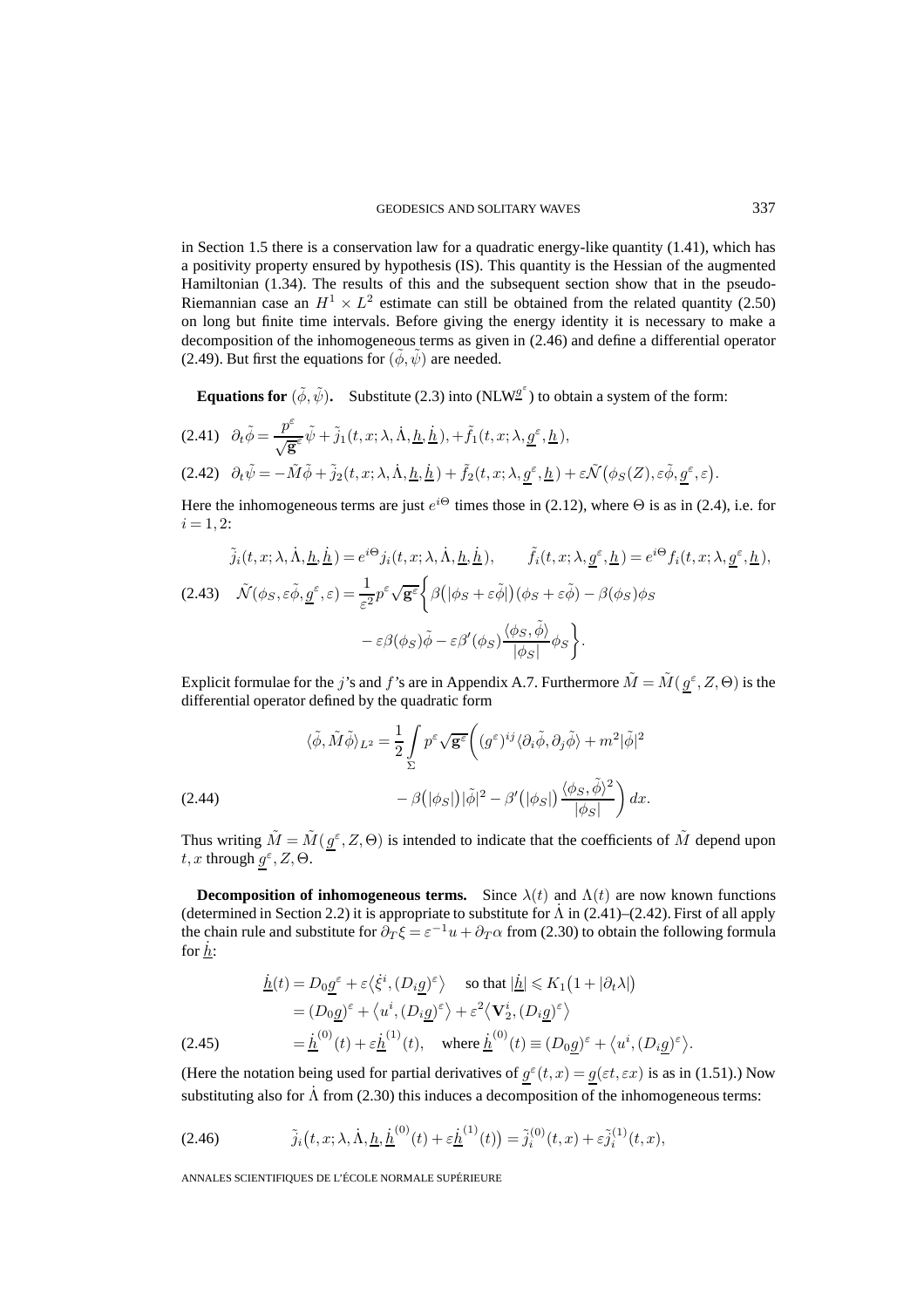in Section 1.5 there is a conservation law for a quadratic energy-like quantity (1.41), which has a positivity property ensured by hypothesis (IS). This quantity is the Hessian of the augmented Hamiltonian (1.34). The results of this and the subsequent section show that in the pseudo-Riemannian case an  $H^1 \times L^2$  estimate can still be obtained from the related quantity (2.50) on long but finite time intervals. Before giving the energy identity it is necessary to make a decomposition of the inhomogeneous terms as given in (2.46) and define a differential operator (2.49). But first the equations for  $(\tilde{\phi}, \tilde{\psi})$  are needed.

**Equations for**  $(\tilde{\phi}, \tilde{\psi})$ . Substitute (2.3) into (NLW<sup>g'</sup>) to obtain a system of the form:

$$
(2.41) \quad \partial_t \tilde{\phi} = \frac{p^{\varepsilon}}{\sqrt{\mathbf{g}^{\varepsilon}}}\tilde{\psi} + \tilde{j}_1(t, x; \lambda, \dot{\Lambda}, \underline{h}, \dot{\underline{h}}), + \tilde{f}_1(t, x; \lambda, \underline{g}^{\varepsilon}, \underline{h}),
$$
  

$$
(2.42) \quad \partial_t \tilde{\psi} = -\tilde{M}\tilde{\phi} + \tilde{j}_2(t, x; \lambda, \dot{\Lambda}, \underline{h}, \dot{\underline{h}}) + \tilde{f}_2(t, x; \lambda, \underline{g}^{\varepsilon}, \underline{h}) + \varepsilon \tilde{\mathcal{N}}(\phi_S(Z), \varepsilon \tilde{\phi}, \underline{g}^{\varepsilon}, \varepsilon).
$$

Here the inhomogeneous terms are just  $e^{i\Theta}$  times those in (2.12), where  $\Theta$  is as in (2.4), i.e. for  $i = 1, 2$ :

$$
\tilde{j}_i(t, x; \lambda, \dot{\Lambda}, \underline{h}, \dot{\underline{h}}) = e^{i\Theta} j_i(t, x; \lambda, \dot{\Lambda}, \underline{h}, \dot{\underline{h}}), \qquad \tilde{f}_i(t, x; \lambda, g^{\varepsilon}, \underline{h}) = e^{i\Theta} f_i(t, x; \lambda, g^{\varepsilon}, \underline{h}),
$$
\n
$$
(2.43) \quad \tilde{\mathcal{N}}(\phi_S, \varepsilon \tilde{\phi}, g^{\varepsilon}, \varepsilon) = \frac{1}{\varepsilon^2} p^{\varepsilon} \sqrt{\mathbf{g}^{\varepsilon}} \left\{ \beta \left( |\phi_S + \varepsilon \tilde{\phi}| \right) (\phi_S + \varepsilon \tilde{\phi}) - \beta(\phi_S) \phi_S \right. \\
\left. - \varepsilon \beta(\phi_S) \tilde{\phi} - \varepsilon \beta'(\phi_S) \frac{\langle \phi_S, \tilde{\phi} \rangle}{|\phi_S|} \phi_S \right\}.
$$

Explicit formulae for the j's and f's are in Appendix A.7. Furthermore  $\tilde{M} = \tilde{M}(g^{\epsilon}, Z, \Theta)$  is the differential operator defined by the quadratic form

(2.44)  
\n
$$
\langle \tilde{\phi}, \tilde{M}\tilde{\phi} \rangle_{L^2} = \frac{1}{2} \int_{\Sigma} p^{\varepsilon} \sqrt{\mathbf{g}^{\varepsilon}} \left( (g^{\varepsilon})^{ij} \langle \partial_i \tilde{\phi}, \partial_j \tilde{\phi} \rangle + m^2 |\tilde{\phi}|^2 - \beta (|\phi_S|) |\tilde{\phi}|^2 - \beta' (|\phi_S|) \frac{\langle \phi_S, \tilde{\phi} \rangle^2}{|\phi_S|} \right) dx.
$$

Thus writing  $\tilde{M} = \tilde{M}(g^{\epsilon}, Z, \Theta)$  is intended to indicate that the coefficients of  $\tilde{M}$  depend upon t, x through  $g^{\varepsilon}$ , Z,  $\Theta$ .

**Decomposition of inhomogeneous terms.** Since  $\lambda(t)$  and  $\Lambda(t)$  are now known functions (determined in Section 2.2) it is appropriate to substitute for  $\Lambda$  in (2.41)–(2.42). First of all apply the chain rule and substitute for  $\partial_T \xi = \varepsilon^{-1} u + \partial_T \alpha$  from (2.30) to obtain the following formula for  $h$ :

$$
\underline{\dot{h}}(t) = D_0 \underline{g}^{\varepsilon} + \varepsilon \langle \dot{\xi}^i, (D_i \underline{g})^{\varepsilon} \rangle \quad \text{so that } |\underline{\dot{h}}| \le K_1 (1 + |\partial_t \lambda|)
$$
\n
$$
= (D_0 \underline{g})^{\varepsilon} + \langle u^i, (D_i \underline{g})^{\varepsilon} \rangle + \varepsilon^2 \langle \mathbf{V}_2^i, (D_i \underline{g})^{\varepsilon} \rangle
$$
\n
$$
(2.45) \qquad \qquad = \underline{\dot{h}}^{(0)}(t) + \varepsilon \underline{\dot{h}}^{(1)}(t), \quad \text{where } \underline{\dot{h}}^{(0)}(t) \equiv (D_0 \underline{g})^{\varepsilon} + \langle u^i, (D_i \underline{g})^{\varepsilon} \rangle.
$$

(Here the notation being used for partial derivatives of  $g^{\varepsilon}(t, x) = g(\varepsilon t, \varepsilon x)$  is as in (1.51).) Now substituting also for  $\dot{\Lambda}$  from (2.30) this induces a decomposition of the inhomogeneous terms:

(2.46) 
$$
\tilde{j}_i(t, x; \lambda, \dot{\Lambda}, \underline{h}, \dot{\underline{h}}^{(0)}(t) + \varepsilon \dot{\underline{h}}^{(1)}(t)) = \tilde{j}_i^{(0)}(t, x) + \varepsilon \tilde{j}_i^{(1)}(t, x),
$$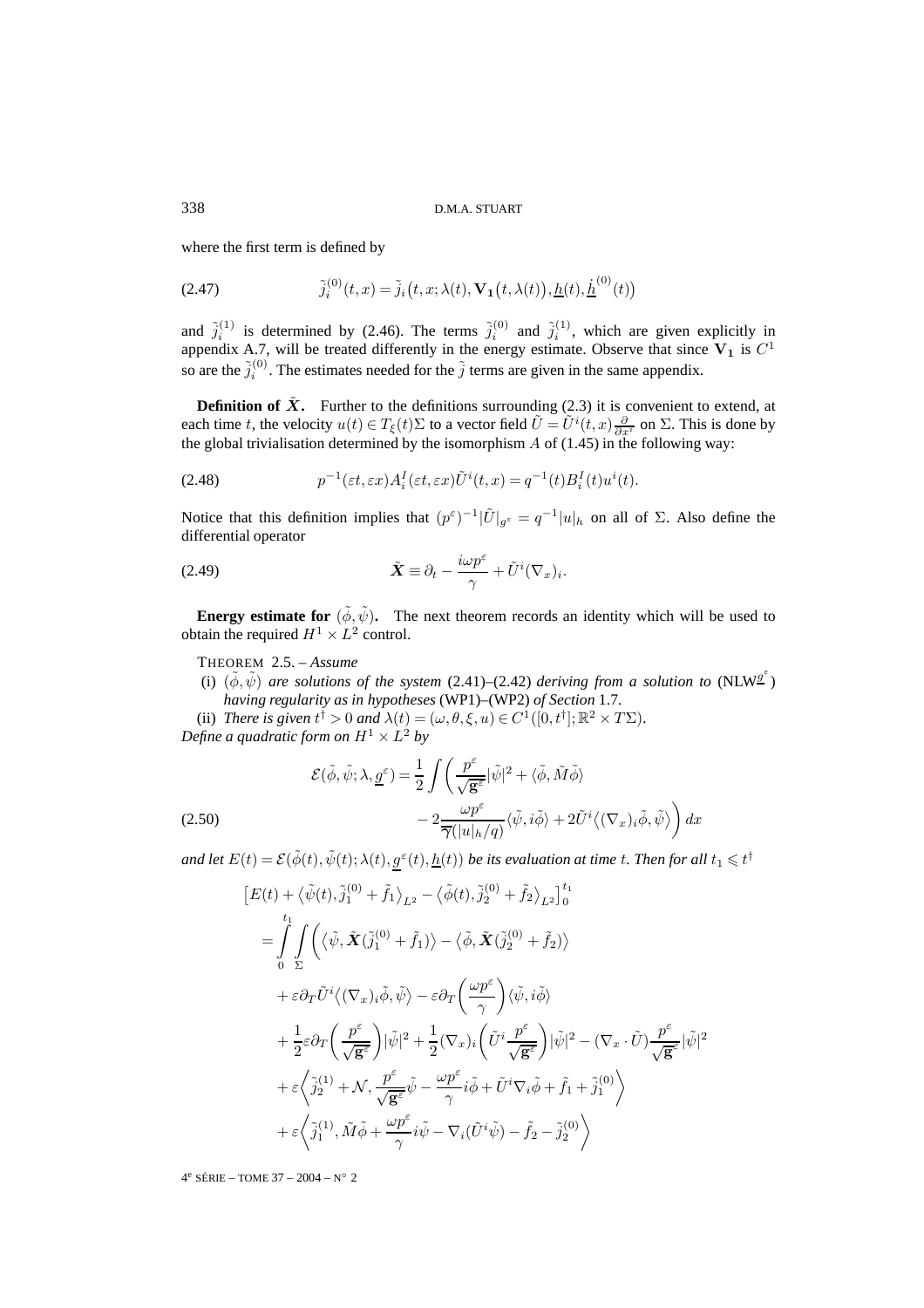where the first term is defined by

(2.47) 
$$
\tilde{j}_i^{(0)}(t,x) = \tilde{j}_i(t,x;\lambda(t),\mathbf{V_1}(t,\lambda(t)),\underline{h}(t),\underline{\dot{h}}^{(0)}(t))
$$

and  $\tilde{j}_i^{(1)}$  is determined by (2.46). The terms  $\tilde{j}_i^{(0)}$  and  $\tilde{j}_i^{(1)}$ , which are given explicitly in appendix A.7, will be treated differently in the energy estimate. Observe that since  $V_1$  is  $C^1$ so are the  $\tilde{j}_i^{(0)}$ . The estimates needed for the  $\tilde{j}$  terms are given in the same appendix.

**Definition of**  $\tilde{\mathbf{X}}$ **.** Further to the definitions surrounding (2.3) it is convenient to extend, at each time t, the velocity  $u(t) \in T_{\xi}(t)\Sigma$  to a vector field  $\tilde{U} = \tilde{U}^{i}(t,x) \frac{\partial}{\partial x^{i}}$  on  $\Sigma$ . This is done by the global trivialisation determined by the isomorphism  $A$  of (1.45) in the following way:

(2.48) 
$$
p^{-1}(\varepsilon t, \varepsilon x) A_i^I(\varepsilon t, \varepsilon x) \tilde{U}^i(t, x) = q^{-1}(t) B_i^I(t) u^i(t).
$$

Notice that this definition implies that  $(p^{\varepsilon})^{-1}|\tilde{U}|_{q^{\varepsilon}} = q^{-1}|u|_h$  on all of  $\Sigma$ . Also define the differential operator

(2.49) 
$$
\tilde{\boldsymbol{X}} \equiv \partial_t - \frac{i\omega p^{\varepsilon}}{\gamma} + \tilde{U}^i (\nabla_x)_i.
$$

**Energy estimate for**  $(\tilde{\phi}, \tilde{\psi})$ . The next theorem records an identity which will be used to obtain the required  $H^1 \times L^2$  control.

THEOREM 2.5. – *Assume*

- (i)  $(\tilde{\phi}, \tilde{\psi})$  are solutions of the system (2.41)–(2.42) deriving from a solution to (NLW<sup>g'</sup>) *having regularity as in hypotheses* (WP1)–(WP2) *of Section* 1.7*.*
- (ii) *There is given*  $t^{\dagger} > 0$  *and*  $\lambda(t) = (\omega, \theta, \xi, u) \in C^1([0, t^{\dagger}]; \mathbb{R}^2 \times T\Sigma)$ *. Define a quadratic form on*  $H^1 \times L^2$  *by*

(2.50)  
\n
$$
\mathcal{E}(\tilde{\phi}, \tilde{\psi}; \lambda, \underline{g}^{\varepsilon}) = \frac{1}{2} \int \left( \frac{p^{\varepsilon}}{\sqrt{\mathbf{g}^{\varepsilon}}} |\tilde{\psi}|^{2} + \langle \tilde{\phi}, \tilde{M}\tilde{\phi} \rangle \right)
$$
\n
$$
- 2 \frac{\omega p^{\varepsilon}}{\overline{\gamma}(|u|_{h}/q)} \langle \tilde{\psi}, i\tilde{\phi} \rangle + 2 \tilde{U}^{i} \langle (\nabla_{x})_{i} \tilde{\phi}, \tilde{\psi} \rangle \right) dx
$$

and let  $E(t)=\mathcal{E}(\tilde{\phi}(t),\tilde{\psi}(t);\lambda(t),g^\varepsilon(t),\underline{h}(t))$  be its evaluation at time  $t.$  Then for all  $t_1\leqslant t^\dagger$ 

$$
\begin{split} &\left[E(t)+\langle\tilde{\psi}(t),\tilde{j}_{1}^{(0)}+\tilde{f}_{1}\rangle_{L^{2}}-\langle\tilde{\phi}(t),\tilde{j}_{2}^{(0)}+\tilde{f}_{2}\rangle_{L^{2}}\right]_{0}^{t_{1}} \\ &=\int\limits_{0}^{t_{1}}\int\limits_{\Sigma}\Biggl(\langle\tilde{\psi},\tilde{\boldsymbol{X}}(\tilde{j}_{1}^{(0)}+\tilde{f}_{1})\rangle-\langle\tilde{\phi},\tilde{\boldsymbol{X}}(\tilde{j}_{2}^{(0)}+\tilde{f}_{2})\rangle \\ &+\varepsilon\partial_{T}\tilde{U}^{i}\biggl\langle(\nabla_{x})_{i}\tilde{\phi},\tilde{\psi}\biggr\rangle-\varepsilon\partial_{T}\Biggl(\frac{\omega p^{\varepsilon}}{\gamma}\Biggr)\langle\tilde{\psi},i\tilde{\phi}\rangle \\ &+\frac{1}{2}\varepsilon\partial_{T}\Biggl(\frac{p^{\varepsilon}}{\sqrt{\mathbf{g}^{\varepsilon}}}\Biggr)|\tilde{\psi}|^{2}+\frac{1}{2}(\nabla_{x})_{i}\Biggl(\tilde{U}^{i}\frac{p^{\varepsilon}}{\sqrt{\mathbf{g}^{\varepsilon}}}\Biggr)|\tilde{\psi}|^{2}-(\nabla_{x}\cdot\tilde{U})\frac{p^{\varepsilon}}{\sqrt{\mathbf{g}^{\varepsilon}}}| \tilde{\psi}|^{2} \\ &+\varepsilon\biggl\langle\tilde{\jmath}_{2}^{(1)}+\mathcal{N},\frac{p^{\varepsilon}}{\sqrt{\mathbf{g}^{\varepsilon}}}\tilde{\psi}-\frac{\omega p^{\varepsilon}}{\gamma}i\tilde{\phi}+\tilde{U}^{i}\nabla_{i}\tilde{\phi}+\tilde{f}_{1}+\tilde{j}_{1}^{(0)}\biggr\rangle \\ &+\varepsilon\biggl\langle\tilde{\jmath}_{1}^{(1)},\tilde{M}\tilde{\phi}+\frac{\omega p^{\varepsilon}}{\gamma}i\tilde{\psi}-\nabla_{i}(\tilde{U}^{i}\tilde{\psi})-\tilde{f}_{2}-\tilde{j}_{2}^{(0)}\biggr\rangle \end{split}
$$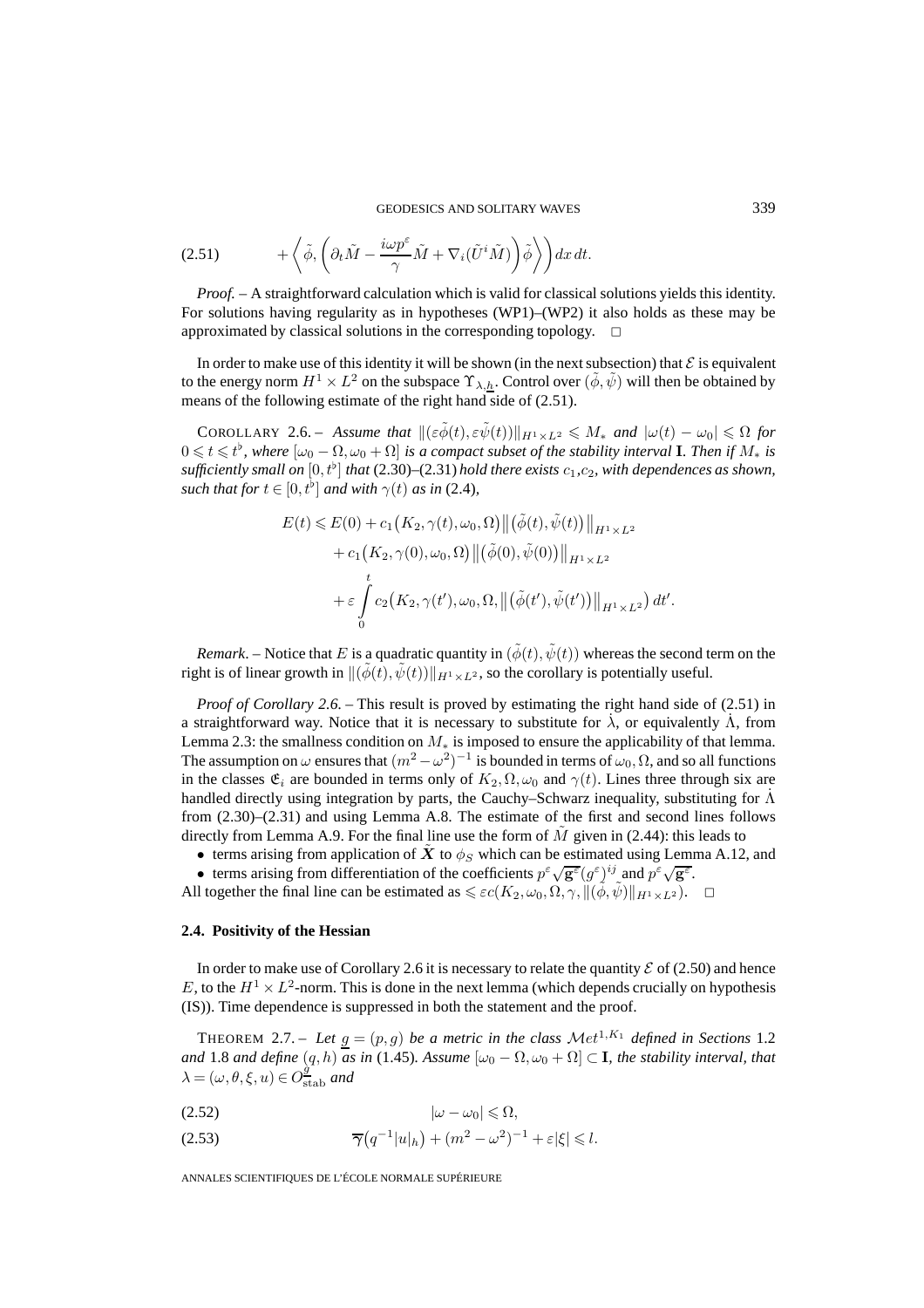(2.51) 
$$
+ \left\langle \tilde{\phi}, \left( \partial_t \tilde{M} - \frac{i\omega p^{\varepsilon}}{\gamma} \tilde{M} + \nabla_i (\tilde{U}^i \tilde{M}) \right) \tilde{\phi} \right\rangle dx dt.
$$

*Proof. –* A straightforward calculation which is valid for classical solutions yields this identity. For solutions having regularity as in hypotheses (WP1)–(WP2) it also holds as these may be approximated by classical solutions in the corresponding topology.  $\Box$ 

In order to make use of this identity it will be shown (in the next subsection) that  $\mathcal E$  is equivalent to the energy norm  $H^1 \times L^2$  on the subspace  $\Upsilon_{\lambda,h}$ . Control over  $(\tilde{\phi}, \tilde{\psi})$  will then be obtained by means of the following estimate of the right hand side of (2.51).

COROLLARY 2.6. – Assume that  $\|(\varepsilon \widetilde{\phi}(t), \varepsilon \widetilde{\psi}(t))\|_{H^1 \times L^2} \leqslant M_*$  and  $|\omega(t) - \omega_0| \leqslant \Omega$  for  $0 \leqslant t \leqslant t^{\flat}$ , where  $[\omega_0 - \Omega, \omega_0 + \Omega]$  is a compact subset of the stability interval **I**. Then if  $M_*$  is sufficiently small on  $[0,t^{\flat}]$  that (2.30)–(2.31) hold there exists  $c_1,c_2$ , with dependences as shown, *such that for*  $t \in [0, t^{\flat}]$  *and with*  $\gamma(t)$  *as in* (2.4)*,* 

$$
E(t) \leq E(0) + c_1(K_2, \gamma(t), \omega_0, \Omega) ||(\tilde{\phi}(t), \tilde{\psi}(t))||_{H^1 \times L^2}
$$
  
+ 
$$
c_1(K_2, \gamma(0), \omega_0, \Omega) ||(\tilde{\phi}(0), \tilde{\psi}(0))||_{H^1 \times L^2}
$$
  
+ 
$$
\varepsilon \int_0^t c_2(K_2, \gamma(t'), \omega_0, \Omega, ||(\tilde{\phi}(t'), \tilde{\psi}(t'))||_{H^1 \times L^2}) dt'
$$

*Remark*. – Notice that E is a quadratic quantity in  $(\tilde{\phi}(t), \tilde{\psi}(t))$  whereas the second term on the right is of linear growth in  $\|(\tilde{\phi}(t), \tilde{\psi}(t))\|_{H^1 \times L^2}$ , so the corollary is potentially useful.

*Proof of Corollary 2.6. – This result is proved by estimating the right hand side of (2.51) in* a straightforward way. Notice that it is necessary to substitute for  $\lambda$ , or equivalently  $\dot{\Lambda}$ , from Lemma 2.3: the smallness condition on  $M_*$  is imposed to ensure the applicability of that lemma. The assumption on  $\omega$  ensures that  $(m^2 - \omega^2)^{-1}$  is bounded in terms of  $\omega_0, \Omega$ , and so all functions in the classes  $\mathfrak{E}_i$  are bounded in terms only of  $K_2, \Omega, \omega_0$  and  $\gamma(t)$ . Lines three through six are handled directly using integration by parts, the Cauchy–Schwarz inequality, substituting for  $\Lambda$ from (2.30)–(2.31) and using Lemma A.8. The estimate of the first and second lines follows directly from Lemma A.9. For the final line use the form of  $M$  given in (2.44): this leads to

- terms arising from application of *X* to  $\phi_S$  which can be estimated using Lemma A.12, and
- terms arising from differentiation of the coefficients  $p^{\varepsilon}\sqrt{\mathbf{g}^{\varepsilon}}(g^{\varepsilon})^{ij}$  and  $p^{\varepsilon}\sqrt{\mathbf{g}^{\varepsilon}}$ .
- All together the final line can be estimated as  $\leqslant \varepsilon c(K_2, \omega_0, \Omega, \gamma, \|(\tilde{\phi}, \tilde{\psi})\|_{H^1 \times L^2})$ .  $\Box$

# **2.4. Positivity of the Hessian**

In order to make use of Corollary 2.6 it is necessary to relate the quantity  $\mathcal E$  of (2.50) and hence E, to the  $H^1 \times L^2$ -norm. This is done in the next lemma (which depends crucially on hypothesis (IS)). Time dependence is suppressed in both the statement and the proof.

THEOREM 2.7. – Let  $g = (p, g)$  be a metric in the class  $Met^{1,K_1}$  defined in Sections 1.2 *and* 1.8 *and define*  $(q, h)$  *as in* (1.45)*.* Assume  $[\omega_0 - \Omega, \omega_0 + \Omega] \subset I$ *, the stability interval, that*  $\lambda = (\omega, \theta, \xi, u) \in O_{\text{stab}}^{\frac{\partial}{\partial u}}$  *and* 

$$
|\omega - \omega_0| \leqslant \Omega,
$$

(2.53) 
$$
\overline{\gamma}(q^{-1}|u|_h) + (m^2 - \omega^2)^{-1} + \varepsilon |\xi| \leq l.
$$

ANNALES SCIENTIFIQUES DE L'ÉCOLE NORMALE SUPÉRIEURE

.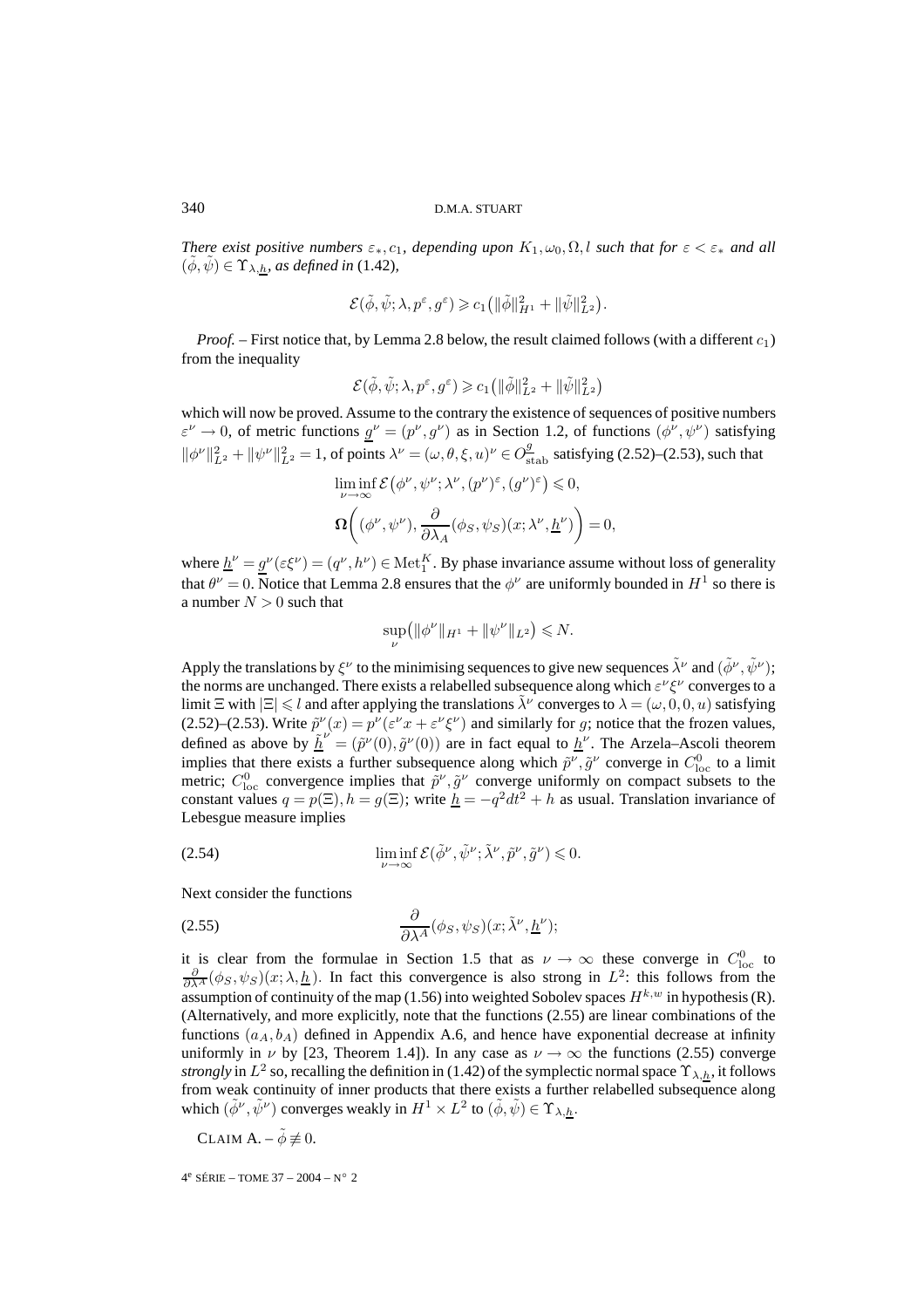#### 340 D.M.A. STUART

*There exist positive numbers*  $\varepsilon_*, c_1$ , depending upon  $K_1, \omega_0, \Omega, l$  *such that for*  $\varepsilon < \varepsilon_*$  *and all*  $(\phi, \psi) \in \Upsilon_{\lambda, h}$ *, as defined in* (1.42)*,* 

$$
\mathcal{E}(\tilde{\phi}, \tilde{\psi}; \lambda, p^{\varepsilon}, g^{\varepsilon}) \geqslant c_1 \left( \|\tilde{\phi}\|_{H^1}^2 + \|\tilde{\psi}\|_{L^2}^2 \right).
$$

*Proof.* – First notice that, by Lemma 2.8 below, the result claimed follows (with a different  $c_1$ ) from the inequality

$$
\mathcal{E}(\tilde{\phi},\tilde{\psi};\lambda,p^\varepsilon,g^\varepsilon)\geqslant c_1\big(\|\tilde{\phi}\|^2_{L^2}+\|\tilde{\psi}\|^2_{L^2}\big)
$$

which will now be proved. Assume to the contrary the existence of sequences of positive numbers  $\varepsilon^{\nu} \to 0$ , of metric functions  $g^{\nu} = (p^{\nu}, g^{\nu})$  as in Section 1.2, of functions  $(\phi^{\nu}, \psi^{\nu})$  satisfying  $\|\phi^{\nu}\|_{L^2}^2 + \|\psi^{\nu}\|_{L^2}^2 = 1$ , of points  $\lambda^{\nu} = (\omega, \theta, \xi, u)^{\nu} \in O_{\text{stab}}^9$  satisfying (2.52)–(2.53), such that

$$
\begin{aligned} &\liminf_{\nu\rightarrow\infty}\mathcal{E}\left(\phi^{\nu},\psi^{\nu};\lambda^{\nu},(p^{\nu})^{\varepsilon},(g^{\nu})^{\varepsilon}\right)\leqslant 0,\\ &\mathbf{\Omega}\bigg((\phi^{\nu},\psi^{\nu}),\frac{\partial}{\partial\lambda_{A}}(\phi_{S},\psi_{S})(x;\lambda^{\nu},\underline{h}^{\nu})\bigg)=0, \end{aligned}
$$

where  $\underline{h}^{\nu} = \underline{g}^{\nu}(\varepsilon \xi^{\nu}) = (q^{\nu}, h^{\nu}) \in \text{Met}_{1}^{K}$ . By phase invariance assume without loss of generality that  $\theta^{\nu} = 0$ . Notice that Lemma 2.8 ensures that the  $\phi^{\nu}$  are uniformly bounded in  $H^1$  so there is a number  $N > 0$  such that

$$
\sup_{\nu} (||\phi^{\nu}||_{H^1} + ||\psi^{\nu}||_{L^2}) \le N.
$$

Apply the translations by  $\xi^{\nu}$  to the minimising sequences to give new sequences  $\tilde{\lambda}^{\nu}$  and  $(\tilde{\phi}^{\nu}, \tilde{\psi}^{\nu})$ ; the norms are unchanged. There exists a relabelled subsequence along which  $\varepsilon^{\nu} \xi^{\nu}$  converges to a limit  $\Xi$  with  $|\Xi| \le l$  and after applying the translations  $\tilde{\lambda}^{\nu}$  converges to  $\lambda = (\omega, 0, 0, u)$  satisfying (2.52)–(2.53). Write  $\tilde{p}^{\nu}(x) = p^{\nu}(\varepsilon^{\nu}x + \varepsilon^{\nu}\xi^{\nu})$  and similarly for g; notice that the frozen values, defined as above by  $\tilde{\underline{h}}^{\nu} = (\tilde{p}^{\nu}(0), \tilde{g}^{\nu}(0))$  are in fact equal to  $\underline{h}^{\nu}$ . The Arzela–Ascoli theorem implies that there exists a further subsequence along which  $\tilde{p}^{\nu}, \tilde{g}^{\nu}$  converge in  $C_{\text{loc}}^0$  to a limit metric;  $C_{\text{loc}}^0$  convergence implies that  $\tilde{p}^{\nu}, \tilde{g}^{\nu}$  converge uniformly on compact subsets to the constant values  $q = p(\Xi)$ ,  $h = g(\Xi)$ ; write  $h = -q^2 dt^2 + h$  as usual. Translation invariance of Lebesgue measure implies

(2.54) 
$$
\liminf_{\nu \to \infty} \mathcal{E}(\tilde{\phi}^{\nu}, \tilde{\psi}^{\nu}; \tilde{\lambda}^{\nu}, \tilde{p}^{\nu}, \tilde{g}^{\nu}) \leq 0.
$$

Next consider the functions

(2.55) 
$$
\frac{\partial}{\partial \lambda^A}(\phi_S, \psi_S)(x; \tilde{\lambda}^{\nu}, \underline{h}^{\nu});
$$

it is clear from the formulae in Section 1.5 that as  $\nu \to \infty$  these converge in  $C_{\text{loc}}^0$  to  $\frac{\partial}{\partial \lambda^A}(\phi_S, \psi_S)(x; \lambda, \underline{h})$ . In fact this convergence is also strong in  $L^2$ : this follows from the assumption of continuity of the map (1.56) into weighted Sobolev spaces  $H^{k,w}$  in hypothesis (R). (Alternatively, and more explicitly, note that the functions (2.55) are linear combinations of the functions  $(a_A, b_A)$  defined in Appendix A.6, and hence have exponential decrease at infinity uniformly in  $\nu$  by [23, Theorem 1.4]). In any case as  $\nu \to \infty$  the functions (2.55) converge *strongly* in  $L^2$  so, recalling the definition in (1.42) of the symplectic normal space  $\Upsilon_{\lambda,h}$ , it follows from weak continuity of inner products that there exists a further relabelled subsequence along which  $(\tilde{\phi}^{\nu}, \tilde{\psi}^{\nu})$  converges weakly in  $H^1 \times L^2$  to  $(\tilde{\phi}, \tilde{\psi}) \in \Upsilon_{\lambda, h}$ .

CLAIM  $A - \tilde{\phi} \not\equiv 0$ .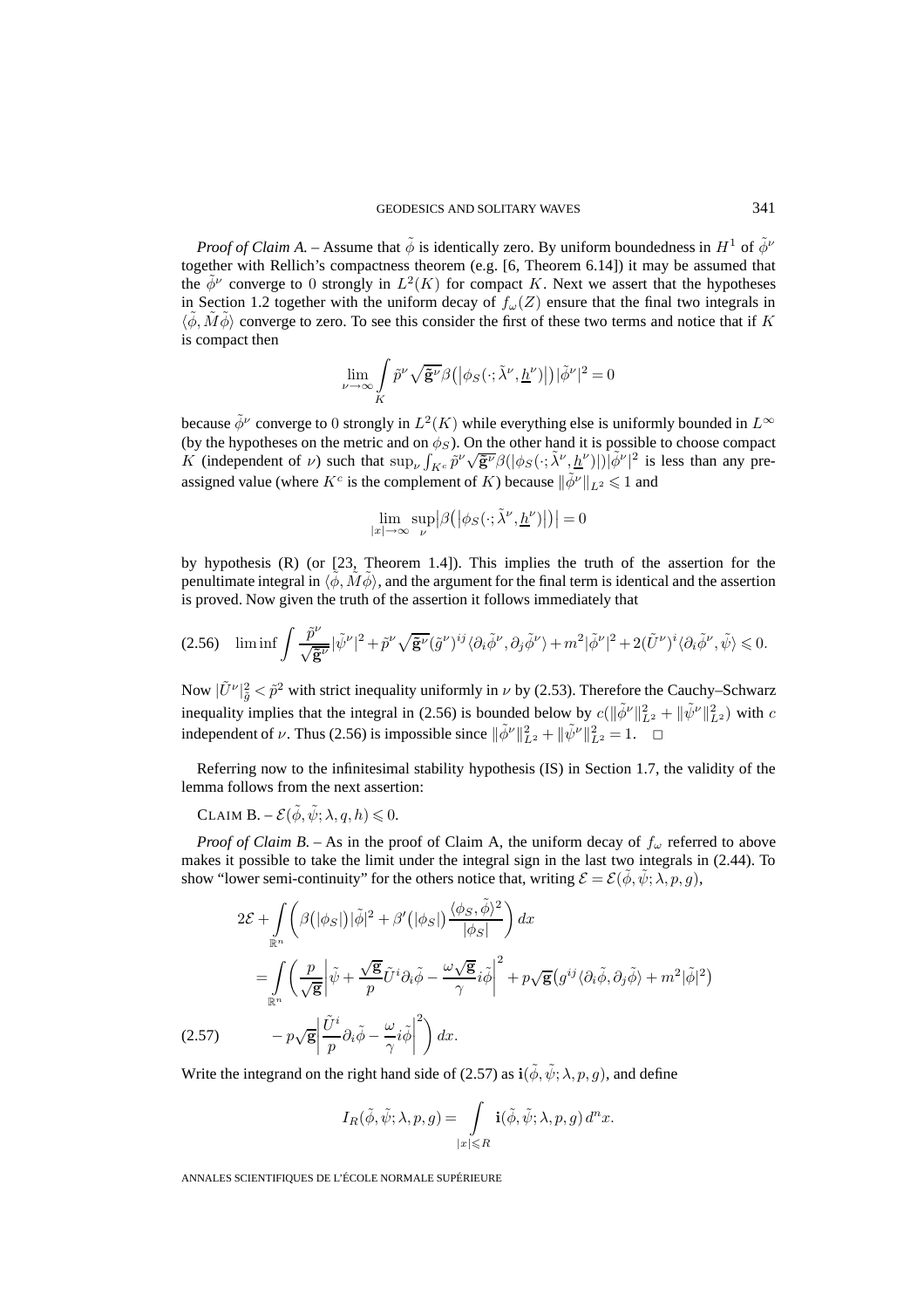*Proof of Claim A. –* Assume that  $\tilde{\phi}$  is identically zero. By uniform boundedness in  $H^1$  of  $\tilde{\phi}^{\nu}$ together with Rellich's compactness theorem (e.g. [6, Theorem 6.14]) it may be assumed that the  $\phi^{\nu}$  converge to 0 strongly in  $L^2(K)$  for compact K. Next we assert that the hypotheses in Section 1.2 together with the uniform decay of  $f_{\omega}(Z)$  ensure that the final two integrals in  $\langle \tilde{\phi}, \tilde{M} \tilde{\phi} \rangle$  converge to zero. To see this consider the first of these two terms and notice that if K is compact then

$$
\lim_{\nu \to \infty} \int\limits_K \tilde{p}^{\nu} \sqrt{\tilde{\mathbf{g}}^{\nu}} \beta\big( \big|\phi_S(\cdot;\tilde{\lambda}^{\nu},\underline{h}^{\nu})\big|\big) |\tilde{\phi}^{\nu}|^2 = 0
$$

because  $\tilde{\phi}^{\nu}$  converge to 0 strongly in  $L^{2}(K)$  while everything else is uniformly bounded in  $L^{\infty}$ (by the hypotheses on the metric and on  $\phi_S$ ). On the other hand it is possible to choose compact (by the hypotheses on the metric and on  $\varphi_S$ ). On the other hand it is possible to choose compact K (independent of v) such that  $\sup_{V} \int_{K^c} \tilde{p}^{\nu} \sqrt{\tilde{g}^{\nu}} \beta (|\phi_S(\cdot;\tilde{\lambda}^{\nu}, \underline{h}^{\nu})|) |\tilde{\phi}^{\nu}|^2$  is less than assigned value (where  $K^c$  is the complement of K) because  $\|\tilde{\phi}^{\nu}\|_{L^2} \leq 1$  and

$$
\lim_{|x| \to \infty} \sup_{\nu} \left| \beta\left( \left| \phi_S(\cdot; \tilde{\lambda}^{\nu}, \underline{h}^{\nu}) \right| \right) \right| = 0
$$

by hypothesis (R) (or [23, Theorem 1.4]). This implies the truth of the assertion for the penultimate integral in  $\langle \tilde{\phi}, \tilde{M} \tilde{\phi} \rangle$ , and the argument for the final term is identical and the assertion is proved. Now given the truth of the assertion it follows immediately that

$$
(2.56)\quad \liminf \int \frac{\tilde{p}^{\nu}}{\sqrt{\tilde{\mathbf{g}}^{\nu}}} |\tilde{\psi}^{\nu}|^{2} + \tilde{p}^{\nu} \sqrt{\tilde{\mathbf{g}}^{\nu}} (\tilde{g}^{\nu})^{ij} \langle \partial_{i} \tilde{\phi}^{\nu}, \partial_{j} \tilde{\phi}^{\nu} \rangle + m^{2} |\tilde{\phi}^{\nu}|^{2} + 2(\tilde{U}^{\nu})^{i} \langle \partial_{i} \tilde{\phi}^{\nu}, \tilde{\psi} \rangle \leq 0.
$$

Now  $|\tilde{U}^{\nu}|_{\tilde{g}}^2 < \tilde{p}^2$  with strict inequality uniformly in  $\nu$  by (2.53). Therefore the Cauchy–Schwarz inequality implies that the integral in (2.56) is bounded below by  $c(\|\tilde{\phi}^{\nu}\|_{L^2}^2 + \|\tilde{\psi}^{\nu}\|_{L^2}^2)$  with c independent of  $\nu$ . Thus (2.56) is impossible since  $\|\tilde{\phi}^{\nu}\|_{L^2}^2 + \|\tilde{\psi}^{\nu}\|_{L^2}^2 = 1$ .

Referring now to the infinitesimal stability hypothesis (IS) in Section 1.7, the validity of the lemma follows from the next assertion:

CLAIM  $\mathbf{B}.\;-\mathcal{E}(\tilde{\phi},\tilde{\psi};\lambda,q,h)\leqslant 0.$ 

*Proof of Claim B.* – As in the proof of Claim A, the uniform decay of  $f_{\omega}$  referred to above makes it possible to take the limit under the integral sign in the last two integrals in (2.44). To show "lower semi-continuity" for the others notice that, writing  $\mathcal{E} = \mathcal{E}(\tilde{\phi}, \tilde{\psi}; \lambda, p, q)$ ,

$$
2\mathcal{E} + \int_{\mathbb{R}^n} \left( \beta(|\phi_S|) |\tilde{\phi}|^2 + \beta'(|\phi_S|) \frac{\langle \phi_S, \tilde{\phi} \rangle^2}{|\phi_S|} \right) dx
$$
  
= 
$$
\int_{\mathbb{R}^n} \left( \frac{p}{\sqrt{\mathbf{g}}} \left| \tilde{\psi} + \frac{\sqrt{\mathbf{g}}}{p} \tilde{U}^i \partial_i \tilde{\phi} - \frac{\omega \sqrt{\mathbf{g}}}{\gamma} i \tilde{\phi} \right|^2 + p \sqrt{\mathbf{g}} \left( g^{ij} \langle \partial_i \tilde{\phi}, \partial_j \tilde{\phi} \rangle + m^2 |\tilde{\phi}|^2 \right)
$$
  
(2.57) 
$$
- p \sqrt{\mathbf{g}} \left| \frac{\tilde{U}^i}{p} \partial_i \tilde{\phi} - \frac{\omega}{\gamma} i \tilde{\phi} \right|^2 \right) dx.
$$

Write the integrand on the right hand side of (2.57) as  $\mathbf{i}(\tilde{\phi}, \tilde{\psi}; \lambda, p, g)$ , and define

$$
I_R(\tilde{\phi}, \tilde{\psi}; \lambda, p, g) = \int_{|x| \le R} \mathbf{i}(\tilde{\phi}, \tilde{\psi}; \lambda, p, g) d^n x.
$$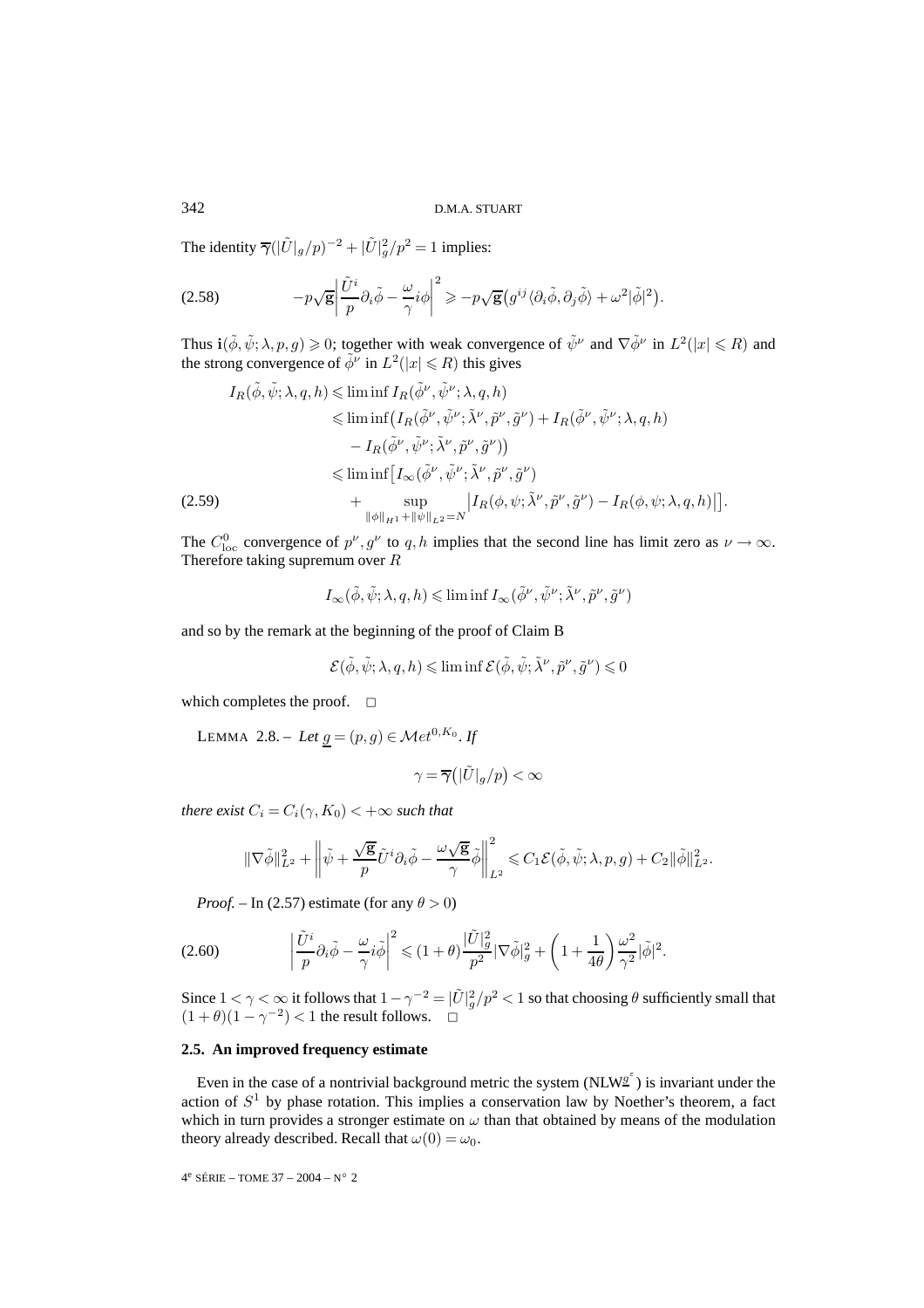The identity  $\overline{\gamma}(|\tilde{U}|_g/p)^{-2} + |\tilde{U}|_g^2/p^2 = 1$  implies:

(2.58) 
$$
-p\sqrt{\mathbf{g}}\left|\frac{\tilde{U}^i}{p}\partial_i\tilde{\phi}-\frac{\omega}{\gamma}i\phi\right|^2\geq -p\sqrt{\mathbf{g}}\left(g^{ij}\langle\partial_i\tilde{\phi},\partial_j\tilde{\phi}\rangle+\omega^2|\tilde{\phi}|^2\right).
$$

Thus  $\mathbf{i}(\tilde{\phi}, \tilde{\psi}; \lambda, p, g) \geq 0$ ; together with weak convergence of  $\tilde{\psi}^{\nu}$  and  $\nabla \tilde{\phi}^{\nu}$  in  $L^2(|x| \leq R)$  and the strong convergence of  $\tilde{\phi}^{\nu}$  in  $L^2(|x| \le R)$  this gives

$$
I_R(\tilde{\phi}, \tilde{\psi}; \lambda, q, h) \leq \liminf I_R(\tilde{\phi}^{\nu}, \tilde{\psi}^{\nu}; \lambda, q, h)
$$
  
\n
$$
\leq \liminf \left( I_R(\tilde{\phi}^{\nu}, \tilde{\psi}^{\nu}; \tilde{\lambda}^{\nu}, \tilde{p}^{\nu}, \tilde{g}^{\nu}) + I_R(\tilde{\phi}^{\nu}, \tilde{\psi}^{\nu}; \lambda, q, h) \right)
$$
  
\n
$$
- I_R(\tilde{\phi}^{\nu}, \tilde{\psi}^{\nu}; \tilde{\lambda}^{\nu}, \tilde{p}^{\nu}, \tilde{g}^{\nu})
$$
  
\n
$$
\leq \liminf \left[ I_{\infty}(\tilde{\phi}^{\nu}, \tilde{\psi}^{\nu}; \tilde{\lambda}^{\nu}, \tilde{p}^{\nu}, \tilde{g}^{\nu}) + \sup_{\|\phi\|_{H^1} + \|\psi\|_{L^2} = N} \left| I_R(\phi, \psi; \tilde{\lambda}^{\nu}, \tilde{p}^{\nu}, \tilde{g}^{\nu}) - I_R(\phi, \psi; \lambda, q, h) \right| \right].
$$

The  $C_{\text{loc}}^0$  convergence of  $p^{\nu}, g^{\nu}$  to q, h implies that the second line has limit zero as  $\nu \to \infty$ . Therefore taking supremum over R

$$
I_\infty(\tilde{\phi},\tilde{\psi};\lambda,q,h)\leqslant \liminf I_\infty(\tilde{\phi}^\nu,\tilde{\psi}^\nu;\tilde{\lambda}^\nu,\tilde{p}^\nu,\tilde{g}^\nu)
$$

and so by the remark at the beginning of the proof of Claim B

$$
\mathcal{E}(\tilde{\phi},\tilde{\psi};\lambda,q,h)\leqslant\liminf\mathcal{E}(\tilde{\phi},\tilde{\psi};\tilde{\lambda}^{\nu},\tilde{p}^{\nu},\tilde{g}^{\nu})\leqslant0
$$

which completes the proof.  $\square$ 

LEMMA 2.8. – Let  $g = (p, g) \in \mathcal{M}et^{0, K_0}$ . If

$$
\gamma = \overline{\gamma}\big(|\tilde{U}|_g/p\big) < \infty
$$

*there exist*  $C_i = C_i(\gamma, K_0) < +\infty$  *such that* 

$$
\|\nabla \tilde \phi\|_{L^2}^2 + \left\| \tilde \psi + \frac{\sqrt{g}}{p} \tilde U^i \partial_i \tilde \phi - \frac{\omega \sqrt{g}}{\gamma} \tilde \phi \right\|_{L^2}^2 \leqslant C_1 \mathcal{E}(\tilde \phi, \tilde \psi; \lambda, p, g) + C_2 \| \tilde \phi\|_{L^2}^2.
$$

*Proof.* – In (2.57) estimate (for any  $\theta > 0$ )

$$
(2.60) \qquad \left|\frac{\tilde{U}^i}{p}\partial_i\tilde{\phi} - \frac{\omega}{\gamma}i\tilde{\phi}\right|^2 \leq (1+\theta)\frac{|\tilde{U}|_g^2}{p^2}|\nabla\tilde{\phi}|_g^2 + \left(1 + \frac{1}{4\theta}\right)\frac{\omega^2}{\gamma^2}|\tilde{\phi}|^2.
$$

Since  $1 < \gamma < \infty$  it follows that  $1 - \gamma^{-2} = |\tilde{U}|_g^2/p^2 < 1$  so that choosing  $\theta$  sufficiently small that  $(1 + \theta)(1 - \gamma^{-2}) < 1$  the result follows.  $\Box$ 

# **2.5. An improved frequency estimate**

Even in the case of a nontrivial background metric the system (NLW<sup> $g^{\epsilon}$ </sup>) is invariant under the action of  $S<sup>1</sup>$  by phase rotation. This implies a conservation law by Noether's theorem, a fact which in turn provides a stronger estimate on  $\omega$  than that obtained by means of the modulation theory already described. Recall that  $\omega(0) = \omega_0$ .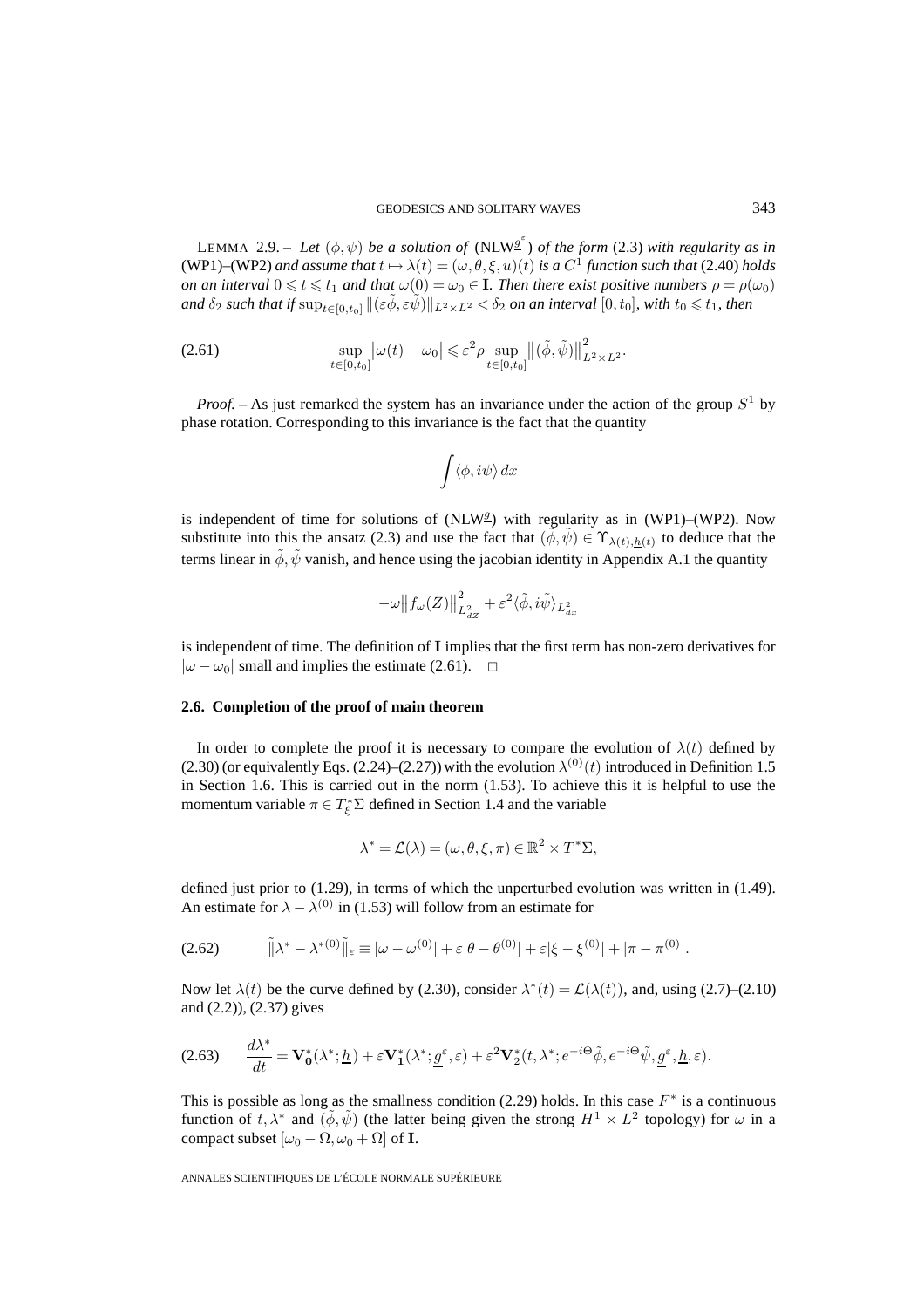LEMMA 2.9. – Let  $(\phi, \psi)$  be a solution of  $(NLW^{\mathcal{G}^{\varepsilon}})$  of the form (2.3) with regularity as in (WP1)–(WP2) and assume that  $t \mapsto \lambda(t) = (\omega, \theta, \xi, u)(t)$  is a  $C^1$  function such that (2.40) holds *on an interval*  $0 \le t \le t_1$  *and that*  $\omega(0) = \omega_0 \in I$ *. Then there exist positive numbers*  $\rho = \rho(\omega_0)$  $and\ \delta_2 \ such\ that\ if \ \sup_{t\in [0,t_0]}\|(\varepsilon\~\phi, \varepsilon\~\psi)\|_{L^2\times L^2}<\delta_2\ on\ an\ interval\ [0,t_0],$  with  $t_0\leqslant t_1$ , then

(2.61) 
$$
\sup_{t\in[0,t_0]} \left|\omega(t)-\omega_0\right| \leqslant \varepsilon^2 \rho \sup_{t\in[0,t_0]} \left\|(\tilde{\phi},\tilde{\psi})\right\|_{L^2\times L^2}^2.
$$

*Proof.* – As just remarked the system has an invariance under the action of the group  $S<sup>1</sup>$  by phase rotation. Corresponding to this invariance is the fact that the quantity

$$
\int \langle \phi, i\psi \rangle\,dx
$$

is independent of time for solutions of  $(NLW<sup>2</sup>)$  with regularity as in  $(WP1)$ – $(WP2)$ . Now substitute into this the ansatz (2.3) and use the fact that  $(\phi, \psi) \in \Upsilon_{\lambda(t),h(t)}$  to deduce that the terms linear in  $\tilde{\phi}$ ,  $\tilde{\psi}$  vanish, and hence using the jacobian identity in Appendix A.1 the quantity

$$
-\omega \|f_{\omega}(Z)\|_{L_{dZ}^2}^2 + \varepsilon^2 \langle \tilde{\phi}, i\tilde{\psi} \rangle_{L_{d\omega}^2}
$$

is independent of time. The definition of **I** implies that the first term has non-zero derivatives for  $|\omega - \omega_0|$  small and implies the estimate (2.61).  $\Box$ 

# **2.6. Completion of the proof of main theorem**

In order to complete the proof it is necessary to compare the evolution of  $\lambda(t)$  defined by (2.30) (or equivalently Eqs. (2.24)–(2.27)) with the evolution  $\lambda^{(0)}(t)$  introduced in Definition 1.5 in Section 1.6. This is carried out in the norm  $(1.53)$ . To achieve this it is helpful to use the momentum variable  $\pi \in T_{\xi}^* \Sigma$  defined in Section 1.4 and the variable

$$
\lambda^* = \mathcal{L}(\lambda) = (\omega, \theta, \xi, \pi) \in \mathbb{R}^2 \times T^* \Sigma,
$$

defined just prior to (1.29), in terms of which the unperturbed evolution was written in (1.49). An estimate for  $\lambda - \lambda^{(0)}$  in (1.53) will follow from an estimate for

(2.62) 
$$
\|\lambda^* - \lambda^{*(0)}\|_{\varepsilon} \equiv |\omega - \omega^{(0)}| + \varepsilon |\theta - \theta^{(0)}| + \varepsilon |\xi - \xi^{(0)}| + |\pi - \pi^{(0)}|.
$$

Now let  $\lambda(t)$  be the curve defined by (2.30), consider  $\lambda^*(t) = \mathcal{L}(\lambda(t))$ , and, using (2.7)–(2.10) and (2.2)), (2.37) gives

$$
(2.63) \qquad \frac{d\lambda^*}{dt} = \mathbf{V}_0^*(\lambda^*; \underline{h}) + \varepsilon \mathbf{V}_1^*(\lambda^*; \underline{g}^\varepsilon, \varepsilon) + \varepsilon^2 \mathbf{V}_2^*(t, \lambda^*; e^{-i\Theta} \tilde{\phi}, e^{-i\Theta} \tilde{\psi}, \underline{g}^\varepsilon, \underline{h}, \varepsilon).
$$

This is possible as long as the smallness condition (2.29) holds. In this case  $F^*$  is a continuous function of  $t, \lambda^*$  and  $(\phi, \tilde{\psi})$  (the latter being given the strong  $H^1 \times L^2$  topology) for  $\omega$  in a compact subset  $[\omega_0 - \Omega, \omega_0 + \Omega]$  of **I**.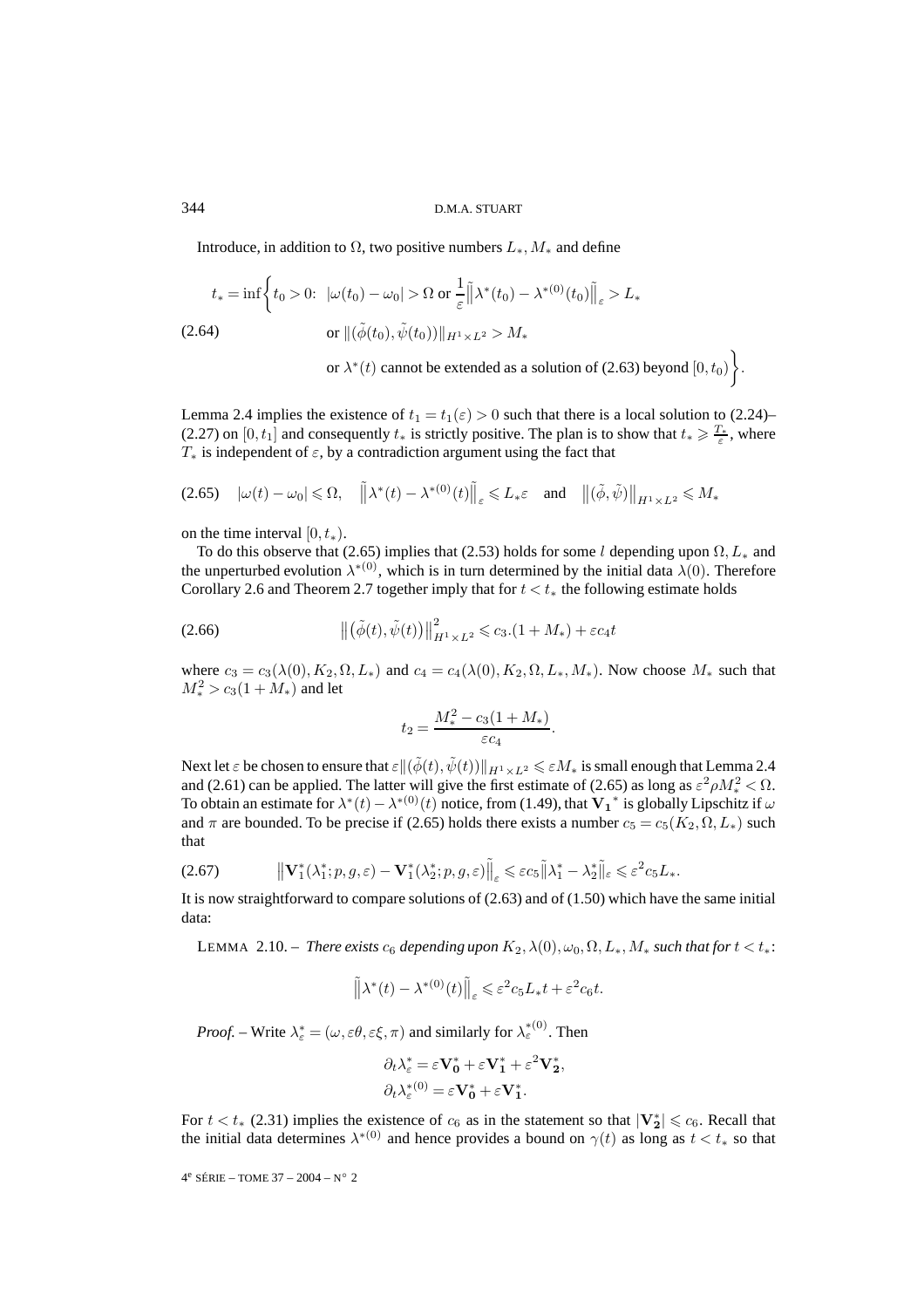Introduce, in addition to  $\Omega$ , two positive numbers  $L_*, M_*$  and define

$$
t_* = \inf \left\{ t_0 > 0: \ |\omega(t_0) - \omega_0| > \Omega \text{ or } \frac{1}{\varepsilon} ||\lambda^*(t_0) - \lambda^{*(0)}(t_0)||_{\varepsilon} > L_* \right\}
$$
  
(2.64) or  $||(\tilde{\phi}(t_0), \tilde{\psi}(t_0))||_{H^1 \times L^2} > M_*$ 

or  $\lambda^*(t)$  cannot be extended as a solution of (2.63) beyond  $[0, t_0)$ .

Lemma 2.4 implies the existence of  $t_1 = t_1(\varepsilon) > 0$  such that there is a local solution to (2.24)– (2.27) on [0,  $t_1$ ] and consequently  $t_*$  is strictly positive. The plan is to show that  $t_* \geq \frac{T_*}{\varepsilon}$ , where  $T_*$  is independent of  $\varepsilon$ , by a contradiction argument using the fact that

$$
(2.65) \quad |\omega(t) - \omega_0| \leq \Omega, \quad \left\| \lambda^*(t) - \lambda^{*(0)}(t) \right\|_{\varepsilon} \leq L_* \varepsilon \quad \text{and} \quad \left\| (\tilde{\phi}, \tilde{\psi}) \right\|_{H^1 \times L^2} \leqslant M_*
$$

on the time interval  $[0, t_*)$ .

To do this observe that (2.65) implies that (2.53) holds for some l depending upon  $\Omega, L_*$  and the unperturbed evolution  $\lambda^{*(0)}$ , which is in turn determined by the initial data  $\lambda(0)$ . Therefore Corollary 2.6 and Theorem 2.7 together imply that for  $t < t_*$  the following estimate holds

(2.66) 
$$
\|(\tilde{\phi}(t), \tilde{\psi}(t))\|_{H^1 \times L^2}^2 \leq c_3.(1 + M_*) + \varepsilon c_4 t
$$

where  $c_3 = c_3(\lambda(0), K_2, \Omega, L_*)$  and  $c_4 = c_4(\lambda(0), K_2, \Omega, L_*, M_*)$ . Now choose  $M_*$  such that  $M_*^2 > c_3(1 + M_*)$  and let

$$
t_2 = \frac{M_*^2 - c_3(1 + M_*)}{\varepsilon c_4}.
$$

Next let  $\varepsilon$  be chosen to ensure that  $\varepsilon\|(\tilde{\phi}(t),\tilde{\psi}(t))\|_{H^1\times L^2}\leqslant\varepsilon M_*$  is small enough that Lemma 2.4 and (2.61) can be applied. The latter will give the first estimate of (2.65) as long as  $\varepsilon^2 \rho M_*^2 < \Omega$ . To obtain an estimate for  $\lambda^*(t) - \lambda^{*(0)}(t)$  notice, from (1.49), that  $V_1^*$  is globally Lipschitz if  $\omega$ and  $\pi$  are bounded. To be precise if (2.65) holds there exists a number  $c_5 = c_5(K_2, \Omega, L_*)$  such that

$$
(2.67) \t\t\t \t\t\t \t\t\t \t\t\t \t\t\t \t\t \mathbf{W}_1^*(\lambda_1^*; p, g, \varepsilon) - \mathbf{V}_1^*(\lambda_2^*; p, g, \varepsilon) \t\t \t\t \t\t \t\t \t\t \t\t \t\t \t\t \t\t \t\t \t\t \t\t \mathbf{W}_2^* \mathbb{I}_{\varepsilon} \leq \varepsilon^2 c_5 L_*.
$$

It is now straightforward to compare solutions of (2.63) and of (1.50) which have the same initial data:

LEMMA 2.10. – *There exists*  $c_6$  *depending upon*  $K_2$ ,  $\lambda(0)$ ,  $\omega_0$ ,  $\Omega$ ,  $L_*, M_*$  *such that for*  $t < t_*$ :

$$
\tilde{\|\lambda^*(t) - \lambda^{*(0)}(t)\|_{\varepsilon} \leq \varepsilon^2 c_5 L_* t + \varepsilon^2 c_6 t.
$$

*Proof.* – Write  $\lambda_{\varepsilon}^* = (\omega, \varepsilon \theta, \varepsilon \xi, \pi)$  and similarly for  $\lambda_{\varepsilon}^{*(0)}$ . Then

$$
\partial_t \lambda_{\varepsilon}^* = \varepsilon \mathbf{V}_0^* + \varepsilon \mathbf{V}_1^* + \varepsilon^2 \mathbf{V}_2^*,
$$
  

$$
\partial_t \lambda_{\varepsilon}^{*(0)} = \varepsilon \mathbf{V}_0^* + \varepsilon \mathbf{V}_1^*.
$$

For  $t < t_*$  (2.31) implies the existence of  $c_6$  as in the statement so that  $|\mathbf{V}_2^*| \leq c_6$ . Recall that the initial data determines  $\lambda^{*(0)}$  and hence provides a bound on  $\gamma(t)$  as long as  $t < t_*$  so that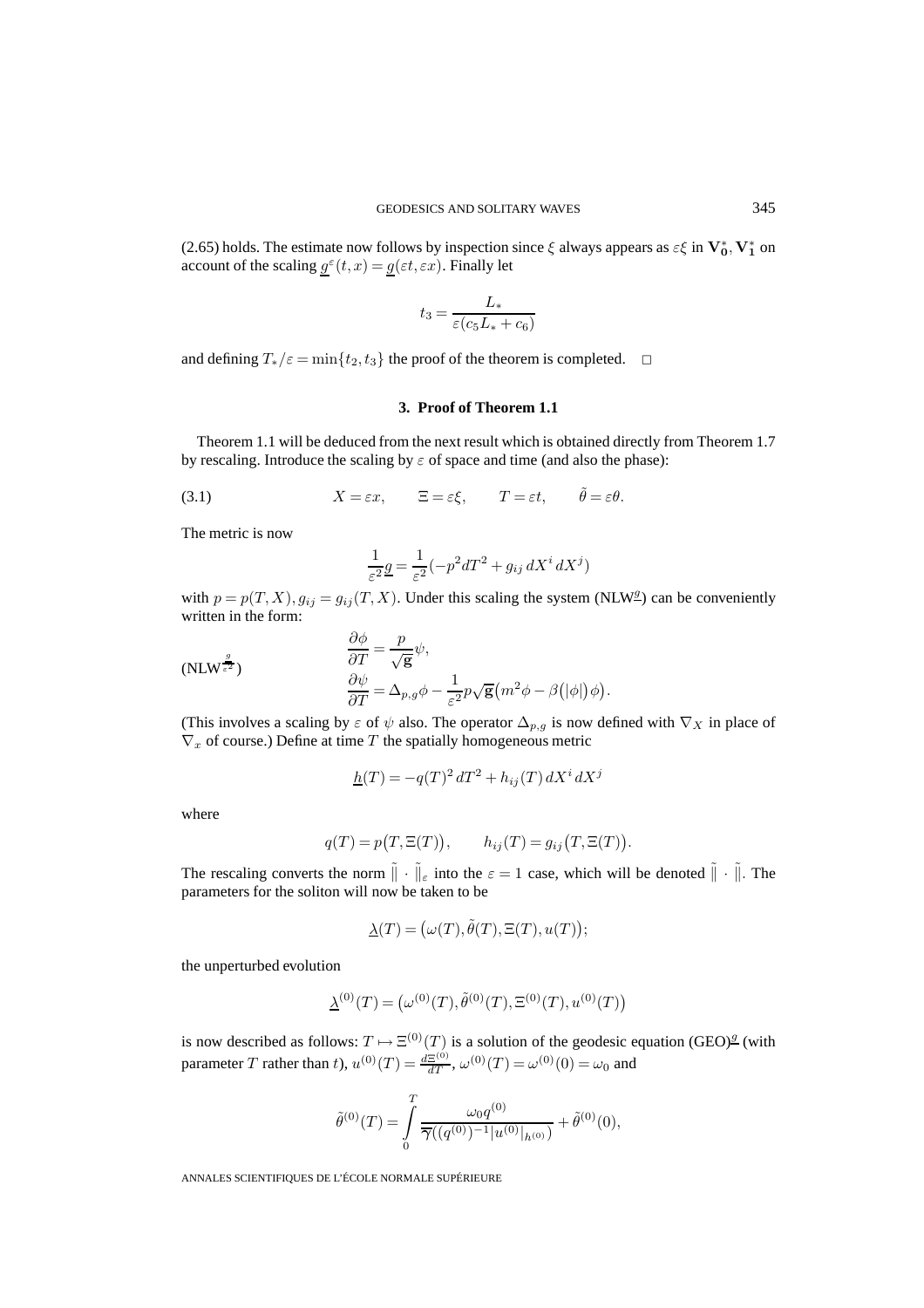(2.65) holds. The estimate now follows by inspection since  $\xi$  always appears as  $\varepsilon \xi$  in  $V_0^*$ ,  $V_1^*$  on account of the scaling  $g^{\varepsilon}(t, x) = g(\varepsilon t, \varepsilon x)$ . Finally let

$$
t_3 = \frac{L_*}{\varepsilon (c_5 L_* + c_6)}
$$

and defining  $T_*/\varepsilon = \min\{t_2, t_3\}$  the proof of the theorem is completed.  $\Box$ 

# **3. Proof of Theorem 1.1**

Theorem 1.1 will be deduced from the next result which is obtained directly from Theorem 1.7 by rescaling. Introduce the scaling by  $\varepsilon$  of space and time (and also the phase):

(3.1) 
$$
X = \varepsilon x
$$
,  $\Xi = \varepsilon \xi$ ,  $T = \varepsilon t$ ,  $\tilde{\theta} = \varepsilon \theta$ .

The metric is now

$$
\frac{1}{\varepsilon^2} \underline{g} = \frac{1}{\varepsilon^2} \left( -p^2 dT^2 + g_{ij} dX^i dX^j \right)
$$

with  $p = p(T, X), g_{ij} = g_{ij}(T, X)$ . Under this scaling the system (NLW<sup>g</sup>) can be conveniently written in the form:

$$
\frac{\partial \phi}{\partial T} = \frac{p}{\sqrt{\mathbf{g}}} \psi,
$$
\n
$$
\frac{\partial \psi}{\partial T} = \Delta_{p,g} \phi - \frac{1}{\varepsilon^2} p \sqrt{\mathbf{g}} \left( m^2 \phi - \beta (|\phi|) \phi \right)
$$

(This involves a scaling by  $\varepsilon$  of  $\psi$  also. The operator  $\Delta_{p,g}$  is now defined with  $\nabla_X$  in place of  $\nabla_x$  of course.) Define at time T the spatially homogeneous metric

.

$$
\underline{h}(T) = -q(T)^2 dT^2 + h_{ij}(T) dX^i dX^j
$$

where

$$
q(T) = p(T, \Xi(T)), \qquad h_{ij}(T) = g_{ij}(T, \Xi(T)).
$$

The rescaling converts the norm  $\|\cdot\|_{\varepsilon}$  into the  $\varepsilon = 1$  case, which will be denoted  $\|\cdot\|$ . The parameters for the soliton will now be taken to be

$$
\underline{\lambda}(T)=\big(\omega(T),\tilde{\theta}(T),\Xi(T),u(T)\big);
$$

the unperturbed evolution

$$
\underline{\lambda}^{(0)}(T) = (\omega^{(0)}(T), \tilde{\theta}^{(0)}(T), \Xi^{(0)}(T), u^{(0)}(T))
$$

is now described as follows:  $T \mapsto \Xi^{(0)}(T)$  is a solution of the geodesic equation (GEO)<sup>*g*</sup> (with parameter T rather than t),  $u^{(0)}(T) = \frac{dZ^{(0)}}{dT}$ ,  $\omega^{(0)}(T) = \omega^{(0)}(0) = \omega_0$  and

$$
\tilde{\theta}^{(0)}(T) = \int_{0}^{T} \frac{\omega_0 q^{(0)}}{\overline{\gamma}((q^{(0)})^{-1}|u^{(0)}|_{h^{(0)}})} + \tilde{\theta}^{(0)}(0),
$$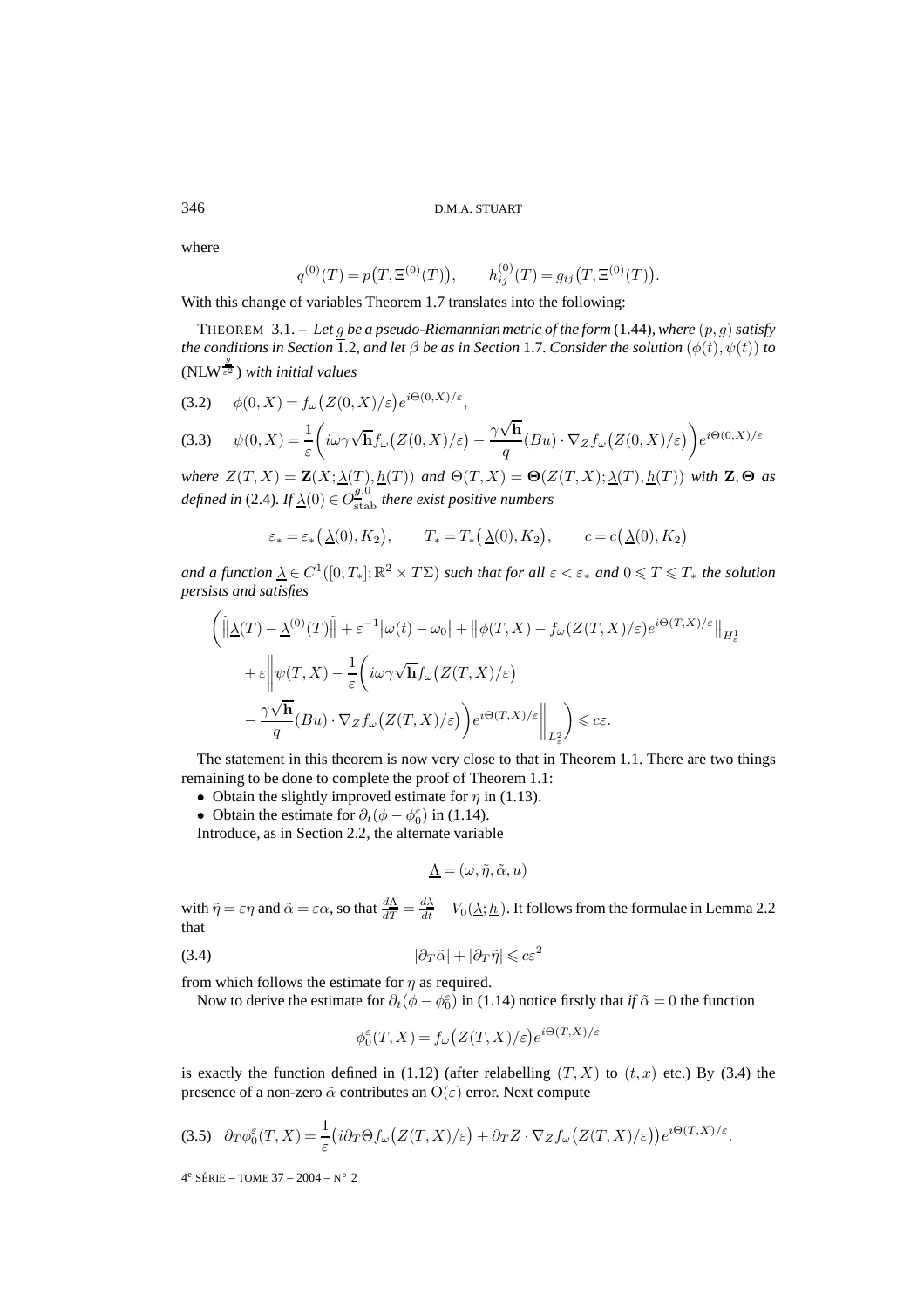where

$$
q^{(0)}(T) = p(T, \Xi^{(0)}(T)),
$$
  $h_{ij}^{(0)}(T) = g_{ij}(T, \Xi^{(0)}(T)).$ 

With this change of variables Theorem 1.7 translates into the following:

THEOREM 3.1. – *Let* g *be a pseudo-Riemannian metric of the form* (1.44)*, where* (p, g)*satisfy the conditions in Section* 1.2, and let  $\beta$  *be as in Section* 1.7*. Consider the solution*  $(\phi(t), \psi(t))$  *to*  $(NLW^{\frac{g}{\varepsilon^2}})$  with initial values

$$
(3.2) \quad \phi(0, X) = f_{\omega}\big(Z(0, X)/\varepsilon\big)e^{i\Theta(0, X)/\varepsilon},
$$

(3.3) 
$$
\psi(0,X) = \frac{1}{\varepsilon} \left( i\omega \gamma \sqrt{\mathbf{h}} f_{\omega} (Z(0,X)/\varepsilon) - \frac{\gamma \sqrt{\mathbf{h}}}{q} (Bu) \cdot \nabla_Z f_{\omega} (Z(0,X)/\varepsilon) \right) e^{i\Theta(0,X)/\varepsilon}
$$

*where*  $Z(T, X) = \mathbf{Z}(X; \underline{\lambda}(T), \underline{h}(T))$  *and*  $\Theta(T, X) = \Theta(Z(T, X); \underline{\lambda}(T), \underline{h}(T))$  *with*  $\mathbf{Z}, \Theta$  *as defined in* (2.4). If  $\underline{\lambda}(0) \in O^{g,0}_\text{stab}$  there exist positive numbers

$$
\varepsilon_* = \varepsilon_* \big(\Delta(0), K_2\big), \qquad T_* = T_* \big(\Delta(0), K_2\big), \qquad c = c \big(\Delta(0), K_2\big)
$$

and a function  $\underline{\lambda} \in C^1([0,T_*];\mathbb{R}^2\times T\Sigma)$  such that for all  $\varepsilon < \varepsilon_*$  and  $0 \leqslant T \leqslant T_*$  the solution *persists and satisfies*

$$
\begin{aligned}\n&\left(\left\|\underline{\lambda}(T) - \underline{\lambda}^{(0)}(T)\right\| + \varepsilon^{-1}|\omega(t) - \omega_0| + \left\|\phi(T, X) - f_\omega(Z(T, X)/\varepsilon)e^{i\Theta(T, X)/\varepsilon}\right\|_{H^1_\varepsilon} \\
&+ \varepsilon \left\|\psi(T, X) - \frac{1}{\varepsilon}\left(i\omega\gamma\sqrt{\mathbf{h}}f_\omega(Z(T, X)/\varepsilon)\right)\right. \\
&\left. - \frac{\gamma\sqrt{\mathbf{h}}}{q}(Bu) \cdot \nabla_Z f_\omega(Z(T, X)/\varepsilon)\right)e^{i\Theta(T, X)/\varepsilon}\right\|_{L^2_\varepsilon}\right\} \leq c\varepsilon.\n\end{aligned}
$$

The statement in this theorem is now very close to that in Theorem 1.1. There are two things remaining to be done to complete the proof of Theorem 1.1:

- Obtain the slightly improved estimate for  $\eta$  in (1.13).
- Obtain the estimate for  $\partial_t(\phi \phi_0^{\epsilon})$  in (1.14).

Introduce, as in Section 2.2, the alternate variable

$$
\underline{\Lambda} = (\omega, \tilde{\eta}, \tilde{\alpha}, u)
$$

with  $\tilde{\eta} = \varepsilon \eta$  and  $\tilde{\alpha} = \varepsilon \alpha$ , so that  $\frac{d\Delta}{dT} = \frac{d\Delta}{dt} - V_0(\Delta; h)$ . It follows from the formulae in Lemma 2.2 that

$$
(3.4) \t\t\t |\partial_T \tilde{\alpha}| + |\partial_T \tilde{\eta}| \leqslant c\varepsilon^2
$$

from which follows the estimate for  $\eta$  as required.

Now to derive the estimate for  $\partial_t(\phi - \phi_0^{\epsilon})$  in (1.14) notice firstly that *if*  $\tilde{\alpha} = 0$  the function

$$
\phi_0^{\varepsilon}(T, X) = f_{\omega}\big(Z(T, X)/\varepsilon\big) e^{i\Theta(T, X)/\varepsilon}
$$

is exactly the function defined in (1.12) (after relabelling  $(T, X)$  to  $(t, x)$  etc.) By (3.4) the presence of a non-zero  $\tilde{\alpha}$  contributes an  $O(\varepsilon)$  error. Next compute

$$
(3.5) \quad \partial_T \phi_0^{\varepsilon}(T, X) = \frac{1}{\varepsilon} \big( i \partial_T \Theta f_{\omega} \big( Z(T, X) / \varepsilon \big) + \partial_T Z \cdot \nabla_Z f_{\omega} \big( Z(T, X) / \varepsilon \big) \big) e^{i \Theta(T, X) / \varepsilon}.
$$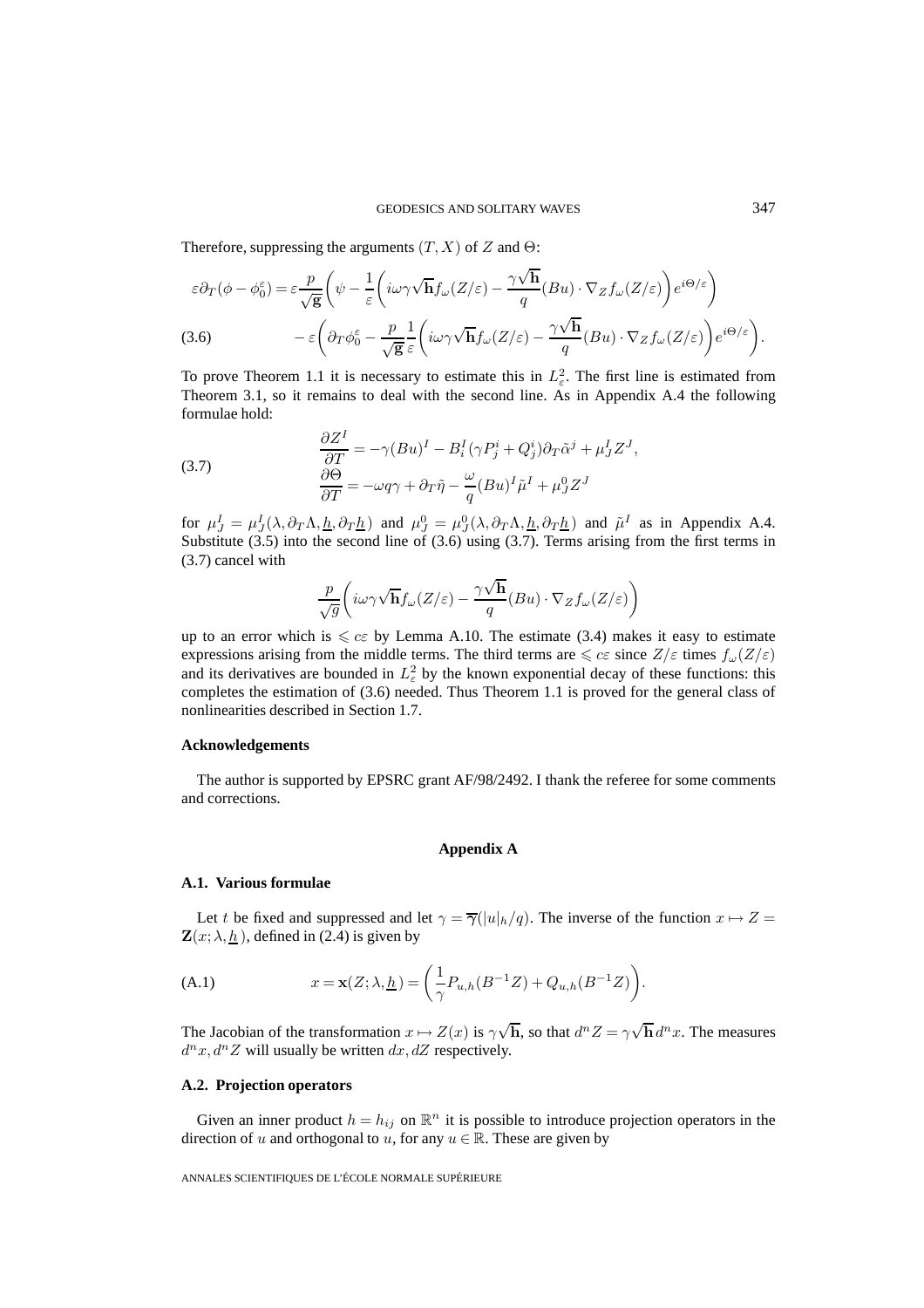Therefore, suppressing the arguments  $(T, X)$  of Z and  $\Theta$ :

$$
\varepsilon \partial_T (\phi - \phi_0^{\varepsilon}) = \varepsilon \frac{p}{\sqrt{g}} \left( \psi - \frac{1}{\varepsilon} \left( i\omega \gamma \sqrt{\mathbf{h}} f_{\omega}(Z/\varepsilon) - \frac{\gamma \sqrt{\mathbf{h}}}{q} (Bu) \cdot \nabla_Z f_{\omega}(Z/\varepsilon) \right) e^{i\Theta/\varepsilon} \right)
$$
  
(3.6) 
$$
- \varepsilon \left( \partial_T \phi_0^{\varepsilon} - \frac{p}{\sqrt{g}} \frac{1}{\varepsilon} \left( i\omega \gamma \sqrt{\mathbf{h}} f_{\omega}(Z/\varepsilon) - \frac{\gamma \sqrt{\mathbf{h}}}{q} (Bu) \cdot \nabla_Z f_{\omega}(Z/\varepsilon) \right) e^{i\Theta/\varepsilon} \right).
$$

To prove Theorem 1.1 it is necessary to estimate this in  $L^2_{\varepsilon}$ . The first line is estimated from Theorem 3.1, so it remains to deal with the second line. As in Appendix A.4 the following formulae hold:

(3.7) 
$$
\frac{\partial Z^I}{\partial T} = -\gamma (Bu)^I - B_i^I (\gamma P_j^i + Q_j^i) \partial_T \tilde{\alpha}^j + \mu_J^I Z^J,
$$

$$
\frac{\partial \Theta}{\partial T} = -\omega q \gamma + \partial_T \tilde{\eta} - \frac{\omega}{q} (Bu)^I \tilde{\mu}^I + \mu_J^0 Z^J
$$

for  $\mu_J^I = \mu_J^I(\lambda, \partial_T \Lambda, \underline{h}, \partial_T \underline{h})$  and  $\mu_J^0 = \mu_J^0(\lambda, \partial_T \Lambda, \underline{h}, \partial_T \underline{h})$  and  $\tilde{\mu}^I$  as in Appendix A.4. Substitute  $(3.5)$  into the second line of  $(3.6)$  using  $(3.7)$ . Terms arising from the first terms in (3.7) cancel with

$$
\frac{p}{\sqrt{g}}\bigg(i\omega\gamma\sqrt{\textbf{h}}f_\omega(Z/\varepsilon)-\frac{\gamma\sqrt{\textbf{h}}}{q}(Bu)\cdot\nabla_Z f_\omega(Z/\varepsilon)\bigg)
$$

up to an error which is  $\leq c\varepsilon$  by Lemma A.10. The estimate (3.4) makes it easy to estimate expressions arising from the middle terms. The third terms are  $\leq c\varepsilon$  since  $Z/\varepsilon$  times  $f_{\omega}(Z/\varepsilon)$ and its derivatives are bounded in  $L^2_{\varepsilon}$  by the known exponential decay of these functions: this completes the estimation of (3.6) needed. Thus Theorem 1.1 is proved for the general class of nonlinearities described in Section 1.7.

#### **Acknowledgements**

The author is supported by EPSRC grant AF/98/2492. I thank the referee for some comments and corrections.

# **Appendix A**

# **A.1. Various formulae**

Let t be fixed and suppressed and let  $\gamma = \overline{\gamma}(|u|_h/q)$ . The inverse of the function  $x \mapsto Z =$  $\mathbf{Z}(x; \lambda, \underline{h})$ , defined in (2.4) is given by

(A.1) 
$$
x = \mathbf{x}(Z; \lambda, \underline{h}) = \left(\frac{1}{\gamma} P_{u,h}(B^{-1}Z) + Q_{u,h}(B^{-1}Z)\right).
$$

The Jacobian of the transformation  $x \mapsto Z(x)$  is  $\gamma$  $\sqrt{\mathbf{h}}$ , so that  $d^n Z = \gamma \sqrt{\mathbf{h}} d^n x$ . The measures  $d^n x, d^n Z$  will usually be written  $dx, dZ$  respectively.

# **A.2. Projection operators**

Given an inner product  $h = h_{ij}$  on  $\mathbb{R}^n$  it is possible to introduce projection operators in the direction of u and orthogonal to u, for any  $u \in \mathbb{R}$ . These are given by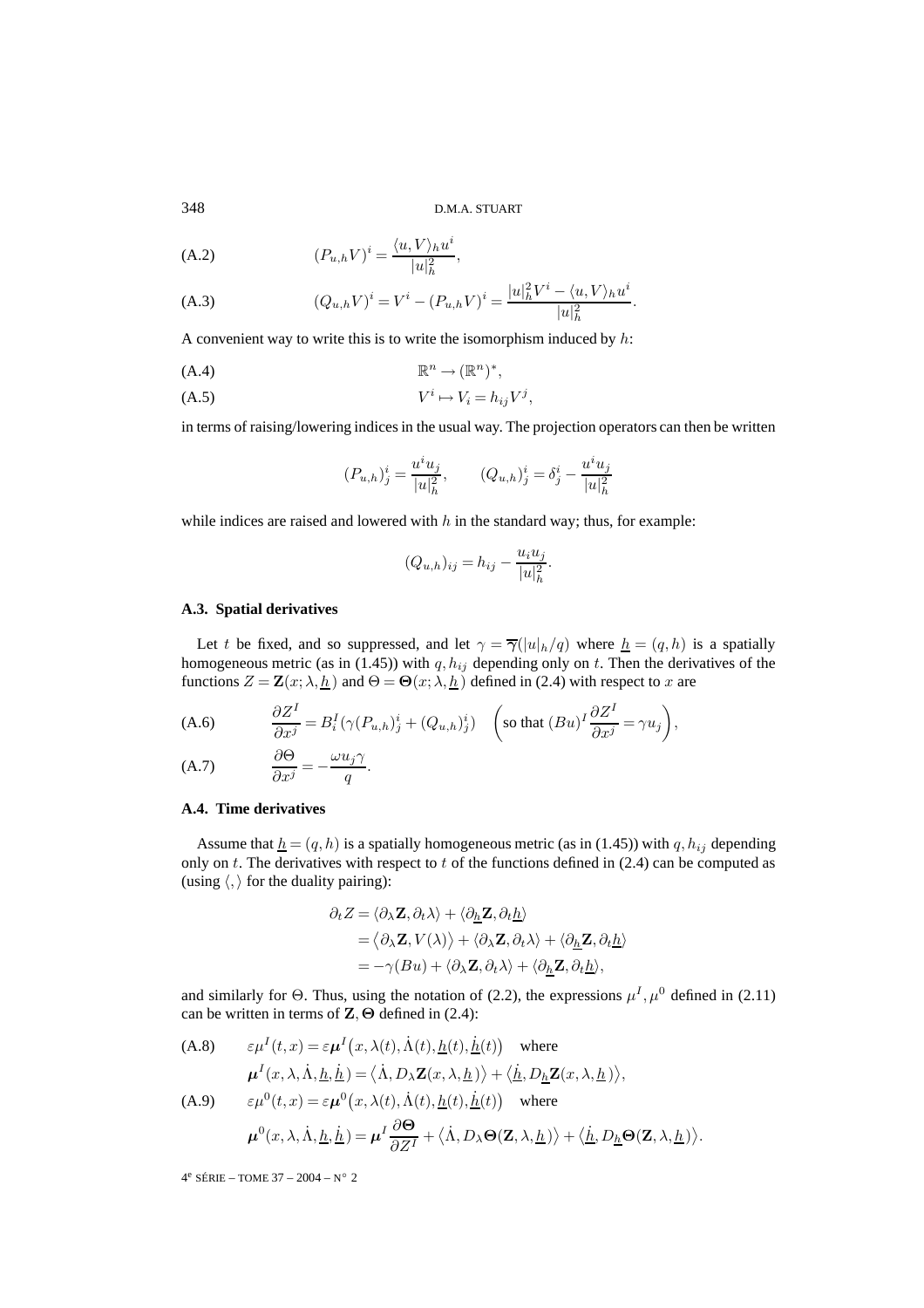348 D.M.A. STUART

$$
(A.2) \qquad (P_{u,h}V)^i = \frac{\langle u, V \rangle_h u^i}{|u|^2_h},
$$

(A.3) 
$$
(Q_{u,h}V)^i = V^i - (P_{u,h}V)^i = \frac{|u|_h^2 V^i - \langle u, V \rangle_h u^i}{|u|_h^2}.
$$

A convenient way to write this is to write the isomorphism induced by  $h$ :

$$
(A.4) \t\t \mathbb{R}^n \to (\mathbb{R}^n)^*,
$$

$$
(A.5) \t\t V^i \mapsto V_i = h_{ij} V^j,
$$

in terms of raising/lowering indices in the usual way. The projection operators can then be written

$$
(P_{u,h})_j^i = \frac{u^i u_j}{|u|_h^2}, \qquad (Q_{u,h})_j^i = \delta_j^i - \frac{u^i u_j}{|u|_h^2}
$$

while indices are raised and lowered with  $h$  in the standard way; thus, for example:

$$
(Q_{u,h})_{ij} = h_{ij} - \frac{u_i u_j}{|u|_h^2}.
$$

# **A.3. Spatial derivatives**

Let t be fixed, and so suppressed, and let  $\gamma = \overline{\gamma}(|u|_h/q)$  where  $\underline{h} = (q,h)$  is a spatially homogeneous metric (as in (1.45)) with  $q, h_{ij}$  depending only on t. Then the derivatives of the functions  $Z = \mathbf{Z}(x; \lambda, \underline{h})$  and  $\Theta = \Theta(x; \lambda, \underline{h})$  defined in (2.4) with respect to x are

(A.6) 
$$
\frac{\partial Z^I}{\partial x^j} = B_i^I(\gamma(P_{u,h})_j^i + (Q_{u,h})_j^i) \quad \left(\text{so that } (Bu)^I \frac{\partial Z^I}{\partial x^j} = \gamma u_j\right),
$$

$$
(A.7) \qquad \frac{\partial \Theta}{\partial x^j} = -\frac{\omega u_j \gamma}{q}.
$$

#### **A.4. Time derivatives**

Assume that  $h = (q, h)$  is a spatially homogeneous metric (as in (1.45)) with q,  $h_{ij}$  depending only on t. The derivatives with respect to t of the functions defined in  $(2.4)$  can be computed as (using  $\langle, \rangle$  for the duality pairing):

$$
\partial_t Z = \langle \partial_{\lambda} \mathbf{Z}, \partial_t \lambda \rangle + \langle \partial_{\underline{h}} \mathbf{Z}, \partial_t \underline{h} \rangle
$$
  
=  $\langle \partial_{\lambda} \mathbf{Z}, V(\lambda) \rangle + \langle \partial_{\lambda} \mathbf{Z}, \partial_t \lambda \rangle + \langle \partial_{\underline{h}} \mathbf{Z}, \partial_t \underline{h} \rangle$   
=  $-\gamma (Bu) + \langle \partial_{\lambda} \mathbf{Z}, \partial_t \lambda \rangle + \langle \partial_{\underline{h}} \mathbf{Z}, \partial_t \underline{h} \rangle,$ 

and similarly for Θ. Thus, using the notation of (2.2), the expressions  $\mu^I$ ,  $\mu^0$  defined in (2.11) can be written in terms of **Z**,**Θ** defined in (2.4):

(A.8) 
$$
\varepsilon \mu^{I}(t, x) = \varepsilon \mu^{I}(x, \lambda(t), \dot{\Lambda}(t), \underline{h}(t), \dot{\underline{h}}(t)) \text{ where}
$$

$$
\mu^{I}(x, \lambda, \dot{\Lambda}, \underline{h}, \dot{\underline{h}}) = \langle \dot{\Lambda}, D_{\lambda} \mathbf{Z}(x, \lambda, \underline{h}) \rangle + \langle \dot{\underline{h}}, D_{\underline{h}} \mathbf{Z}(x, \lambda, \underline{h}) \rangle,
$$
  
(A.9) 
$$
\varepsilon \mu^{0}(t, x) = \varepsilon \mu^{0}(x, \lambda(t), \dot{\Lambda}(t), \underline{h}(t), \dot{\underline{h}}(t)) \text{ where}
$$

$$
\mu^{0}(x, \lambda, \dot{\Lambda}, \underline{h}, \dot{\underline{h}}) = \mu^{I} \frac{\partial \mathbf{\Theta}}{\partial Z^{I}} + \langle \dot{\Lambda}, D_{\lambda} \mathbf{\Theta}(\mathbf{Z}, \lambda, \underline{h}) \rangle + \langle \dot{\underline{h}}, D_{\underline{h}} \mathbf{\Theta}(\mathbf{Z}, \lambda, \underline{h}) \rangle.
$$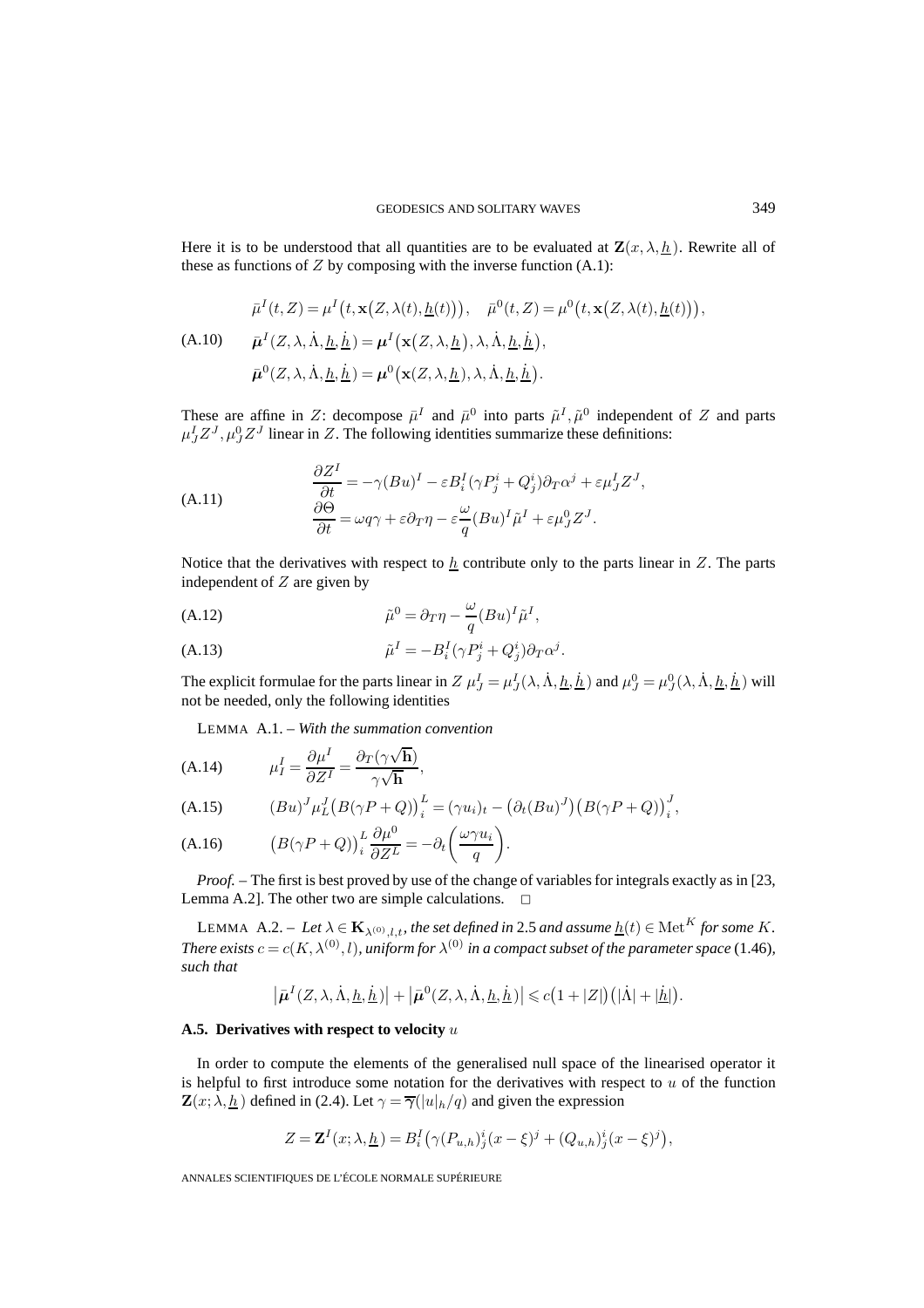Here it is to be understood that all quantities are to be evaluated at  $\mathbf{Z}(x, \lambda, \underline{h})$ . Rewrite all of these as functions of  $Z$  by composing with the inverse function  $(A.1)$ :

$$
\bar{\mu}^{I}(t, Z) = \mu^{I}\left(t, \mathbf{x}\left(Z, \lambda(t), \underline{h}(t)\right)\right), \quad \bar{\mu}^{0}(t, Z) = \mu^{0}\left(t, \mathbf{x}\left(Z, \lambda(t), \underline{h}(t)\right)\right),
$$
\n(A.10) 
$$
\bar{\mu}^{I}(Z, \lambda, \dot{\Lambda}, \underline{h}, \dot{\underline{h}}) = \mu^{I}\left(\mathbf{x}\left(Z, \lambda, \underline{h}\right), \lambda, \dot{\Lambda}, \underline{h}, \dot{\underline{h}}\right),
$$
\n
$$
\bar{\mu}^{0}(Z, \lambda, \dot{\Lambda}, \underline{h}, \dot{\underline{h}}) = \mu^{0}\left(\mathbf{x}(Z, \lambda, \underline{h}), \lambda, \dot{\Lambda}, \underline{h}, \dot{\underline{h}}\right).
$$

These are affine in Z: decompose  $\bar{\mu}^I$  and  $\bar{\mu}^0$  into parts  $\tilde{\mu}^I$ ,  $\tilde{\mu}^0$  independent of Z and parts  $\mu J Z^{J}$ ,  $\mu_{J}^{0} Z^{J}$  linear in Z. The following identities summarize these definitions:

(A.11) 
$$
\frac{\partial Z^I}{\partial t} = -\gamma (Bu)^I - \varepsilon B_i^I (\gamma P_j^i + Q_j^i) \partial_T \alpha^j + \varepsilon \mu_J^I Z^J,
$$

$$
\frac{\partial \Theta}{\partial t} = \omega q \gamma + \varepsilon \partial_T \eta - \varepsilon \frac{\omega}{q} (Bu)^I \tilde{\mu}^I + \varepsilon \mu_J^0 Z^J.
$$

Notice that the derivatives with respect to  $h$  contribute only to the parts linear in  $Z$ . The parts independent of  $Z$  are given by

(A.12) 
$$
\tilde{\mu}^0 = \partial_T \eta - \frac{\omega}{q} (Bu)^I \tilde{\mu}^I,
$$

(A.13) 
$$
\tilde{\mu}^I = -B_i^I(\gamma P_j^i + Q_j^i)\partial_T\alpha^j.
$$

The explicit formulae for the parts linear in  $Z \mu J = \mu J(\lambda, \dot{\Lambda}, \underline{h}, \dot{\underline{h}})$  and  $\mu_J^0 = \mu_J^0(\lambda, \dot{\Lambda}, \underline{h}, \dot{\underline{h}})$  will not be needed, only the following identities

LEMMA A.1. – *With the summation convention*

(A.14) 
$$
\mu_I^I = \frac{\partial \mu^I}{\partial Z^I} = \frac{\partial_T (\gamma \sqrt{\mathbf{h}})}{\gamma \sqrt{\mathbf{h}}},
$$

(A.15) 
$$
(Bu)^J \mu_L^J (B(\gamma P + Q))_i^L = (\gamma u_i)_t - (\partial_t (Bu)^J) (B(\gamma P + Q))_i^J,
$$

(A.16) 
$$
(B(\gamma P + Q))_i^L \frac{\partial \mu^0}{\partial Z^L} = -\partial_t \left(\frac{\omega \gamma u_i}{q}\right).
$$

*Proof.* – The first is best proved by use of the change of variables for integrals exactly as in [23, Lemma A.2]. The other two are simple calculations.  $\Box$ 

LEMMA A.2. – Let  $\lambda \in \mathbf{K}_{\lambda^{(0)},l,t}$ , the set defined in 2.5 and assume  $\underline{h}(t) \in \text{Met}^K$  for some K. *There exists*  $c = c(K, \lambda^{(0)}, l)$ *, uniform for*  $\lambda^{(0)}$  *in a compact subset of the parameter space* (1.46*), such that*

$$
\left|\bar{\boldsymbol{\mu}}^{I}(Z,\lambda,\dot{\Lambda},\underline{h},\dot{\underline{h}})\right|+\left|\bar{\boldsymbol{\mu}}^{0}(Z,\lambda,\dot{\Lambda},\underline{h},\dot{\underline{h}})\right|\leqslant c\big(1+|Z|\big)\big(|\dot{\Lambda}|+|\dot{\underline{h}}|\big).
$$

# **A.5. Derivatives with respect to velocity** u

In order to compute the elements of the generalised null space of the linearised operator it is helpful to first introduce some notation for the derivatives with respect to  $u$  of the function  $\mathbf{Z}(x; \lambda, \underline{h})$  defined in (2.4). Let  $\gamma = \overline{\gamma}(|u|_h/q)$  and given the expression

$$
Z = \mathbf{Z}^{I}(x; \lambda, \underline{h}) = B_{i}^{I}(\gamma (P_{u,h})_{j}^{i}(x - \xi)^{j} + (Q_{u,h})_{j}^{i}(x - \xi)^{j}),
$$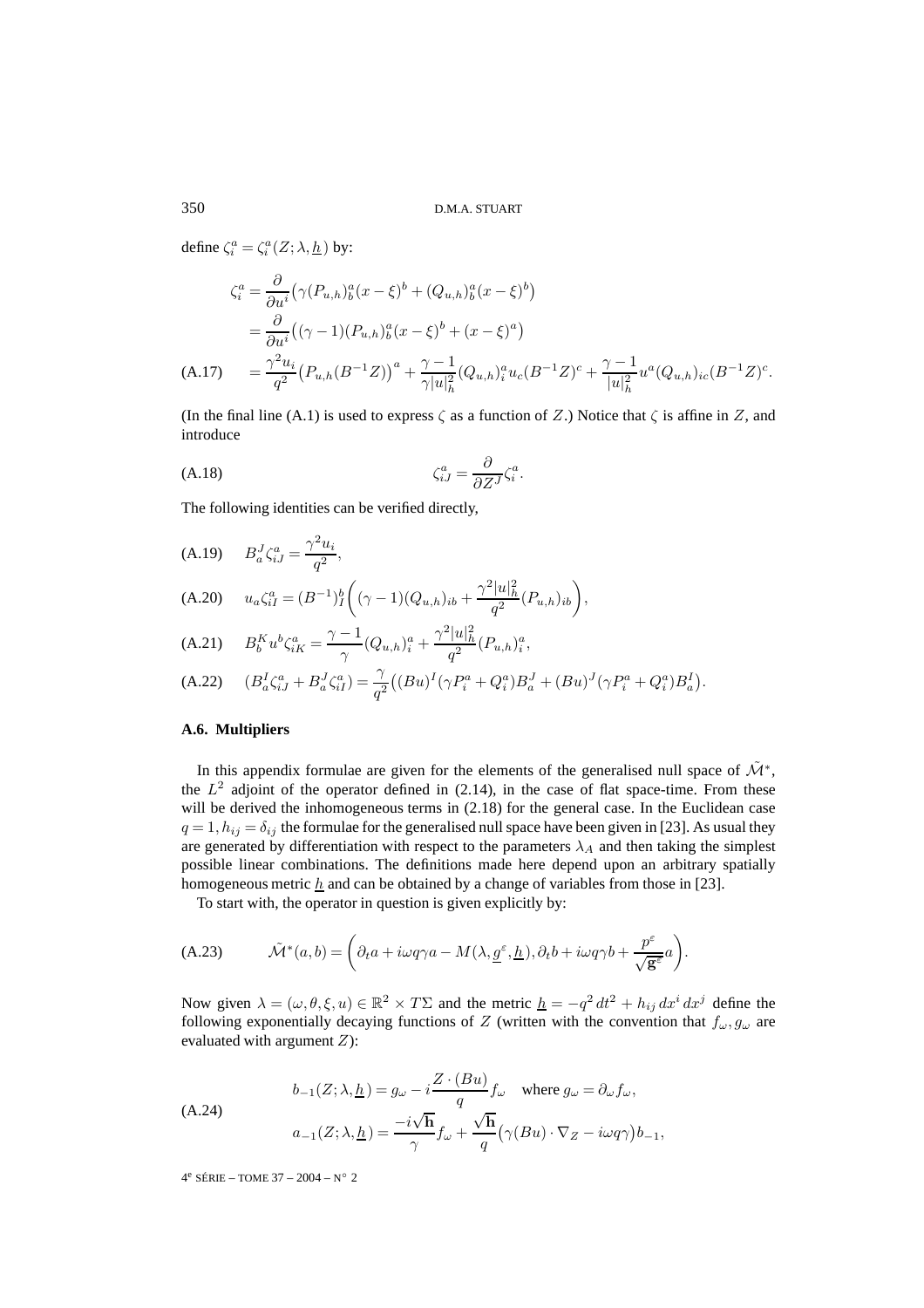define  $\zeta_i^a = \zeta_i^a(Z; \lambda, \underline{h})$  by:

$$
\zeta_i^a = \frac{\partial}{\partial u^i} \left( \gamma (P_{u,h})_b^a (x - \xi)^b + (Q_{u,h})_b^a (x - \xi)^b \right)
$$
  
= 
$$
\frac{\partial}{\partial u^i} \left( (\gamma - 1)(P_{u,h})_b^a (x - \xi)^b + (x - \xi)^a \right)
$$
  
(A.17) 
$$
= \frac{\gamma^2 u_i}{q^2} \left( P_{u,h} (B^{-1} Z) \right)^a + \frac{\gamma - 1}{\gamma |u|_h^2} (Q_{u,h})_i^a u_c (B^{-1} Z)^c + \frac{\gamma - 1}{|u|_h^2} u^a (Q_{u,h})_{ic} (B^{-1} Z)^c.
$$

(In the final line (A.1) is used to express  $\zeta$  as a function of Z.) Notice that  $\zeta$  is affine in Z, and introduce

$$
\zeta_{iJ}^a = \frac{\partial}{\partial Z^J} \zeta_i^a.
$$

The following identities can be verified directly,

$$
(A.19) \qquad B_a^J \zeta_{iJ}^a = \frac{\gamma^2 u_i}{q^2},
$$

(A.20) 
$$
u_a \zeta_{iI}^a = (B^{-1})_I^b \left( (\gamma - 1)(Q_{u,h})_{ib} + \frac{\gamma^2 |u|_h^2}{q^2} (P_{u,h})_{ib} \right),
$$

(A.21) 
$$
B_b^K u^b \zeta_{iK}^a = \frac{\gamma - 1}{\gamma} (Q_{u,h})_i^a + \frac{\gamma^2 |u|_h^2}{q^2} (P_{u,h})_i^a,
$$

(A.22) 
$$
(B_a^I \zeta_{iJ}^a + B_a^J \zeta_{iI}^a) = \frac{\gamma}{q^2} \left( (Bu)^I (\gamma P_i^a + Q_i^a) B_a^J + (Bu)^J (\gamma P_i^a + Q_i^a) B_a^I \right).
$$

# **A.6. Multipliers**

In this appendix formulae are given for the elements of the generalised null space of  $\tilde{\mathcal{M}}^*$ , the  $L^2$  adjoint of the operator defined in (2.14), in the case of flat space-time. From these will be derived the inhomogeneous terms in  $(2.18)$  for the general case. In the Euclidean case  $q = 1, h_{ij} = \delta_{ij}$  the formulae for the generalised null space have been given in [23]. As usual they are generated by differentiation with respect to the parameters  $\lambda_A$  and then taking the simplest possible linear combinations. The definitions made here depend upon an arbitrary spatially homogeneous metric  $h$  and can be obtained by a change of variables from those in [23].

To start with, the operator in question is given explicitly by:

(A.23) 
$$
\tilde{\mathcal{M}}^*(a,b) = \left(\partial_t a + i\omega q \gamma a - M(\lambda, \underline{g}^{\varepsilon}, \underline{h}), \partial_t b + i\omega q \gamma b + \frac{p^{\varepsilon}}{\sqrt{\mathbf{g}^{\varepsilon}}}a\right).
$$

Now given  $\lambda = (\omega, \theta, \xi, u) \in \mathbb{R}^2 \times T\Sigma$  and the metric  $\underline{h} = -q^2 dt^2 + h_{ij} dx^i dx^j$  define the following exponentially decaying functions of Z (written with the convention that  $f_{\omega}, g_{\omega}$  are evaluated with argument  $Z$ ):

(A.24)  
\n
$$
b_{-1}(Z; \lambda, \underline{h}) = g_{\omega} - i \frac{Z \cdot (Bu)}{q} f_{\omega} \quad \text{where } g_{\omega} = \partial_{\omega} f_{\omega},
$$
\n
$$
a_{-1}(Z; \lambda, \underline{h}) = \frac{-i\sqrt{\mathbf{h}}}{\gamma} f_{\omega} + \frac{\sqrt{\mathbf{h}}}{q} (\gamma (Bu) \cdot \nabla_{Z} - i\omega q \gamma) b_{-1},
$$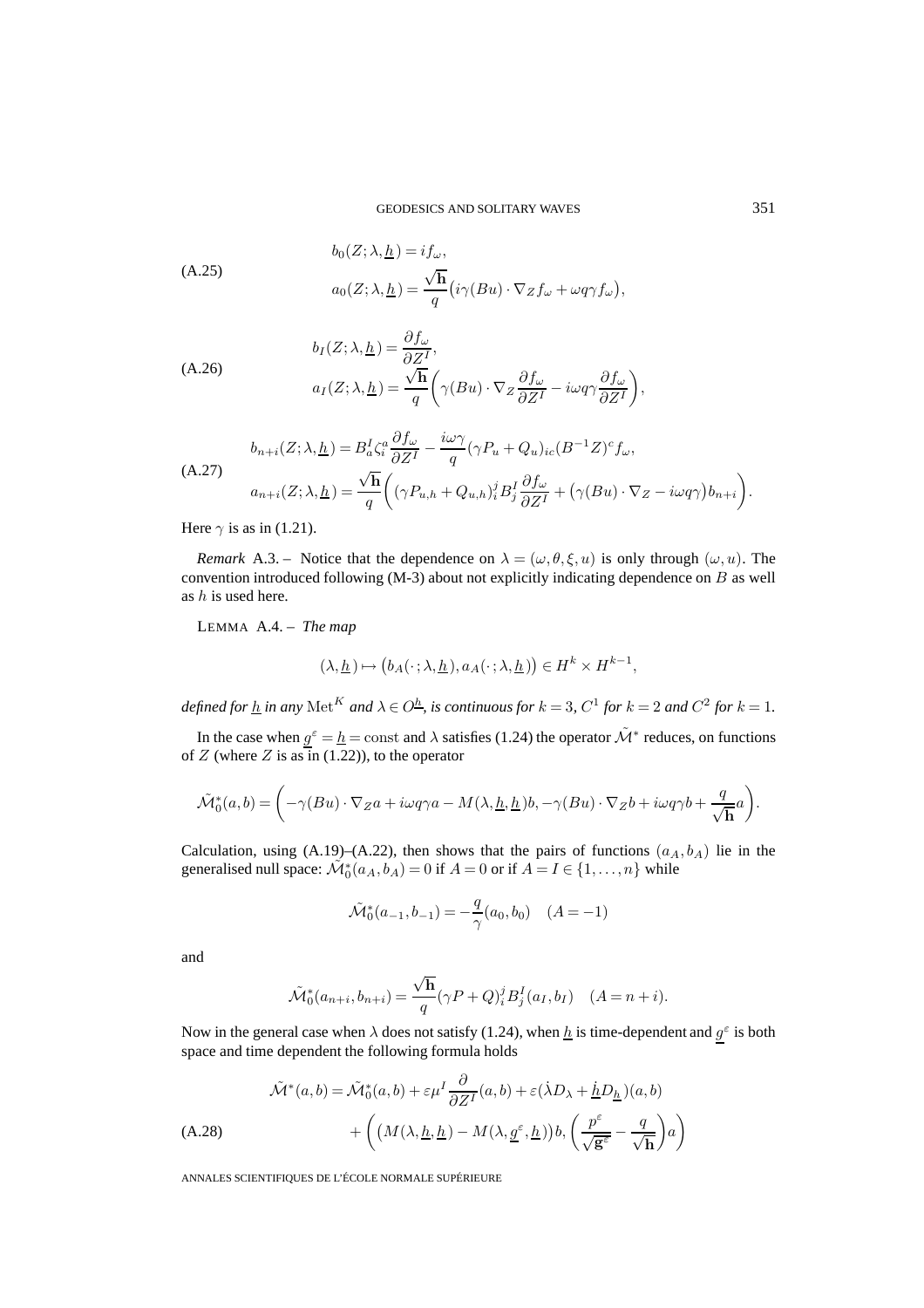(A.25)  
\n
$$
b_0(Z; \lambda, \underline{h}) = i f_\omega,
$$
\n
$$
a_0(Z; \lambda, \underline{h}) = \frac{\sqrt{\mathbf{h}}}{q} \big( i \gamma (Bu) \cdot \nabla_Z f_\omega + \omega q \gamma f_\omega \big),
$$

(A.26)  
\n
$$
b_I(Z; \lambda, \underline{h}) = \frac{\partial f_{\omega}}{\partial Z^I},
$$
\n
$$
a_I(Z; \lambda, \underline{h}) = \frac{\sqrt{h}}{q} \left( \gamma (Bu) \cdot \nabla_Z \frac{\partial f_{\omega}}{\partial Z^I} - i\omega q \gamma \frac{\partial f_{\omega}}{\partial Z^I} \right),
$$

$$
(A.27)
$$
\n
$$
b_{n+i}(Z; \lambda, \underline{h}) = B_a^I \zeta_i^a \frac{\partial f_\omega}{\partial Z^I} - \frac{i\omega \gamma}{q} (\gamma P_u + Q_u)_{ic} (B^{-1}Z)^c f_\omega,
$$
\n
$$
a_{n+i}(Z; \lambda, \underline{h}) = \frac{\sqrt{h}}{q} \left( (\gamma P_{u,h} + Q_{u,h})_i^j B_j^I \frac{\partial f_\omega}{\partial Z^I} + (\gamma (Bu) \cdot \nabla_Z - i\omega q \gamma) b_{n+i} \right).
$$

Here  $\gamma$  is as in (1.21).

*Remark* A.3. – Notice that the dependence on  $\lambda = (\omega, \theta, \xi, u)$  is only through  $(\omega, u)$ . The convention introduced following  $(M-3)$  about not explicitly indicating dependence on B as well as  $h$  is used here.

LEMMA A.4. – *The map*

$$
(\lambda, \underline{h}) \mapsto (b_A(\cdot \, ; \lambda, \underline{h}), a_A(\cdot \, ; \lambda, \underline{h})) \in H^k \times H^{k-1},
$$

*defined for*  $\underline{h}$  *in any* Met<sup>K</sup> *and*  $\lambda \in O^{\underline{h}}$ *, is continuous for*  $k = 3$ *,*  $C^1$  *for*  $k = 2$  *and*  $C^2$  *for*  $k = 1$ *.* 

In the case when  $g^{\epsilon} = h = \text{const}$  and  $\lambda$  satisfies (1.24) the operator  $\tilde{\mathcal{M}}^*$  reduces, on functions of  $Z$  (where  $Z$  is as in (1.22)), to the operator

$$
\tilde{\mathcal{M}}_0^*(a,b) = \left(-\gamma(Bu)\cdot \nabla_Z a + i\omega q \gamma a - M(\lambda,\underline{h},\underline{h})b, -\gamma(Bu)\cdot \nabla_Z b + i\omega q \gamma b + \frac{q}{\sqrt{\mathbf{h}}}a\right).
$$

Calculation, using  $(A.19)$ – $(A.22)$ , then shows that the pairs of functions  $(a<sub>A</sub>, b<sub>A</sub>)$  lie in the generalised null space:  $\mathcal{M}_0^*(a_A, b_A) = 0$  if  $A = 0$  or if  $A = I \in \{1, ..., n\}$  while

$$
\tilde{\mathcal{M}}^*_0(a_{-1},b_{-1})=-\frac{q}{\gamma}(a_0,b_0) \quad (A=-1)
$$

and

$$
\tilde{\mathcal{M}}_0^*(a_{n+i}, b_{n+i}) = \frac{\sqrt{\mathbf{h}}}{q} (\gamma P + Q)_i^j B_j^I(a_I, b_I) \quad (A = n+i).
$$

Now in the general case when  $\lambda$  does not satisfy (1.24), when  $\underline{h}$  is time-dependent and  $g^{\varepsilon}$  is both space and time dependent the following formula holds

$$
\tilde{\mathcal{M}}^*(a,b) = \tilde{\mathcal{M}}_0^*(a,b) + \varepsilon \mu^I \frac{\partial}{\partial Z^I}(a,b) + \varepsilon (\dot{\lambda} D_\lambda + \underline{h} D_\underline{h})(a,b) \n+ \left( (M(\lambda, \underline{h}, \underline{h}) - M(\lambda, \underline{g}^\varepsilon, \underline{h})) b, \left( \frac{p^\varepsilon}{\sqrt{\mathbf{g}^\varepsilon}} - \frac{q}{\sqrt{\mathbf{h}}} \right) a \right)
$$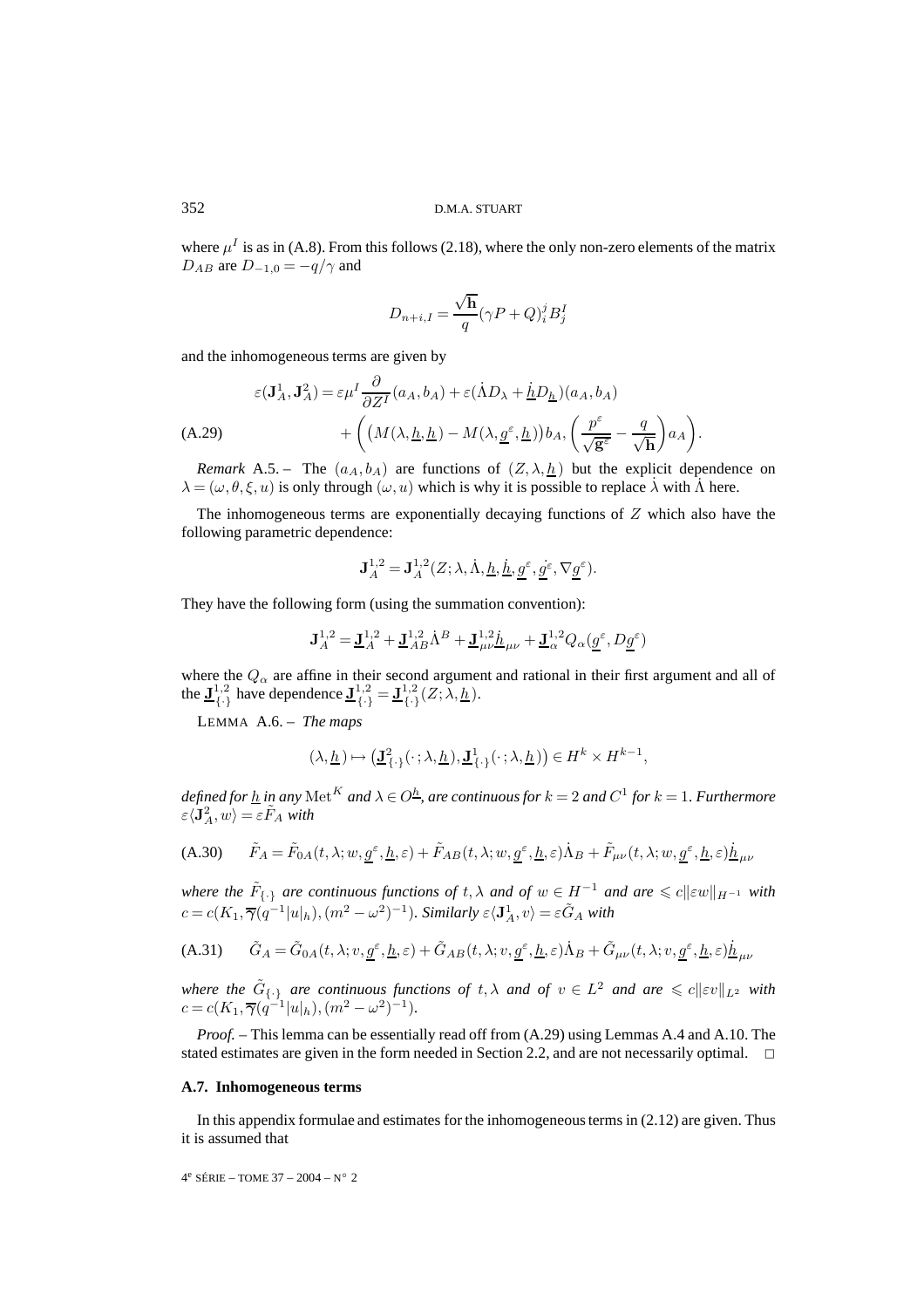where  $\mu^I$  is as in (A.8). From this follows (2.18), where the only non-zero elements of the matrix  $D_{AB}$  are  $D_{-1,0} = -q/\gamma$  and

$$
D_{n+i,I} = \frac{\sqrt{\mathbf{h}}}{q} (\gamma P + Q)_i^j B_j^I
$$

and the inhomogeneous terms are given by

$$
\varepsilon(\mathbf{J}_A^1, \mathbf{J}_A^2) = \varepsilon \mu^I \frac{\partial}{\partial Z^I} (a_A, b_A) + \varepsilon (\dot{\Lambda} D_\lambda + \underline{h} D_{\underline{h}}) (a_A, b_A)
$$
  
(A.29)  

$$
+ \left( (M(\lambda, \underline{h}, \underline{h}) - M(\lambda, \underline{g}^{\varepsilon}, \underline{h})) b_A, \left( \frac{p^{\varepsilon}}{\sqrt{\mathbf{g}^{\varepsilon}}} - \frac{q}{\sqrt{\mathbf{h}}} \right) a_A \right).
$$

*Remark* A.5. – The  $(a_A, b_A)$  are functions of  $(Z, \lambda, h)$  but the explicit dependence on  $\lambda = (\omega, \theta, \xi, u)$  is only through  $(\omega, u)$  which is why it is possible to replace  $\lambda$  with  $\Lambda$  here.

The inhomogeneous terms are exponentially decaying functions of  $Z$  which also have the following parametric dependence:

$$
\mathbf{J}_{A}^{1,2} = \mathbf{J}_{A}^{1,2}(Z; \lambda, \dot{\Lambda}, \underline{h}, \underline{h}, \underline{g}^{\varepsilon}, \underline{g}^{\varepsilon}, \nabla \underline{g}^{\varepsilon}).
$$

They have the following form (using the summation convention):

$$
\mathbf{J}_A^{1,2} = \mathbf{\underline{J}}_A^{1,2} + \mathbf{\underline{J}}_{AB}^{1,2} \dot{\Lambda}^B + \mathbf{\underline{J}}_{\mu\nu}^{1,2} \dot{\underline{h}}_{\mu\nu} + \mathbf{\underline{J}}_\alpha^{1,2} Q_\alpha(\underline{g}^\varepsilon, D \underline{g}^\varepsilon)
$$

where the  $Q_{\alpha}$  are affine in their second argument and rational in their first argument and all of the  $\underline{\mathbf{J}}_{\{\cdot\}}^{1,2}$  have dependence  $\underline{\mathbf{J}}_{\{\cdot\}}^{1,2} = \underline{\mathbf{J}}_{\{\cdot\}}^{1,2}(Z; \lambda, \underline{h}).$ 

LEMMA A.6. – *The maps*

$$
(\lambda, \underline{h}) \mapsto (\underline{\mathbf{J}}^2_{\{\cdot\}}(\cdot; \lambda, \underline{h}), \underline{\mathbf{J}}^1_{\{\cdot\}}(\cdot; \lambda, \underline{h})) \in H^k \times H^{k-1},
$$

*defined for*  $\underline{h}$  *in any* Met<sup>K</sup> *and*  $\lambda \in O^{\underline{h}}$ *, are continuous for*  $k = 2$  *and*  $C^1$  *for*  $k = 1$ *. Furthermore*  $\varepsilon \langle \mathbf{J}_A^2, w \rangle = \varepsilon \tilde{F}_A$  with

(A.30) 
$$
\tilde{F}_A = \tilde{F}_{0A}(t, \lambda; w, \underline{g}^{\varepsilon}, \underline{h}, \varepsilon) + \tilde{F}_{AB}(t, \lambda; w, \underline{g}^{\varepsilon}, \underline{h}, \varepsilon) \dot{\Lambda}_B + \tilde{F}_{\mu\nu}(t, \lambda; w, \underline{g}^{\varepsilon}, \underline{h}, \varepsilon) \dot{\underline{h}}_{\mu\nu}
$$

where the  $\tilde{F}_{\{\cdot\}}$  are continuous functions of  $t, \lambda$  and of  $w \in H^{-1}$  and are  $\leqslant c\|\varepsilon w\|_{H^{-1}}$  with  $c = c(K_1, \overline{\gamma}(q^{-1}|u|_h), (m^2 - \omega^2)^{-1})$ . Similarly  $\varepsilon \langle \mathbf{J}_A^1, v \rangle = \varepsilon \tilde{G}_A$  with

(A.31) 
$$
\tilde{G}_A = \tilde{G}_{0A}(t,\lambda;v,g^\varepsilon,\underline{h},\varepsilon) + \tilde{G}_{AB}(t,\lambda;v,g^\varepsilon,\underline{h},\varepsilon)\dot{\Lambda}_B + \tilde{G}_{\mu\nu}(t,\lambda;v,g^\varepsilon,\underline{h},\varepsilon)\dot{\underline{h}}_{\mu\nu}
$$

where the  $\tilde{G}_{\{\cdot\}}$  are continuous functions of  $t, \lambda$  and of  $v \in L^2$  and are  $\leqslant c \| \varepsilon v \|_{L^2}$  with  $c = c(K_1, \overline{\gamma}(q^{-1}|u|_h), (m^2 - \omega^2)^{-1}).$ 

*Proof. –* This lemma can be essentially read off from (A.29) using Lemmas A.4 and A.10. The stated estimates are given in the form needed in Section 2.2, and are not necessarily optimal.  $\Box$ 

# **A.7. Inhomogeneous terms**

In this appendix formulae and estimates for the inhomogeneous terms in (2.12) are given. Thus it is assumed that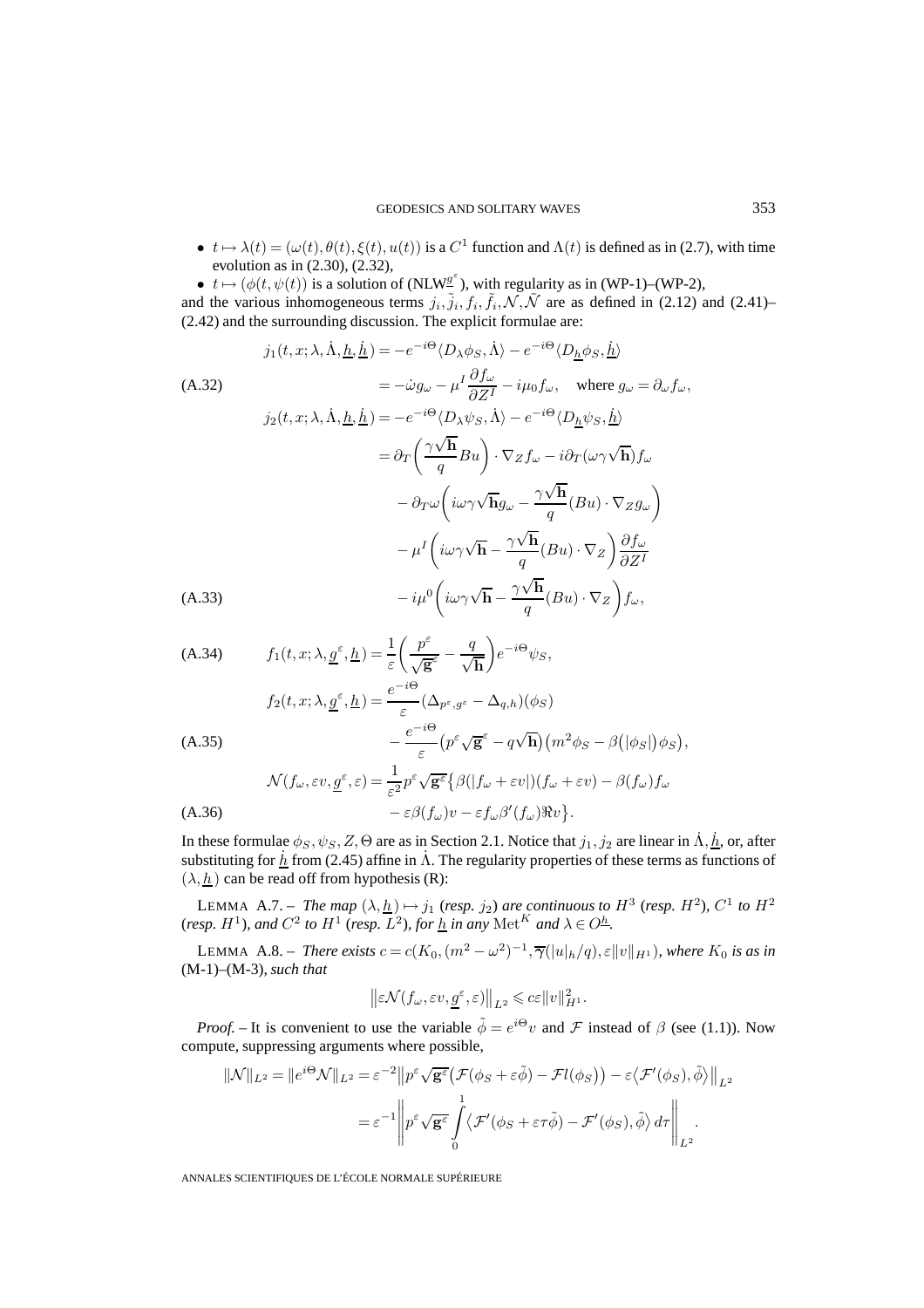- $t \mapsto \lambda(t) = (\omega(t), \theta(t), \xi(t), u(t))$  is a  $C^1$  function and  $\Lambda(t)$  is defined as in (2.7), with time evolution as in (2.30), (2.32),
- $t \mapsto (\phi(t, \psi(t))$  is a solution of (NLW<sup>g'</sup>), with regularity as in (WP-1)–(WP-2),

and the various inhomogeneous terms  $j_i, \tilde{j}_i, f_i, \tilde{f}_i, \mathcal{N}, \tilde{\mathcal{N}}$  are as defined in (2.12) and (2.41)– (2.42) and the surrounding discussion. The explicit formulae are:

$$
j_{1}(t, x; \lambda, \dot{\Lambda}, \underline{h}, \dot{\underline{h}}) = -e^{-i\Theta} \langle D_{\lambda}\phi_{S}, \dot{\Lambda}\rangle - e^{-i\Theta} \langle D_{\underline{h}}\phi_{S}, \dot{\underline{h}}\rangle
$$
\n(A.32)  
\n
$$
= -\dot{\omega}g_{\omega} - \mu^{I} \frac{\partial f_{\omega}}{\partial Z^{I}} - i\mu_{0}f_{\omega}, \text{ where } g_{\omega} = \partial_{\omega}f_{\omega},
$$
\n
$$
j_{2}(t, x; \lambda, \dot{\Lambda}, \underline{h}, \dot{\underline{h}}) = -e^{-i\Theta} \langle D_{\lambda}\psi_{S}, \dot{\Lambda}\rangle - e^{-i\Theta} \langle D_{\underline{h}}\psi_{S}, \dot{\underline{h}}\rangle
$$
\n
$$
= \partial_{T}\left(\frac{\gamma\sqrt{\mathbf{h}}}{q}Bu\right) \cdot \nabla_{Z}f_{\omega} - i\partial_{T}(\omega\gamma\sqrt{\mathbf{h}})f_{\omega}
$$
\n
$$
- \partial_{T}\omega\left(i\omega\gamma\sqrt{\mathbf{h}}g_{\omega} - \frac{\gamma\sqrt{\mathbf{h}}}{q}(Bu) \cdot \nabla_{Z}g_{\omega}\right)
$$
\n
$$
- \mu^{I}\left(i\omega\gamma\sqrt{\mathbf{h}} - \frac{\gamma\sqrt{\mathbf{h}}}{q}(Bu) \cdot \nabla_{Z}\right)\frac{\partial f_{\omega}}{\partial Z^{I}}
$$
\n(A.33)  
\n
$$
-i\mu^{0}\left(i\omega\gamma\sqrt{\mathbf{h}} - \frac{\gamma\sqrt{\mathbf{h}}}{q}(Bu) \cdot \nabla_{Z}\right)f_{\omega},
$$

(A.34) 
$$
f_1(t, x; \lambda, \underline{g}^{\varepsilon}, \underline{h}) = \frac{1}{\varepsilon} \left( \frac{p^{\varepsilon}}{\sqrt{\mathbf{g}^{\varepsilon}}} - \frac{q}{\sqrt{\mathbf{h}}} \right) e^{-i\Theta} \psi_S,
$$

$$
f_2(t, x; \lambda, \underline{g}^{\varepsilon}, \underline{h}) = \frac{e^{-i\Theta}}{\varepsilon} (\Delta_{p^{\varepsilon}, g^{\varepsilon}} - \Delta_{q, h}) (\phi_S)
$$

$$
- \frac{e^{-i\Theta}}{\varepsilon} (p^{\varepsilon} \sqrt{\mathbf{g}^{\varepsilon}} - q \sqrt{\mathbf{h}}) (m^2 \phi_S - \beta (|\phi_S|) \phi_S),
$$

$$
\mathcal{N}(f_\omega, \varepsilon v, \underline{g}^{\varepsilon}, \varepsilon) = \frac{1}{\varepsilon^2} p^{\varepsilon} \sqrt{\mathbf{g}^{\varepsilon}} \{ \beta (|f_\omega + \varepsilon v|) (f_\omega + \varepsilon v) - \beta (f_\omega) f_\omega
$$

(A.36) 
$$
-\varepsilon \beta(f_{\omega})v - \varepsilon f_{\omega}\beta'(f_{\omega})\Re v.
$$

In these formulae  $\phi_S, \psi_S, Z$ ,  $\Theta$  are as in Section 2.1. Notice that  $j_1, j_2$  are linear in  $\dot{\Lambda}, \dot{\underline{h}}$ , or, after substituting for  $h \to 2.45$  affine in  $\Lambda$ . The regularity properties of these terms as functions of  $(\lambda, h)$  can be read off from hypothesis (R):

LEMMA A.7. – *The map*  $(\lambda, \underline{h}) \mapsto j_1$  (*resp. j*<sub>2</sub>) *are continuous to*  $H^3$  (*resp.*  $H^2$ ),  $C^1$  *to*  $H^2$ (*resp.*  $H^1$ *), and*  $C^2$  *to*  $H^1$  (*resp.*  $L^2$ *), for*  $\underline{h}$  *in any* Met<sup>K</sup> *and*  $\lambda \in O^{\underline{h}}$ .

LEMMA A.8. – *There exists*  $c = c(K_0, (m^2 - \omega^2)^{-1}, \overline{\gamma}(|u|_h/q), \varepsilon ||v||_{H^1})$ , where  $K_0$  is as in (M-1)–(M-3)*, such that*

$$
\left\|\varepsilon \mathcal{N}(f_{\omega}, \varepsilon v, \underline{g}^{\varepsilon}, \varepsilon)\right\|_{L^2} \leqslant c\varepsilon \|v\|_{H^1}^2.
$$

*Proof.* – It is convenient to use the variable  $\tilde{\phi} = e^{i\Theta}v$  and F instead of  $\beta$  (see (1.1)). Now compute, suppressing arguments where possible,

$$
\|\mathcal{N}\|_{L^2} = \|e^{i\Theta}\mathcal{N}\|_{L^2} = \varepsilon^{-2} \|p^{\varepsilon}\sqrt{\mathbf{g}^{\varepsilon}} \big(\mathcal{F}(\phi_S + \varepsilon \tilde{\phi}) - \mathcal{F}l(\phi_S)\big) - \varepsilon \langle \mathcal{F}'(\phi_S), \tilde{\phi}\rangle\|_{L^2}
$$

$$
= \varepsilon^{-1} \left\|p^{\varepsilon}\sqrt{\mathbf{g}^{\varepsilon}} \int_{0}^{1} \langle \mathcal{F}'(\phi_S + \varepsilon \tau \tilde{\phi}) - \mathcal{F}'(\phi_S), \tilde{\phi}\rangle d\tau\right\|_{L^2}.
$$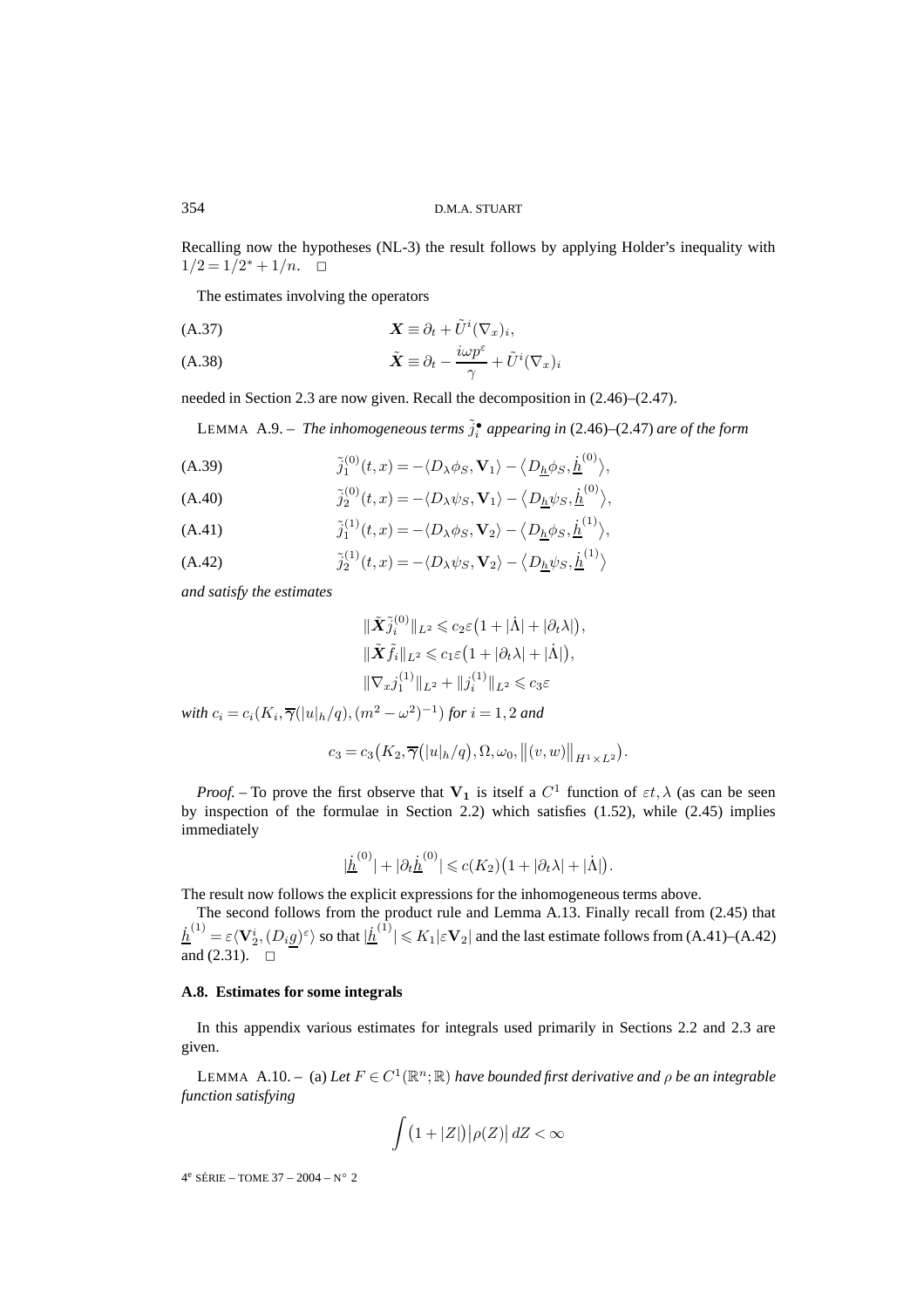Recalling now the hypotheses (NL-3) the result follows by applying Holder's inequality with  $1/2=1/2^*+1/n. \quad \Box$ 

The estimates involving the operators

*X* ≡ ∂<sup>t</sup> + U˜<sup>i</sup> (∇x)<sup>i</sup> (A.37) ,

(A.38) 
$$
\tilde{\boldsymbol{X}} \equiv \partial_t - \frac{i\omega p^{\varepsilon}}{\gamma} + \tilde{U}^i (\nabla_x)_i
$$

needed in Section 2.3 are now given. Recall the decomposition in (2.46)–(2.47).

LEMMA A.9. – The inhomogeneous terms  $\tilde{j}_i^{\bullet}$  appearing in (2.46)–(2.47) are of the form

(A.39) 
$$
\tilde{j}_1^{(0)}(t,x) = -\langle D_\lambda \phi_S, \mathbf{V}_1 \rangle - \langle D_{\underline{h}} \phi_S, \underline{\dot{h}}^{(0)} \rangle,
$$

(A.40) 
$$
\tilde{j}_2^{(0)}(t,x) = -\langle D_\lambda \psi_S, \mathbf{V}_1 \rangle - \langle D_{\underline{h}} \psi_S, \underline{\dot{h}}^{(0)} \rangle,
$$

(A.41) 
$$
\tilde{j}_1^{(1)}(t,x) = -\langle D_\lambda \phi_S, \mathbf{V}_2 \rangle - \langle D_{\underline{h}} \phi_S, \underline{\dot{h}}^{(1)} \rangle,
$$

(A.42) 
$$
\tilde{j}_2^{(1)}(t,x) = -\langle D_\lambda \psi_S, \mathbf{V}_2 \rangle - \langle D_{\underline{h}} \psi_S, \underline{\dot{h}}^{(1)} \rangle
$$

*and satisfy the estimates*

$$
\begin{aligned} & \|\tilde{\boldsymbol{X}}\tilde{\boldsymbol{j}}_i^{(0)}\|_{L^2} \leqslant c_2\varepsilon \big(1+|\dot{\Lambda}|+|\partial_t\lambda|\big),\\ & \|\tilde{\boldsymbol{X}}\tilde{\boldsymbol{f}}_i\|_{L^2} \leqslant c_1\varepsilon \big(1+|\partial_t\lambda|+|\dot{\Lambda}|\big),\\ & \|\nabla_x \boldsymbol{j}_1^{(1)}\|_{L^2}+ \|\boldsymbol{j}_i^{(1)}\|_{L^2} \leqslant c_3\varepsilon \end{aligned}
$$

*with*  $c_i = c_i(K_i, \overline{\gamma}(|u|_h/q), (m^2 - \omega^2)^{-1})$  *for*  $i = 1, 2$  *and* 

$$
c_3 = c_3\big(K_2,\overline{\gamma}\big(|u|_h/q\big),\Omega,\omega_0,\big\|(v,w)\big\|_{H^1\times L^2}\big).
$$

*Proof.* – To prove the first observe that  $V_1$  is itself a  $C^1$  function of  $\varepsilon t$ ,  $\lambda$  (as can be seen by inspection of the formulae in Section 2.2) which satisfies (1.52), while (2.45) implies immediately

$$
|\underline{\dot{h}}^{(0)}|+|\partial_t \underline{\dot{h}}^{(0)}| \leqslant c(K_2)\big(1+|\partial_t \lambda|+|\dot{\Lambda}|\big).
$$

The result now follows the explicit expressions for the inhomogeneous terms above.

The second follows from the product rule and Lemma A.13. Finally recall from (2.45) that  $\dot{\underline{h}}^{(1)}=\varepsilon\langle\mathbf{V}_2^i,(D_i\underline{g})^\varepsilon\rangle$  so that  $|\dot{\underline{h}}^{(1)}|\leqslant K_1|\varepsilon\mathbf{V}_2|$  and the last estimate follows from (A.41)–(A.42) and  $(2.31)$ .  $\Box$ 

# **A.8. Estimates for some integrals**

In this appendix various estimates for integrals used primarily in Sections 2.2 and 2.3 are given.

LEMMA A.10. – (a) Let  $F \in C^1(\mathbb{R}^n;\mathbb{R})$  *have bounded first derivative and*  $\rho$  *be an integrable function satisfying*

$$
\int (1+|Z|)\big|\rho(Z)\big|\,dZ < \infty
$$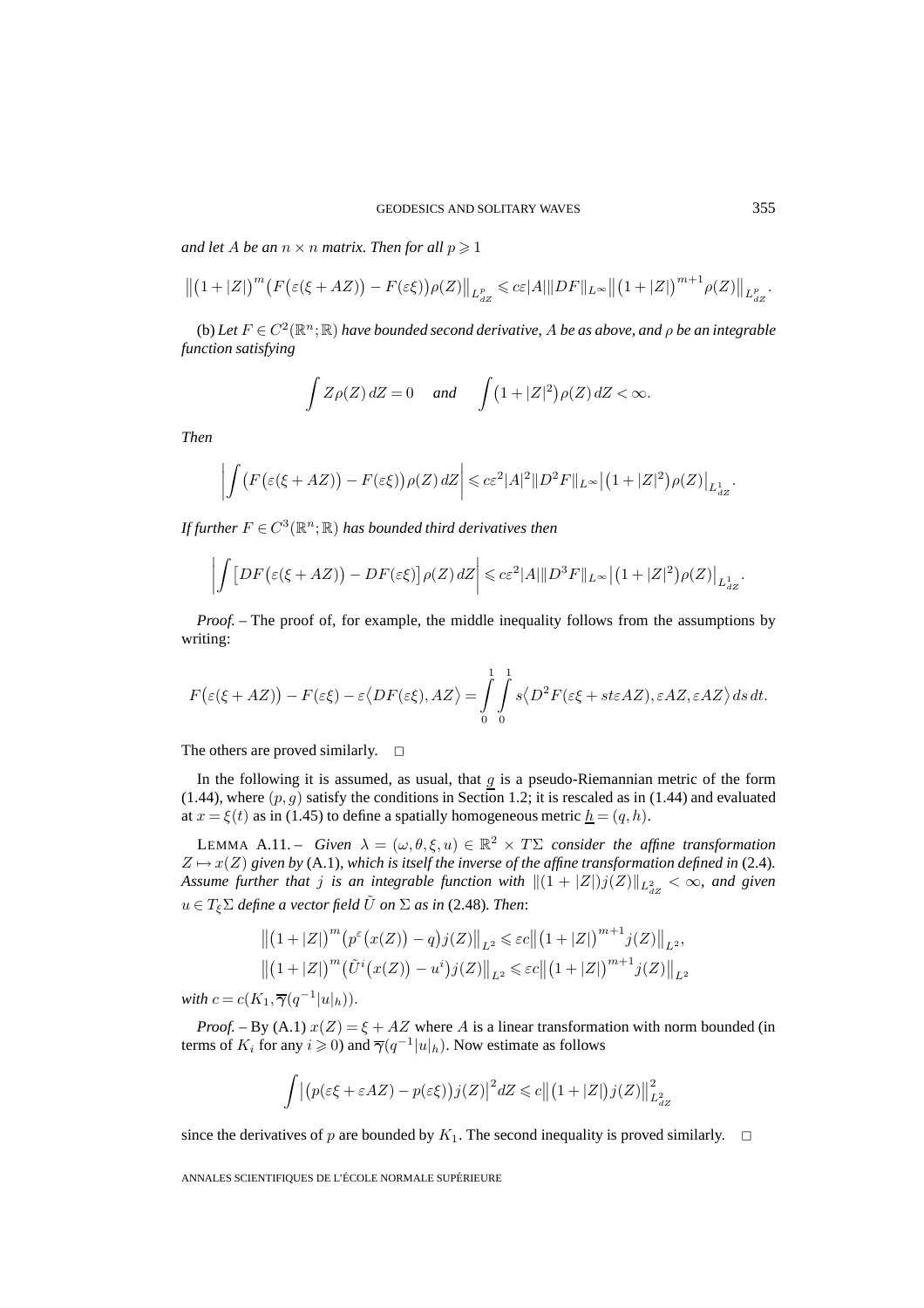*and let A be an*  $n \times n$  *matrix. Then for all*  $p \geq 1$ 

$$
\left\|\left(1+|Z|\right)^m\left(F\big(\varepsilon(\xi+AZ)\big)-F(\varepsilon\xi)\big)\rho(Z)\right\|_{L^p_{dZ}}\leqslant c\varepsilon|A|\|DF\|_{L^\infty}\left\|\left(1+|Z|\right)^{m+1}\rho(Z)\right\|_{L^p_{dZ}}.
$$

(b) Let  $F \in C^2(\mathbb{R}^n;\mathbb{R})$  *have bounded second derivative, A be as above, and*  $\rho$  *be an integrable function satisfying*

$$
\int Z\rho(Z)\,dZ = 0 \quad \text{and} \quad \int (1+|Z|^2)\rho(Z)\,dZ < \infty.
$$

*Then*

$$
\left| \int \left( F\big(\varepsilon(\xi + AZ)\big) - F(\varepsilon\xi) \right) \rho(Z) \, dZ \right| \leqslant c\varepsilon^2 |A|^2 \|D^2 F\|_{L^\infty} \left| \left(1 + |Z|^2\right) \rho(Z) \right|_{L^1_{dZ}}.
$$

*If further*  $F \in C^3(\mathbb{R}^n;\mathbb{R})$  *has bounded third derivatives then* 

$$
\left| \int \left[ DF(\varepsilon(\xi + AZ)) - DF(\varepsilon \xi) \right] \rho(Z) dZ \right| \leqslant c \varepsilon^2 |A| \| D^3 F \|_{L^\infty} \left| \left( 1 + |Z|^2 \right) \rho(Z) \right|_{L^1_{dZ}}.
$$

*Proof. –* The proof of, for example, the middle inequality follows from the assumptions by writing:

$$
F(\varepsilon(\xi + AZ)) - F(\varepsilon\xi) - \varepsilon\langle DF(\varepsilon\xi), AZ \rangle = \int_{0}^{1} \int_{0}^{1} s \langle D^2 F(\varepsilon\xi + st\varepsilon AZ), \varepsilon AZ, \varepsilon AZ \rangle ds dt.
$$

The others are proved similarly.  $\square$ 

In the following it is assumed, as usual, that  $g$  is a pseudo-Riemannian metric of the form (1.44), where  $(p, g)$  satisfy the conditions in Section 1.2; it is rescaled as in (1.44) and evaluated at  $x = \xi(t)$  as in (1.45) to define a spatially homogeneous metric  $h = (q, h)$ .

LEMMA A.11. – *Given*  $\lambda = (\omega, \theta, \xi, u) \in \mathbb{R}^2 \times T\Sigma$  *consider the affine transformation*  $Z \mapsto x(Z)$  given by (A.1)*, which is itself the inverse of the affine transformation defined in* (2.4)*.* Assume further that  $j$  is an integrable function with  $\|(1 + |Z|)j(Z)\|_{L_{dZ}^2} < \infty$ , and given  $u \in T_{\epsilon} \Sigma$  *define a vector field*  $\tilde{U}$  *on*  $\Sigma$  *as in* (2.48)*. Then:* 

$$
\left\| (1+|Z|)^m (p^{\varepsilon}(x(Z)) - q) j(Z) \right\|_{L^2} \leqslant \varepsilon c \left\| (1+|Z|)^{m+1} j(Z) \right\|_{L^2},
$$
  

$$
\left\| (1+|Z|)^m (\tilde{U}^i(x(Z)) - u^i) j(Z) \right\|_{L^2} \leqslant \varepsilon c \left\| (1+|Z|)^{m+1} j(Z) \right\|_{L^2}
$$

*with*  $c = c(K_1, \overline{\gamma}(q^{-1}|u|_h)).$ 

*Proof.* – By (A.1)  $x(Z) = \xi + AZ$  where A is a linear transformation with norm bounded (in terms of  $K_i$  for any  $i \ge 0$ ) and  $\overline{\gamma}(q^{-1}|u|_h)$ . Now estimate as follows

$$
\int \left| \left( p(\varepsilon \xi + \varepsilon A Z) - p(\varepsilon \xi) \right) j(Z) \right|^2 dZ \leq c \left\| \left( 1 + |Z| \right) j(Z) \right\|_{L_{dZ}^2}^2
$$

since the derivatives of p are bounded by  $K_1$ . The second inequality is proved similarly.  $\Box$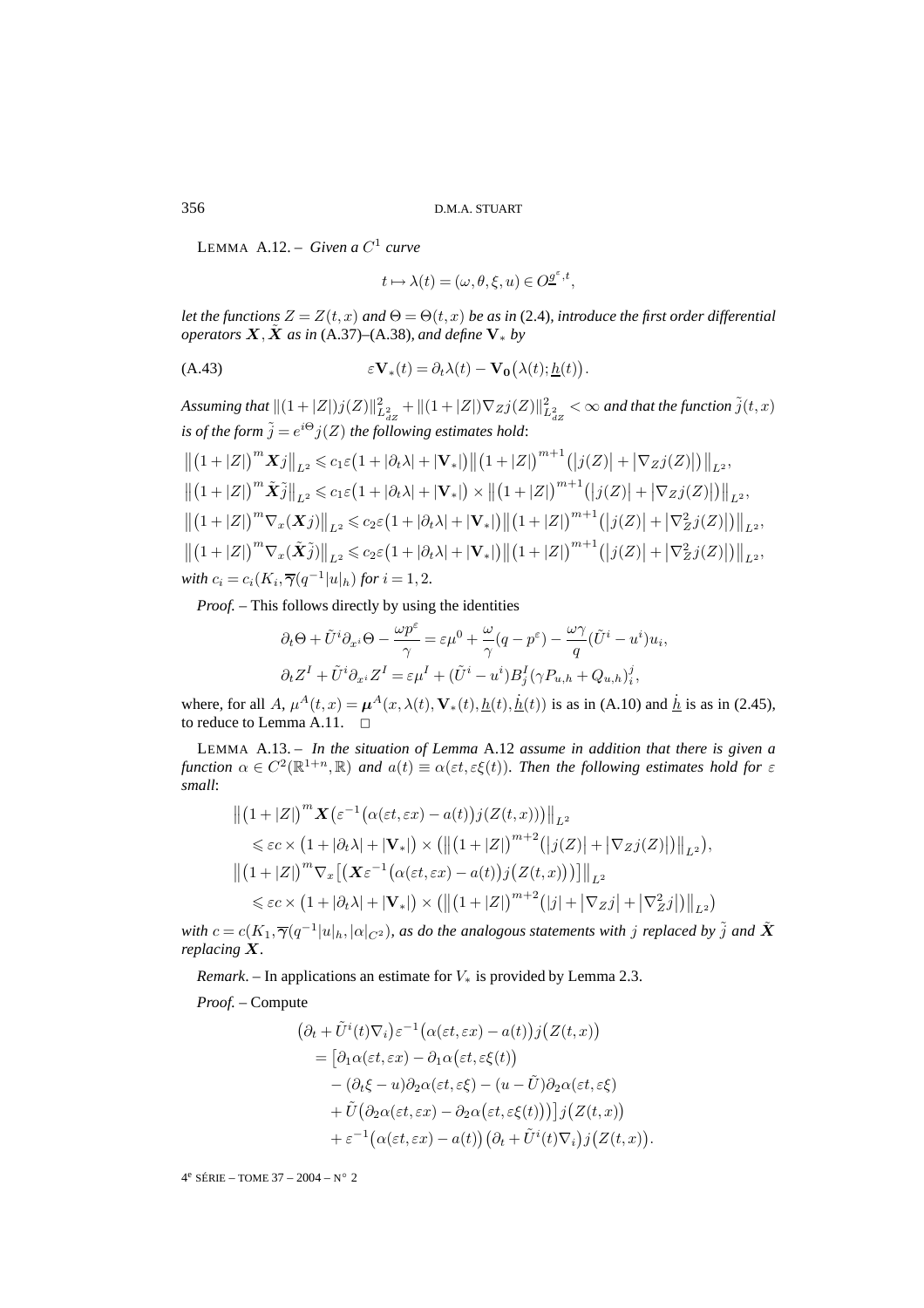LEMMA  $A.12 - Given a C<sup>1</sup> curve$ 

$$
t \mapsto \lambda(t) = (\omega, \theta, \xi, u) \in O^{\underline{\theta}^{\varepsilon}, t},
$$

*let the functions*  $Z = Z(t, x)$  *and*  $\Theta = \Theta(t, x)$  *be as in* (2.4)*, introduce the first order differential operators*  $\overline{X}$ *,*  $\overline{X}$  *as in* (A.37)–(A.38)*, and define*  $V_*$  *by* 

(A.43) 
$$
\varepsilon \mathbf{V}_*(t) = \partial_t \lambda(t) - \mathbf{V}_0(\lambda(t); \underline{h}(t)).
$$

 $A$ ssuming that  $\|(1+|Z|)j(Z)\|_{L^2_{dZ}}^2+\|(1+|Z|)\nabla_Z j(Z)\|_{L^2_{dZ}}^2<\infty$  and that the function  $\tilde{j}(t,x)$ *is of the form*  $\tilde{j} = e^{i\Theta} j(Z)$  *the following estimates hold:* 

$$
\| (1+|Z|)^{m} X j \|_{L^{2}} \leq c_{1} \varepsilon (1+|\partial_{t} \lambda|+|\mathbf{V}_{*}|) \| (1+|Z|)^{m+1} (|j(Z)|+|\nabla_{Z} j(Z)|) \|_{L^{2}},
$$
  

$$
\| (1+|Z|)^{m} \tilde{X} \tilde{j} \|_{L^{2}} \leq c_{1} \varepsilon (1+|\partial_{t} \lambda|+|\mathbf{V}_{*}|) \times \| (1+|Z|)^{m+1} (|j(Z)|+|\nabla_{Z} j(Z)|) \|_{L^{2}},
$$
  

$$
\| (1+|Z|)^{m} \nabla_{x} (X j) \|_{L^{2}} \leq c_{2} \varepsilon (1+|\partial_{t} \lambda|+|\mathbf{V}_{*}|) \| (1+|Z|)^{m+1} (|j(Z)|+|\nabla_{Z}^{2} j(Z)|) \|_{L^{2}},
$$
  

$$
\| (1+|Z|)^{m} \nabla_{x} (\tilde{X} \tilde{j}) \|_{L^{2}} \leq c_{2} \varepsilon (1+|\partial_{t} \lambda|+|\mathbf{V}_{*}|) \| (1+|Z|)^{m+1} (|j(Z)|+|\nabla_{Z}^{2} j(Z)|) \|_{L^{2}},
$$
  
with  $c_{i}=c_{i}(K_{i}, \overline{\gamma}(q^{-1}|u|_{h})$  for  $i=1,2$ .

*Proof. –* This follows directly by using the identities

$$
\partial_t \Theta + \tilde{U}^i \partial_{x^i} \Theta - \frac{\omega p^{\varepsilon}}{\gamma} = \varepsilon \mu^0 + \frac{\omega}{\gamma} (q - p^{\varepsilon}) - \frac{\omega \gamma}{q} (\tilde{U}^i - u^i) u_i,
$$
  

$$
\partial_t Z^I + \tilde{U}^i \partial_{x^i} Z^I = \varepsilon \mu^I + (\tilde{U}^i - u^i) B^I_j (\gamma P_{u,h} + Q_{u,h})^j_i,
$$

where, for all A,  $\mu^{A}(t, x) = \mu^{A}(x, \lambda(t), \mathbf{V}_{*}(t), \underline{h}(t), \underline{\dot{h}}(t))$  is as in (A.10) and  $\underline{\dot{h}}$  is as in (2.45), to reduce to Lemma A.11.  $\Box$ 

LEMMA A.13. – *In the situation of Lemma* A.12 *assume in addition that there is given a function*  $\alpha \in C^2(\mathbb{R}^{1+n}, \mathbb{R})$  *and*  $\alpha(t) \equiv \alpha(\varepsilon t, \varepsilon \xi(t))$ *. Then the following estimates hold for*  $\varepsilon$ *small*:

$$
\begin{aligned}\n\left\| \left(1+|Z|\right)^m \mathbf{X} \left(\varepsilon^{-1} \big(\alpha(\varepsilon t, \varepsilon x) - a(t)\big) j(Z(t, x))\right) \right\|_{L^2} \\
&\leqslant \varepsilon c \times \left(1+|\partial_t \lambda|+|\mathbf{V}_*|\right) \times \left(\left\| \left(1+|Z|\right)^{m+2} \left(|j(Z)|+|\nabla_Z j(Z)|\right) \right\|_{L^2}\right), \\
\left\| \left(1+|Z|\right)^m \nabla_x \left[ \left(\mathbf{X}\varepsilon^{-1} \big(\alpha(\varepsilon t, \varepsilon x) - a(t)\big) j\big(Z(t, x)\big)\big) \right] \right\|_{L^2} \\
&\leqslant \varepsilon c \times \left(1+|\partial_t \lambda|+|\mathbf{V}_*|\right) \times \left(\left\| \left(1+|Z|\right)^{m+2} \left(|j|+|\nabla_Z j|+|\nabla_Z^2 j|\right) \right\|_{L^2}\right)\n\end{aligned}
$$

*with*  $c = c(K_1, \overline{\gamma}(q^{-1}|u|_h, |\alpha|_{C^2})$ , as do the analogous statements with j replaced by  $\tilde{j}$  and  $\tilde{X}$ *replacing X.*

*Remark*. – In applications an estimate for  $V_*$  is provided by Lemma 2.3.

*Proof. –* Compute

$$
\begin{aligned} \left(\partial_t + \tilde{U}^i(t)\nabla_i\right) &\varepsilon^{-1} \left(\alpha(\varepsilon t, \varepsilon x) - a(t)\right) j\left(Z(t, x)\right) \\ &= \left[\partial_1 \alpha(\varepsilon t, \varepsilon x) - \partial_1 \alpha(\varepsilon t, \varepsilon \xi(t))\right. \\ &\quad - \left(\partial_t \xi - u\right) \partial_2 \alpha(\varepsilon t, \varepsilon \xi) - \left(u - \tilde{U}\right) \partial_2 \alpha(\varepsilon t, \varepsilon \xi) \\ &\quad + \tilde{U} \left(\partial_2 \alpha(\varepsilon t, \varepsilon x) - \partial_2 \alpha(\varepsilon t, \varepsilon \xi(t))\right) j\left(Z(t, x)\right) \\ &\quad + \varepsilon^{-1} \left(\alpha(\varepsilon t, \varepsilon x) - a(t)\right) \left(\partial_t + \tilde{U}^i(t)\nabla_i\right) j\left(Z(t, x)\right). \end{aligned}
$$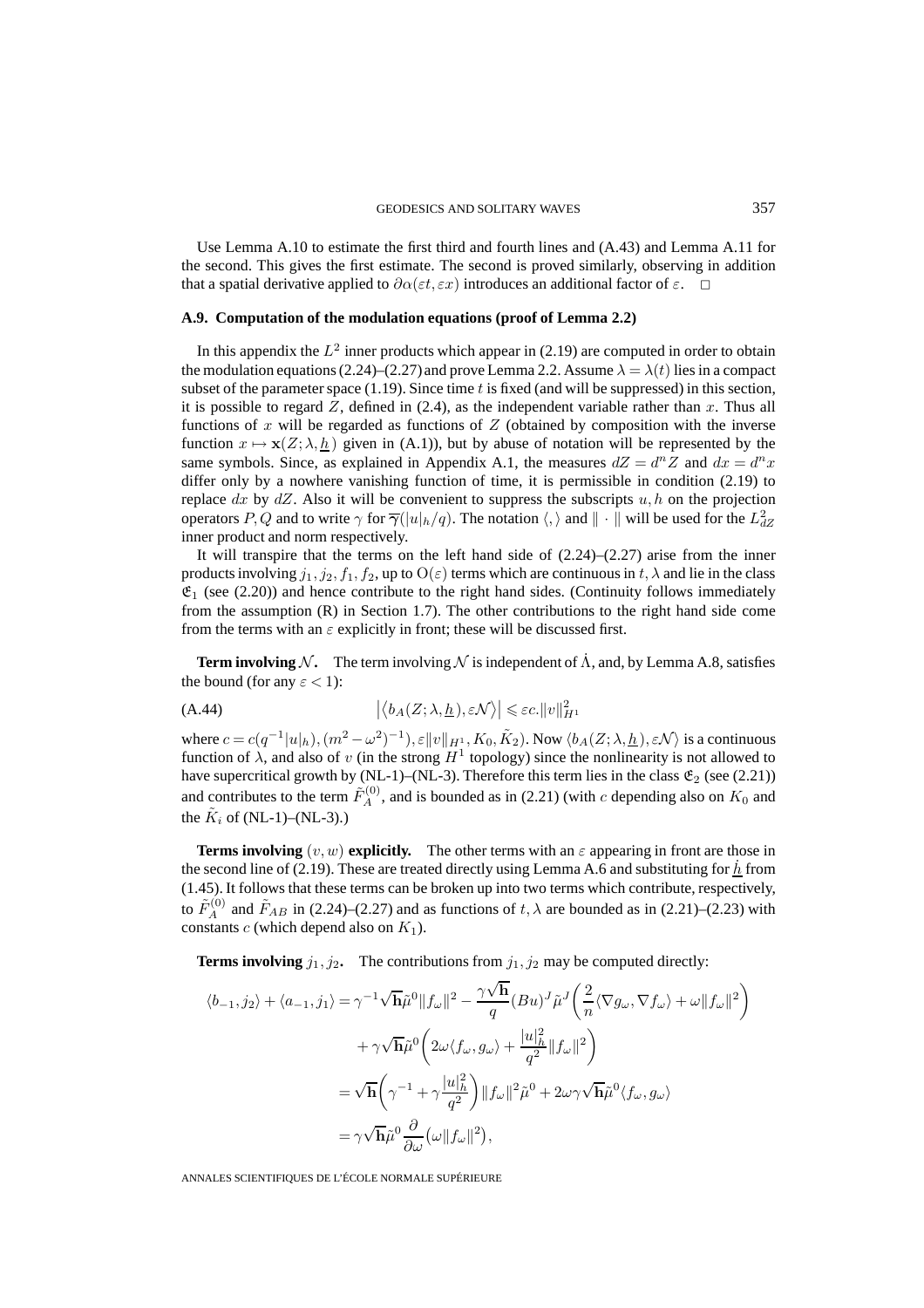Use Lemma A.10 to estimate the first third and fourth lines and (A.43) and Lemma A.11 for the second. This gives the first estimate. The second is proved similarly, observing in addition that a spatial derivative applied to  $\partial \alpha(\varepsilon t, \varepsilon x)$  introduces an additional factor of  $\varepsilon$ .  $\Box$ 

# **A.9. Computation of the modulation equations (proof of Lemma 2.2)**

In this appendix the  $L^2$  inner products which appear in (2.19) are computed in order to obtain the modulation equations (2.24)–(2.27) and prove Lemma 2.2. Assume  $\lambda = \lambda(t)$  lies in a compact subset of the parameter space  $(1.19)$ . Since time t is fixed (and will be suppressed) in this section, it is possible to regard  $Z$ , defined in (2.4), as the independent variable rather than x. Thus all functions of  $x$  will be regarded as functions of  $Z$  (obtained by composition with the inverse function  $x \mapsto \mathbf{x}(Z; \lambda, \underline{h})$  given in (A.1)), but by abuse of notation will be represented by the same symbols. Since, as explained in Appendix A.1, the measures  $dZ = d^n Z$  and  $dx = d^n x$ differ only by a nowhere vanishing function of time, it is permissible in condition (2.19) to replace  $dx$  by  $dZ$ . Also it will be convenient to suppress the subscripts  $u, h$  on the projection operators P, Q and to write  $\gamma$  for  $\overline{\gamma}(|u|_h/q)$ . The notation  $\langle, \rangle$  and  $\|\cdot\|$  will be used for the  $L^2_{dZ}$ inner product and norm respectively.

It will transpire that the terms on the left hand side of  $(2.24)$ – $(2.27)$  arise from the inner products involving  $j_1, j_2, f_1, f_2$ , up to  $O(\varepsilon)$  terms which are continuous in  $t, \lambda$  and lie in the class  $\mathfrak{E}_1$  (see (2.20)) and hence contribute to the right hand sides. (Continuity follows immediately from the assumption (R) in Section 1.7). The other contributions to the right hand side come from the terms with an  $\varepsilon$  explicitly in front; these will be discussed first.

**Term involving** N. The term involving N is independent of  $\Lambda$ , and, by Lemma A.8, satisfies the bound (for any  $\varepsilon$  < 1):

(A.44) 
$$
\left| \langle b_A(Z;\lambda,\underline{h}), \varepsilon \mathcal{N} \rangle \right| \leqslant \varepsilon c \cdot ||v||_{H^1}^2
$$

where  $c = c(q^{-1}|u|_h)$ ,  $(m^2 - \omega^2)^{-1})$ ,  $\varepsilon ||v||_{H^1}$ ,  $K_0$ ,  $\tilde{K}_2$ ). Now  $\langle b_A(Z; \lambda, \underline{h})$ ,  $\varepsilon \mathcal{N} \rangle$  is a continuous function of  $\lambda$ , and also of v (in the strong  $H^1$  topology) since the nonlinearity is not allowed to have supercritical growth by (NL-1)–(NL-3). Therefore this term lies in the class  $\mathfrak{E}_2$  (see (2.21)) and contributes to the term  $\tilde{F}_A^{(0)}$ , and is bounded as in (2.21) (with c depending also on  $K_0$  and the  $K_i$  of (NL-1)–(NL-3).)

**Terms involving**  $(v, w)$  explicitly. The other terms with an  $\varepsilon$  appearing in front are those in the second line of (2.19). These are treated directly using Lemma A.6 and substituting for  $h$  from (1.45). It follows that these terms can be broken up into two terms which contribute, respectively, to  $\tilde{F}_{A}^{(0)}$  and  $\tilde{F}_{AB}$  in (2.24)–(2.27) and as functions of  $t, \lambda$  are bounded as in (2.21)–(2.23) with constants  $c$  (which depend also on  $K_1$ ).

**Terms involving**  $j_1, j_2$ . The contributions from  $j_1, j_2$  may be computed directly:

$$
\langle b_{-1}, j_2 \rangle + \langle a_{-1}, j_1 \rangle = \gamma^{-1} \sqrt{\mathbf{h}} \tilde{\mu}^0 \|f_{\omega}\|^2 - \frac{\gamma \sqrt{\mathbf{h}}}{q} (Bu)^J \tilde{\mu}^J \left(\frac{2}{n} \langle \nabla g_{\omega}, \nabla f_{\omega} \rangle + \omega \|f_{\omega}\|^2\right) + \gamma \sqrt{\mathbf{h}} \tilde{\mu}^0 \left(2\omega \langle f_{\omega}, g_{\omega} \rangle + \frac{|u|_h^2}{q^2} \|f_{\omega}\|^2\right) = \sqrt{\mathbf{h}} \left(\gamma^{-1} + \gamma \frac{|u|_h^2}{q^2}\right) \|f_{\omega}\|^2 \tilde{\mu}^0 + 2\omega \gamma \sqrt{\mathbf{h}} \tilde{\mu}^0 \langle f_{\omega}, g_{\omega} \rangle = \gamma \sqrt{\mathbf{h}} \tilde{\mu}^0 \frac{\partial}{\partial \omega} (\omega \|f_{\omega}\|^2),
$$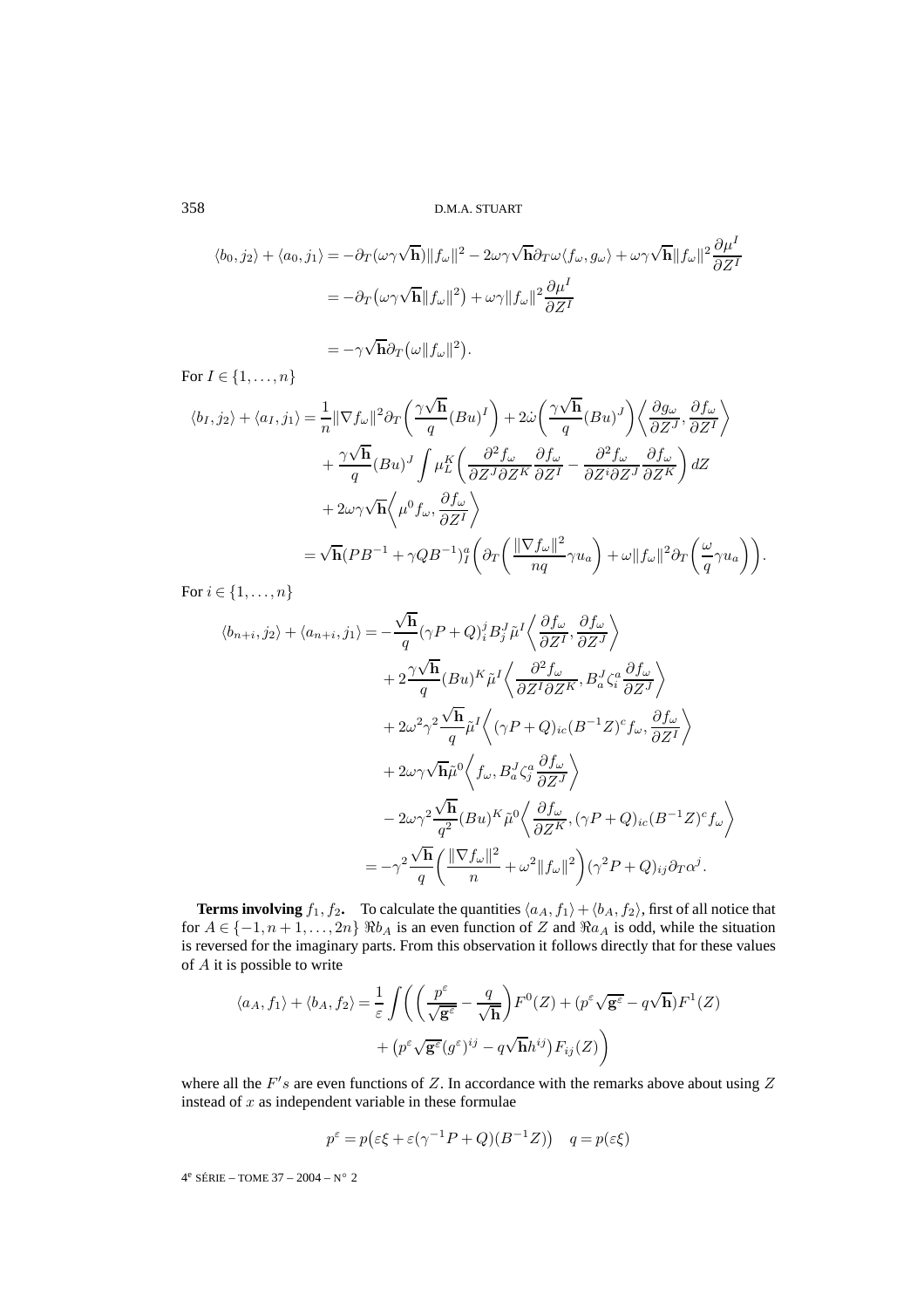$$
\langle b_0, j_2 \rangle + \langle a_0, j_1 \rangle = -\partial_T(\omega \gamma \sqrt{\mathbf{h}}) \|f_\omega\|^2 - 2\omega \gamma \sqrt{\mathbf{h}} \partial_T \omega \langle f_\omega, g_\omega \rangle + \omega \gamma \sqrt{\mathbf{h}} \|f_\omega\|^2 \frac{\partial \mu^I}{\partial Z^I}
$$
  
= 
$$
-\partial_T(\omega \gamma \sqrt{\mathbf{h}} \|f_\omega\|^2) + \omega \gamma \|f_\omega\|^2 \frac{\partial \mu^I}{\partial Z^I}
$$

$$
=-\gamma\sqrt{\mathbf{h}}\partial_T(\omega||f_\omega||^2).
$$

For  $I \in \{1, \ldots, n\}$ 

$$
\langle b_I, j_2 \rangle + \langle a_I, j_1 \rangle = \frac{1}{n} ||\nabla f_{\omega}||^2 \partial_T \left( \frac{\gamma \sqrt{h}}{q} (Bu)^I \right) + 2\dot{\omega} \left( \frac{\gamma \sqrt{h}}{q} (Bu)^J \right) \left\langle \frac{\partial g_{\omega}}{\partial Z^J}, \frac{\partial f_{\omega}}{\partial Z^I} \right\rangle + \frac{\gamma \sqrt{h}}{q} (Bu)^J \int \mu_L^K \left( \frac{\partial^2 f_{\omega}}{\partial Z^J \partial Z^K} \frac{\partial f_{\omega}}{\partial Z^I} - \frac{\partial^2 f_{\omega}}{\partial Z^i \partial Z^J} \frac{\partial f_{\omega}}{\partial Z^K} \right) dZ + 2\omega \gamma \sqrt{h} \left\langle \mu^0 f_{\omega}, \frac{\partial f_{\omega}}{\partial Z^I} \right\rangle = \sqrt{h} (PB^{-1} + \gamma QB^{-1})^a_I \left( \partial_T \left( \frac{\|\nabla f_{\omega}\|^2}{nq} \gamma u_a \right) + \omega ||f_{\omega}||^2 \partial_T \left( \frac{\omega}{q} \gamma u_a \right) \right).
$$

For  $i \in \{1, \ldots, n\}$ 

$$
\langle b_{n+i}, j_2 \rangle + \langle a_{n+i}, j_1 \rangle = -\frac{\sqrt{\mathbf{h}}}{q} (\gamma P + Q)_i^j B_j^J \tilde{\mu}^I \left\langle \frac{\partial f_{\omega}}{\partial Z^I}, \frac{\partial f_{\omega}}{\partial Z^J} \right\rangle \n+ 2 \frac{\gamma \sqrt{\mathbf{h}}}{q} (Bu)^K \tilde{\mu}^I \left\langle \frac{\partial^2 f_{\omega}}{\partial Z^I \partial Z^K}, B_a^J \zeta_i^a \frac{\partial f_{\omega}}{\partial Z^J} \right\rangle \n+ 2\omega^2 \gamma^2 \frac{\sqrt{\mathbf{h}}}{q} \tilde{\mu}^I \left\langle (\gamma P + Q)_{ic} (B^{-1} Z)^c f_{\omega}, \frac{\partial f_{\omega}}{\partial Z^I} \right\rangle \n+ 2\omega \gamma \sqrt{\mathbf{h}} \tilde{\mu}^0 \left\langle f_{\omega}, B_a^J \zeta_j^a \frac{\partial f_{\omega}}{\partial Z^J} \right\rangle \n- 2\omega \gamma^2 \frac{\sqrt{\mathbf{h}}}{q^2} (Bu)^K \tilde{\mu}^0 \left\langle \frac{\partial f_{\omega}}{\partial Z^K}, (\gamma P + Q)_{ic} (B^{-1} Z)^c f_{\omega} \right\rangle \n= -\gamma^2 \frac{\sqrt{\mathbf{h}}}{q} \left( \frac{\|\nabla f_{\omega}\|^2}{n} + \omega^2 \|f_{\omega}\|^2 \right) (\gamma^2 P + Q)_{ij} \partial_T \alpha^j.
$$

**Terms involving**  $f_1, f_2$ . To calculate the quantities  $\langle a_A, f_1 \rangle + \langle b_A, f_2 \rangle$ , first of all notice that for  $A \in \{-1, n+1, \ldots, 2n\}$   $\Re b_A$  is an even function of Z and  $\Re a_A$  is odd, while the situation is reversed for the imaginary parts. From this observation it follows directly that for these values of A it is possible to write

$$
\langle a_A, f_1 \rangle + \langle b_A, f_2 \rangle = \frac{1}{\varepsilon} \int \left( \left( \frac{p^{\varepsilon}}{\sqrt{\mathbf{g}^{\varepsilon}}} - \frac{q}{\sqrt{\mathbf{h}}} \right) F^0(Z) + (p^{\varepsilon} \sqrt{\mathbf{g}^{\varepsilon}} - q \sqrt{\mathbf{h}}) F^1(Z) + (p^{\varepsilon} \sqrt{\mathbf{g}^{\varepsilon}} (g^{\varepsilon})^{ij} - q \sqrt{\mathbf{h}} h^{ij}) F_{ij}(Z) \right)
$$

where all the  $F's$  are even functions of Z. In accordance with the remarks above about using Z instead of  $x$  as independent variable in these formulae

$$
p^{\varepsilon} = p(\varepsilon \xi + \varepsilon (\gamma^{-1} P + Q)(B^{-1} Z)) \quad q = p(\varepsilon \xi)
$$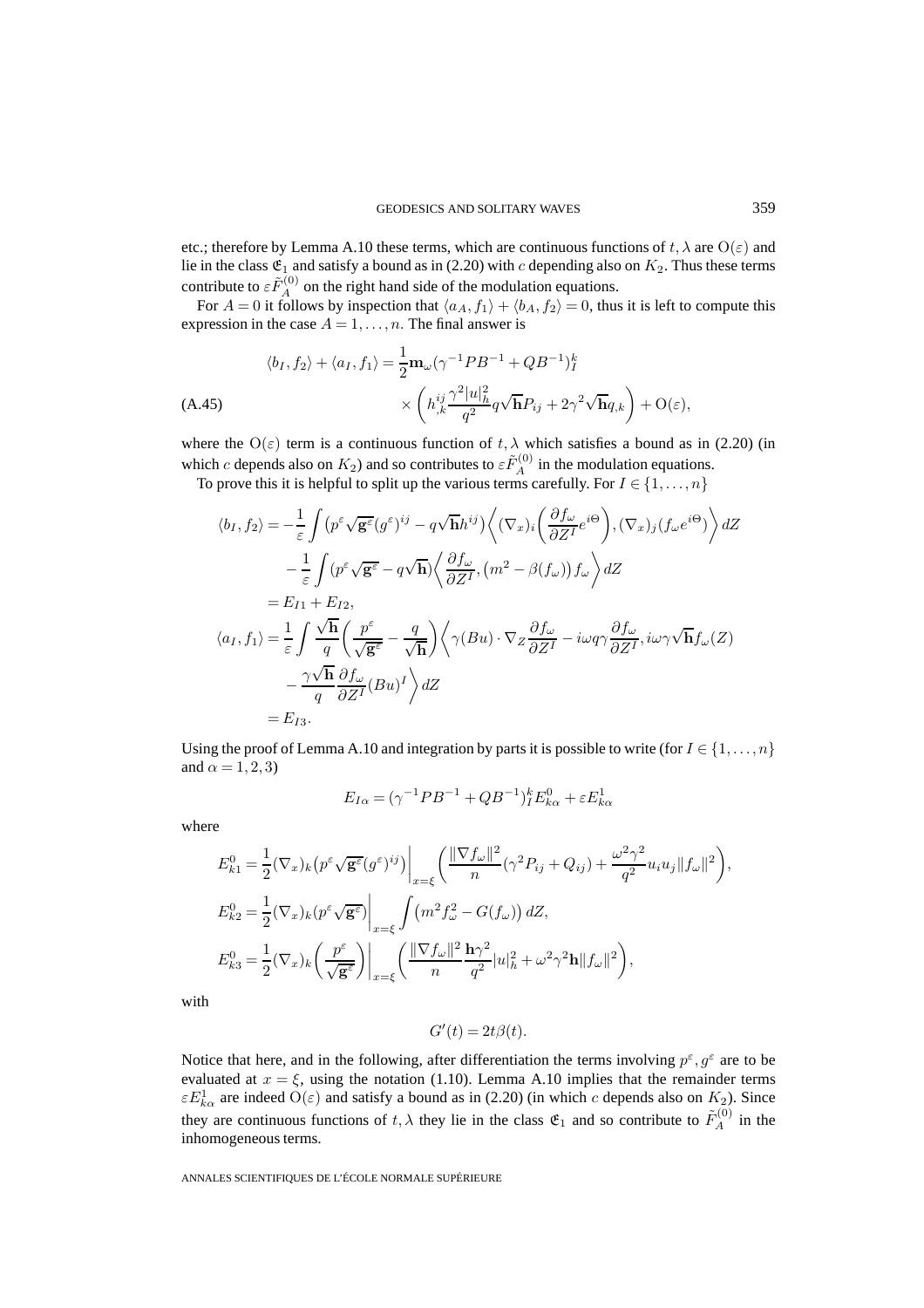etc.; therefore by Lemma A.10 these terms, which are continuous functions of  $t, \lambda$  are  $O(\varepsilon)$  and lie in the class  $\mathfrak{E}_1$  and satisfy a bound as in (2.20) with c depending also on  $K_2$ . Thus these terms contribute to  $\epsilon \tilde{F}_A^{(0)}$  on the right hand side of the modulation equations.

For  $A = 0$  it follows by inspection that  $\langle a_A, f_1 \rangle + \langle b_A, f_2 \rangle = 0$ , thus it is left to compute this expression in the case  $A = 1, \ldots, n$ . The final answer is

$$
\langle b_I, f_2 \rangle + \langle a_I, f_1 \rangle = \frac{1}{2} \mathbf{m}_{\omega} (\gamma^{-1} P B^{-1} + Q B^{-1})_I^k
$$
  

$$
\times \left( h_{,k}^{ij} \frac{\gamma^2 |u|_h^2}{q^2} q \sqrt{\mathbf{h}} P_{ij} + 2 \gamma^2 \sqrt{\mathbf{h}} q_{,k} \right) + \mathcal{O}(\varepsilon),
$$

where the  $O(\varepsilon)$  term is a continuous function of  $t, \lambda$  which satisfies a bound as in (2.20) (in which c depends also on  $K_2$ ) and so contributes to  $\epsilon \tilde{F}_A^{(0)}$  in the modulation equations.

To prove this it is helpful to split up the various terms carefully. For  $I \in \{1, \ldots, n\}$ 

$$
\langle b_I, f_2 \rangle = -\frac{1}{\varepsilon} \int (p^{\varepsilon} \sqrt{\mathbf{g}^{\varepsilon}} (g^{\varepsilon})^{ij} - q \sqrt{\mathbf{h}} h^{ij}) \Big\langle (\nabla_x)_i \left( \frac{\partial f_{\omega}}{\partial Z^I} e^{i\Theta} \right), (\nabla_x)_j (f_{\omega} e^{i\Theta}) \Big\rangle dZ \n- \frac{1}{\varepsilon} \int (p^{\varepsilon} \sqrt{\mathbf{g}^{\varepsilon}} - q \sqrt{\mathbf{h}}) \Big\langle \frac{\partial f_{\omega}}{\partial Z^I}, (m^2 - \beta(f_{\omega})) f_{\omega} \Big\rangle dZ \n= E_{I1} + E_{I2}, \n\langle a_I, f_1 \rangle = \frac{1}{\varepsilon} \int \frac{\sqrt{\mathbf{h}}}{q} \Big( \frac{p^{\varepsilon}}{\sqrt{\mathbf{g}^{\varepsilon}}} - \frac{q}{\sqrt{\mathbf{h}}} \Big) \Big\langle \gamma (Bu) \cdot \nabla_Z \frac{\partial f_{\omega}}{\partial Z^I} - i\omega q \gamma \frac{\partial f_{\omega}}{\partial Z^I}, i\omega \gamma \sqrt{\mathbf{h}} f_{\omega}(Z) \n- \frac{\gamma \sqrt{\mathbf{h}}}{q} \frac{\partial f_{\omega}}{\partial Z^I} (Bu)^I \Big\rangle dZ \n= E_{I3}.
$$

Using the proof of Lemma A.10 and integration by parts it is possible to write (for  $I \in \{1,\ldots,n\}$ and  $\alpha = 1, 2, 3$ )

$$
E_{I\alpha} = (\gamma^{-1} P B^{-1} + Q B^{-1})_I^k E_{k\alpha}^0 + \varepsilon E_{k\alpha}^1
$$

where

$$
E_{k1}^{0} = \frac{1}{2} (\nabla_x)_k (p^{\varepsilon} \sqrt{\mathbf{g}^{\varepsilon}} (g^{\varepsilon})^{ij}) \Big|_{x=\xi} \left( \frac{\|\nabla f_{\omega}\|^2}{n} (\gamma^2 P_{ij} + Q_{ij}) + \frac{\omega^2 \gamma^2}{q^2} u_i u_j \|f_{\omega}\|^2 \right),
$$
  
\n
$$
E_{k2}^{0} = \frac{1}{2} (\nabla_x)_k (p^{\varepsilon} \sqrt{\mathbf{g}^{\varepsilon}}) \Big|_{x=\xi} \int (m^2 f_{\omega}^2 - G(f_{\omega})) dZ,
$$
  
\n
$$
E_{k3}^{0} = \frac{1}{2} (\nabla_x)_k \left( \frac{p^{\varepsilon}}{\sqrt{\mathbf{g}^{\varepsilon}}} \right) \Big|_{x=\xi} \left( \frac{\|\nabla f_{\omega}\|^2}{n} \frac{\mathbf{h} \gamma^2}{q^2} |u|_h^2 + \omega^2 \gamma^2 \mathbf{h} \|f_{\omega}\|^2 \right),
$$

with

$$
G'(t) = 2t\beta(t).
$$

Notice that here, and in the following, after differentiation the terms involving  $p^{\varepsilon}, q^{\varepsilon}$  are to be evaluated at  $x = \xi$ , using the notation (1.10). Lemma A.10 implies that the remainder terms  $\epsilon E_{k\alpha}^1$  are indeed  $O(\epsilon)$  and satisfy a bound as in (2.20) (in which c depends also on  $K_2$ ). Since they are continuous functions of  $t, \lambda$  they lie in the class  $\mathfrak{E}_1$  and so contribute to  $\tilde{F}_A^{(0)}$  in the inhomogeneous terms.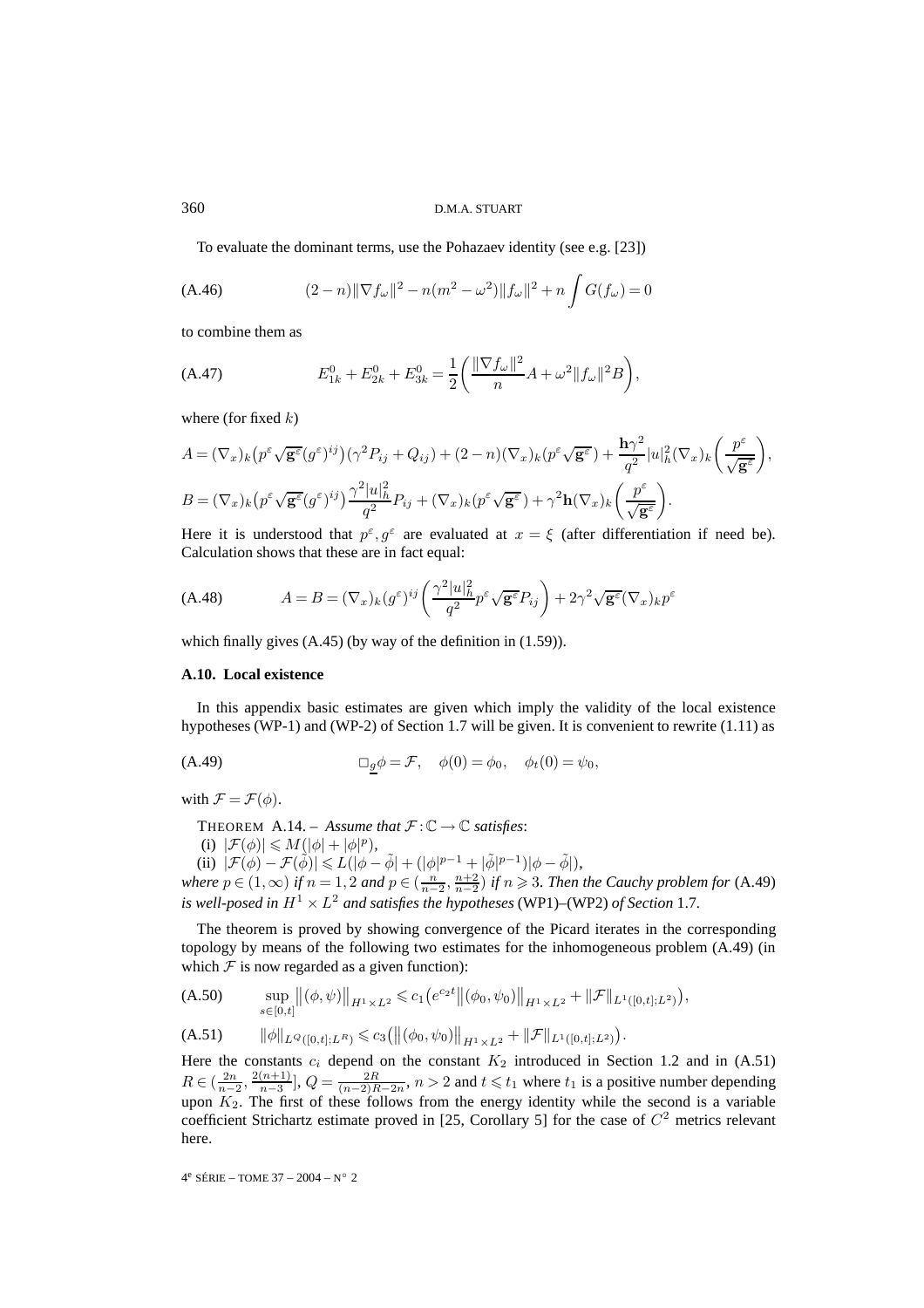#### 360 D.M.A. STUART

To evaluate the dominant terms, use the Pohazaev identity (see e.g. [23])

(A.46) 
$$
(2-n)\|\nabla f_{\omega}\|^2 - n(m^2 - \omega^2)\|f_{\omega}\|^2 + n\int G(f_{\omega}) = 0
$$

to combine them as

(A.47) 
$$
E_{1k}^0 + E_{2k}^0 + E_{3k}^0 = \frac{1}{2} \left( \frac{\|\nabla f_\omega\|^2}{n} A + \omega^2 \|f_\omega\|^2 B \right),
$$

where (for fixed  $k$ )

$$
A = (\nabla_x)_k \left( p^{\varepsilon} \sqrt{\mathbf{g}^{\varepsilon}} (g^{\varepsilon})^{ij} \right) (\gamma^2 P_{ij} + Q_{ij}) + (2 - n)(\nabla_x)_k (p^{\varepsilon} \sqrt{\mathbf{g}^{\varepsilon}}) + \frac{\mathbf{h}\gamma^2}{q^2} |u|_h^2 (\nabla_x)_k \left( \frac{p^{\varepsilon}}{\sqrt{\mathbf{g}^{\varepsilon}}} \right),
$$
  

$$
B = (\nabla_x)_k \left( p^{\varepsilon} \sqrt{\mathbf{g}^{\varepsilon}} (g^{\varepsilon})^{ij} \right) \frac{\gamma^2 |u|_h^2}{q^2} P_{ij} + (\nabla_x)_k (p^{\varepsilon} \sqrt{\mathbf{g}^{\varepsilon}}) + \gamma^2 \mathbf{h} (\nabla_x)_k \left( \frac{p^{\varepsilon}}{\sqrt{\mathbf{g}^{\varepsilon}}} \right).
$$

Here it is understood that  $p^{\varepsilon}, q^{\varepsilon}$  are evaluated at  $x = \xi$  (after differentiation if need be). Calculation shows that these are in fact equal:

$$
(A.48) \qquad \qquad A = B = (\nabla_x)_k (g^{\varepsilon})^{ij} \left( \frac{\gamma^2 |u|_h^2}{q^2} p^{\varepsilon} \sqrt{\mathbf{g}^{\varepsilon}} P_{ij} \right) + 2\gamma^2 \sqrt{\mathbf{g}^{\varepsilon}} (\nabla_x)_k p^{\varepsilon}
$$

which finally gives  $(A.45)$  (by way of the definition in  $(1.59)$ ).

# **A.10. Local existence**

In this appendix basic estimates are given which imply the validity of the local existence hypotheses (WP-1) and (WP-2) of Section 1.7 will be given. It is convenient to rewrite (1.11) as

$$
\Box_{\underline{g}} \phi = \mathcal{F}, \quad \phi(0) = \phi_0, \quad \phi_t(0) = \psi_0,
$$

with  $\mathcal{F} = \mathcal{F}(\phi)$ .

THEOREM A.14. – *Assume that*  $\mathcal{F} : \mathbb{C} \to \mathbb{C}$  *satisfies*:

(i)  $|\mathcal{F}(\phi)| \leq M(|\phi| + |\phi|^p),$ 

(ii)  $|\mathcal{F}(\phi) - \mathcal{F}(\tilde{\phi})| \leq L(|\phi - \tilde{\phi}| + (|\phi|^{p-1} + |\tilde{\phi}|^{p-1})|\phi - \tilde{\phi}|),$ *where*  $p \in (1, \infty)$  *if*  $n = 1, 2$  *and*  $p \in (\frac{n}{n-2}, \frac{n+2}{n-2})$  *if*  $n \ge 3$ *. Then the Cauchy problem for* (A.49) *is well-posed in*  $H^1 \times L^2$  *and satisfies the hypotheses* (WP1)–(WP2) *of Section* 1.7*.* 

The theorem is proved by showing convergence of the Picard iterates in the corresponding topology by means of the following two estimates for the inhomogeneous problem (A.49) (in which  $F$  is now regarded as a given function):

(A.50) 
$$
\sup_{s\in[0,t]} \|(\phi,\psi)\|_{H^1\times L^2} \leq c_1 \big(e^{c_2t} \|(\phi_0,\psi_0)\|_{H^1\times L^2} + \|\mathcal{F}\|_{L^1([0,t];L^2)}\big),
$$

(A.51) 
$$
\|\phi\|_{L^Q([0,t];L^R)} \leq c_3 \big( \big\| (\phi_0, \psi_0) \big\|_{H^1 \times L^2} + \|\mathcal{F}\|_{L^1([0,t];L^2)} \big).
$$

Here the constants  $c_i$  depend on the constant  $K_2$  introduced in Section 1.2 and in (A.51)  $R \in (\frac{2n}{n-2}, \frac{2(n+1)}{n-3}]$ ,  $Q = \frac{2R}{(n-2)R-2n}$ ,  $n > 2$  and  $t \le t_1$  where  $t_1$  is a positive number depending upon  $K_2$ . The first of these follows from the energy identity while the second is a variable coefficient Strichartz estimate proved in [25, Corollary 5] for the case of  $C<sup>2</sup>$  metrics relevant here.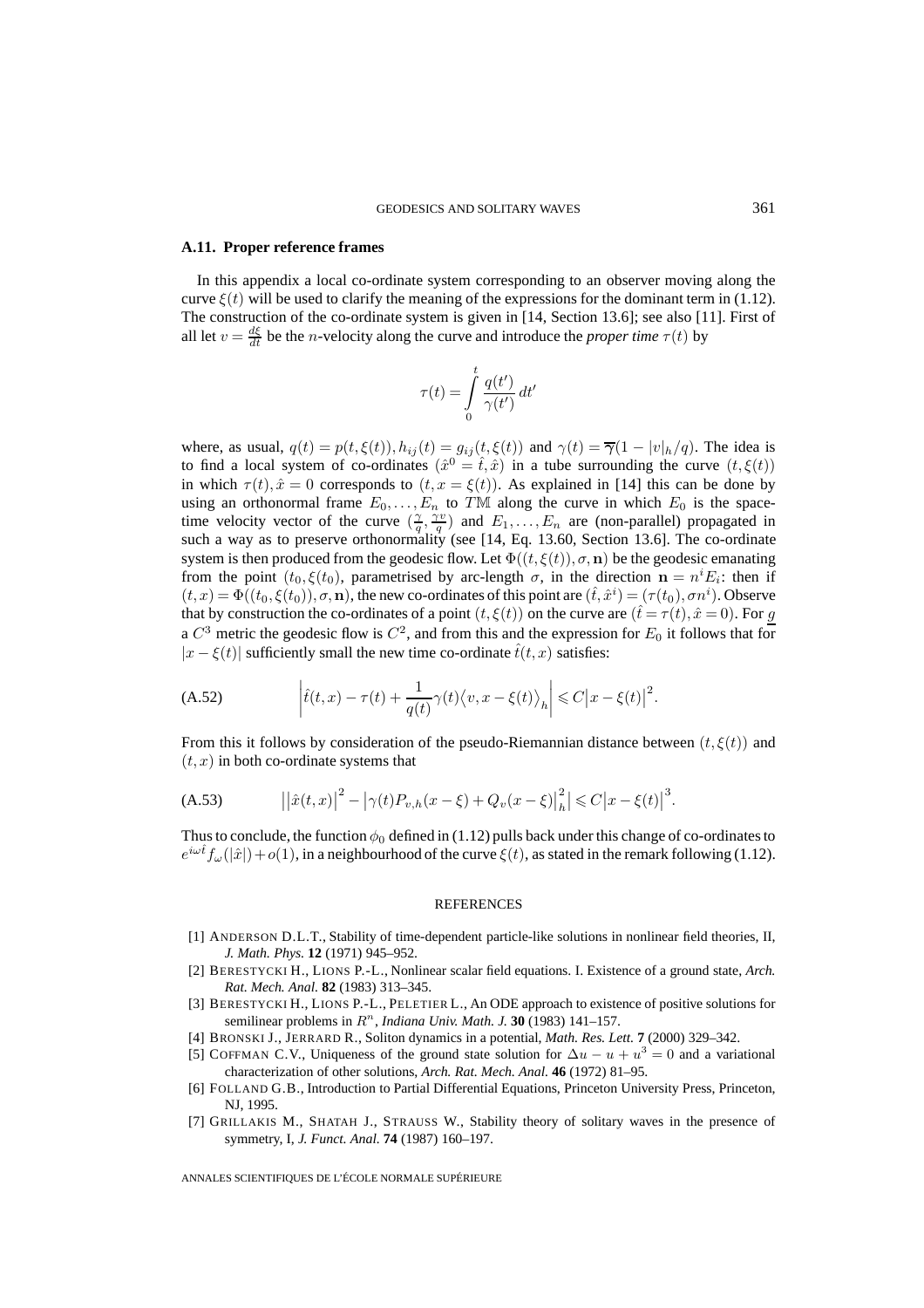#### **A.11. Proper reference frames**

In this appendix a local co-ordinate system corresponding to an observer moving along the curve  $\xi(t)$  will be used to clarify the meaning of the expressions for the dominant term in (1.12). The construction of the co-ordinate system is given in [14, Section 13.6]; see also [11]. First of all let  $v = \frac{d\xi}{dt}$  be the *n*-velocity along the curve and introduce the *proper time*  $\tau(t)$  by

$$
\tau(t) = \int\limits_0^t \frac{q(t')}{\gamma(t')} dt'
$$

where, as usual,  $q(t) = p(t, \xi(t)), h_{ij}(t) = g_{ij}(t, \xi(t))$  and  $\gamma(t) = \overline{\gamma}(1 - |v|_h/q)$ . The idea is to find a local system of co-ordinates  $(\hat{x}^0 = \hat{t}, \hat{x})$  in a tube surrounding the curve  $(t, \xi(t))$ in which  $\tau(t)$ ,  $\hat{x} = 0$  corresponds to  $(t, x = \xi(t))$ . As explained in [14] this can be done by using an orthonormal frame  $E_0, \ldots, E_n$  to TM along the curve in which  $E_0$  is the spacetime velocity vector of the curve  $(\frac{\gamma}{q}, \frac{\gamma v}{q})$  and  $E_1, \ldots, E_n$  are (non-parallel) propagated in such a way as to preserve orthonormality (see [14, Eq. 13.60, Section 13.6]. The co-ordinate system is then produced from the geodesic flow. Let  $\Phi((t, \xi(t)), \sigma, \mathbf{n})$  be the geodesic emanating from the point  $(t_0, \xi(t_0))$ , parametrised by arc-length  $\sigma$ , in the direction  $\mathbf{n} = n^i E_i$ : then if  $(t, x) = \Phi((t_0, \xi(t_0)), \sigma, \mathbf{n})$ , the new co-ordinates of this point are  $(\hat{t}, \hat{x}^i) = (\tau(t_0), \sigma n^i)$ . Observe that by construction the co-ordinates of a point  $(t, \xi(t))$  on the curve are  $(\hat{t} = \tau(t), \hat{x} = 0)$ . For g a  $C^3$  metric the geodesic flow is  $C^2$ , and from this and the expression for  $E_0$  it follows that for  $|x - \xi(t)|$  sufficiently small the new time co-ordinate  $\hat{t}(t, x)$  satisfies:

(A.52) 
$$
\left| \hat{t}(t,x) - \tau(t) + \frac{1}{q(t)} \gamma(t) \langle v, x - \xi(t) \rangle_h \right| \leq C \left| x - \xi(t) \right|^2.
$$

From this it follows by consideration of the pseudo-Riemannian distance between  $(t, \xi(t))$  and  $(t, x)$  in both co-ordinate systems that

(A.53) 
$$
\left| \left| \hat{x}(t,x) \right|^2 - \left| \gamma(t) P_{v,h}(x-\xi) + Q_v(x-\xi) \right|_h^2 \right| \leq C \left| x - \xi(t) \right|^3.
$$

Thus to conclude, the function  $\phi_0$  defined in (1.12) pulls back under this change of co-ordinates to  $e^{i\omega t} f_\omega(|\hat{x}|) + o(1)$ , in a neighbourhood of the curve  $\xi(t)$ , as stated in the remark following (1.12).

#### **REFERENCES**

- [1] ANDERSON D.L.T., Stability of time-dependent particle-like solutions in nonlinear field theories, II, *J. Math. Phys.* **12** (1971) 945–952.
- [2] BERESTYCKI H., LIONS P.-L., Nonlinear scalar field equations. I. Existence of a ground state, *Arch. Rat. Mech. Anal.* **82** (1983) 313–345.
- [3] BERESTYCKI H., LIONS P.-L., PELETIER L., An ODE approach to existence of positive solutions for semilinear problems in  $R<sup>n</sup>$ , *Indiana Univ. Math. J.* **30** (1983) 141–157.
- [4] BRONSKI J., JERRARD R., Soliton dynamics in a potential, *Math. Res. Lett.* **7** (2000) 329–342.
- [5] COFFMAN C.V., Uniqueness of the ground state solution for  $\Delta u u + u^3 = 0$  and a variational characterization of other solutions, *Arch. Rat. Mech. Anal.* **46** (1972) 81–95.
- [6] FOLLAND G.B., Introduction to Partial Differential Equations, Princeton University Press, Princeton, NJ, 1995.
- [7] GRILLAKIS M., SHATAH J., STRAUSS W., Stability theory of solitary waves in the presence of symmetry, I, *J. Funct. Anal.* **74** (1987) 160–197.